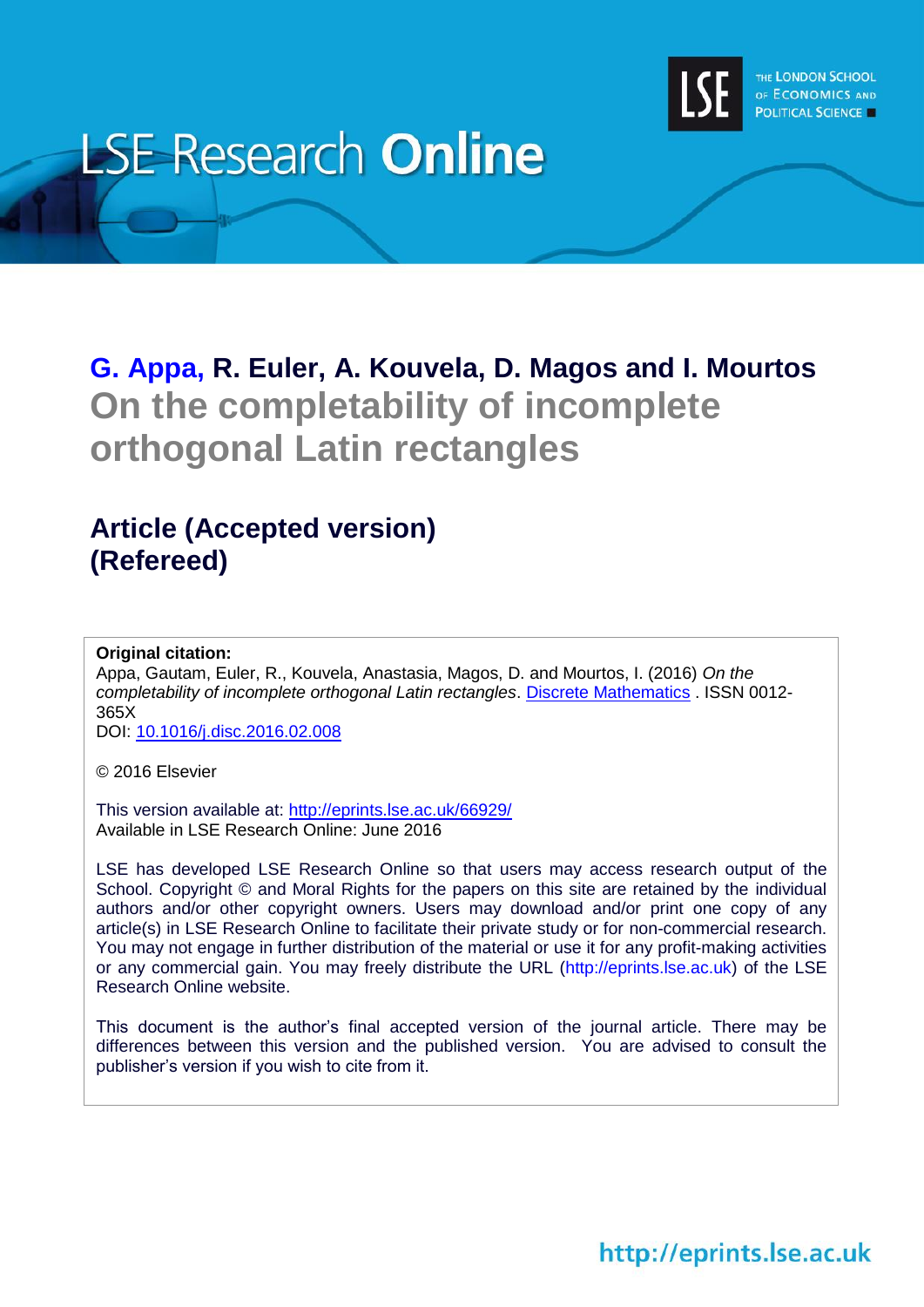

# **LSE Research Online**

# **[G. Appa,](http://www.lse.ac.uk/researchAndExpertise/Experts/profile.aspx?KeyValue=g.appa@lse.ac.uk) R. Euler, A. Kouvela, D. Magos and I. Mourtos On the completability of incomplete orthogonal Latin rectangles**

# **Article (Accepted version) (Refereed)**

**Original citation:**

Appa, Gautam, Euler, R., Kouvela, Anastasia, Magos, D. and Mourtos, I. (2016) *On the completability of incomplete orthogonal Latin rectangles*. [Discrete Mathematics](http://eprints.lse.ac.uk/cgi/users/www.elsevier.com/locate/disc) . ISSN 0012- 365X

DOI: [10.1016/j.disc.2016.02.008](http://dx.doi.org/10.1016/j.disc.2016.02.008)

© 2016 Elsevier

This version available at:<http://eprints.lse.ac.uk/66929/> Available in LSE Research Online: June 2016

LSE has developed LSE Research Online so that users may access research output of the School. Copyright © and Moral Rights for the papers on this site are retained by the individual authors and/or other copyright owners. Users may download and/or print one copy of any article(s) in LSE Research Online to facilitate their private study or for non-commercial research. You may not engage in further distribution of the material or use it for any profit-making activities or any commercial gain. You may freely distribute the URL (http://eprints.lse.ac.uk) of the LSE Research Online website.

This document is the author's final accepted version of the journal article. There may be differences between this version and the published version. You are advised to consult the publisher's version if you wish to cite from it.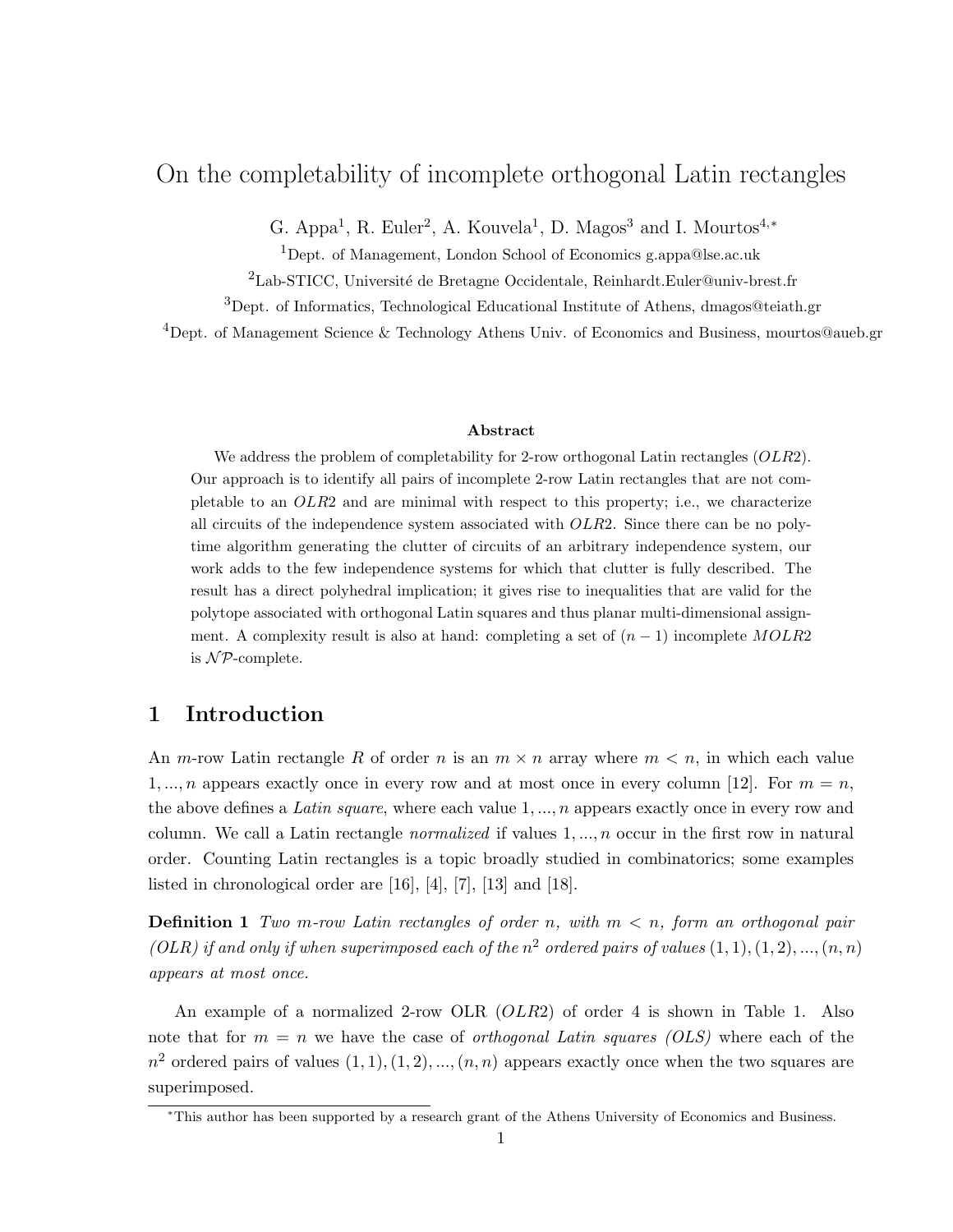# On the completability of incomplete orthogonal Latin rectangles

G. Appa<sup>1</sup>, R. Euler<sup>2</sup>, A. Kouvela<sup>1</sup>, D. Magos<sup>3</sup> and I. Mourtos<sup>4,\*</sup>

<sup>1</sup>Dept. of Management, London School of Economics g.appa@lse.ac.uk

 $^2\mathit{Lab}\text{-}STICC,$ Université de Bretagne Occidentale, Reinhardt.<br>Euler@univ-brest.fr

<sup>3</sup>Dept. of Informatics, Technological Educational Institute of Athens, dmagos@teiath.gr

<sup>4</sup>Dept. of Management Science & Technology Athens Univ. of Economics and Business, mourtos@aueb.gr

#### Abstract

We address the problem of completability for 2-row orthogonal Latin rectangles  $(OLR2)$ . Our approach is to identify all pairs of incomplete 2-row Latin rectangles that are not completable to an OLR2 and are minimal with respect to this property; i.e., we characterize all circuits of the independence system associated with OLR2. Since there can be no polytime algorithm generating the clutter of circuits of an arbitrary independence system, our work adds to the few independence systems for which that clutter is fully described. The result has a direct polyhedral implication; it gives rise to inequalities that are valid for the polytope associated with orthogonal Latin squares and thus planar multi-dimensional assignment. A complexity result is also at hand: completing a set of  $(n-1)$  incomplete MOLR2 is  $N$ P-complete.

# 1 Introduction

An m-row Latin rectangle R of order n is an  $m \times n$  array where  $m < n$ , in which each value 1, ..., *n* appears exactly once in every row and at most once in every column [12]. For  $m = n$ , the above defines a Latin square, where each value  $1, ..., n$  appears exactly once in every row and column. We call a Latin rectangle *normalized* if values  $1, \ldots, n$  occur in the first row in natural order. Counting Latin rectangles is a topic broadly studied in combinatorics; some examples listed in chronological order are [16], [4], [7], [13] and [18].

**Definition 1** Two m-row Latin rectangles of order n, with  $m < n$ , form an orthogonal pair (OLR) if and only if when superimposed each of the  $n^2$  ordered pairs of values  $(1, 1), (1, 2), ..., (n, n)$ appears at most once.

An example of a normalized 2-row OLR (*OLR*2) of order 4 is shown in Table 1. Also note that for  $m = n$  we have the case of *orthogonal Latin squares (OLS)* where each of the  $n^2$  ordered pairs of values  $(1, 1), (1, 2), ..., (n, n)$  appears exactly once when the two squares are superimposed.

<sup>∗</sup>This author has been supported by a research grant of the Athens University of Economics and Business.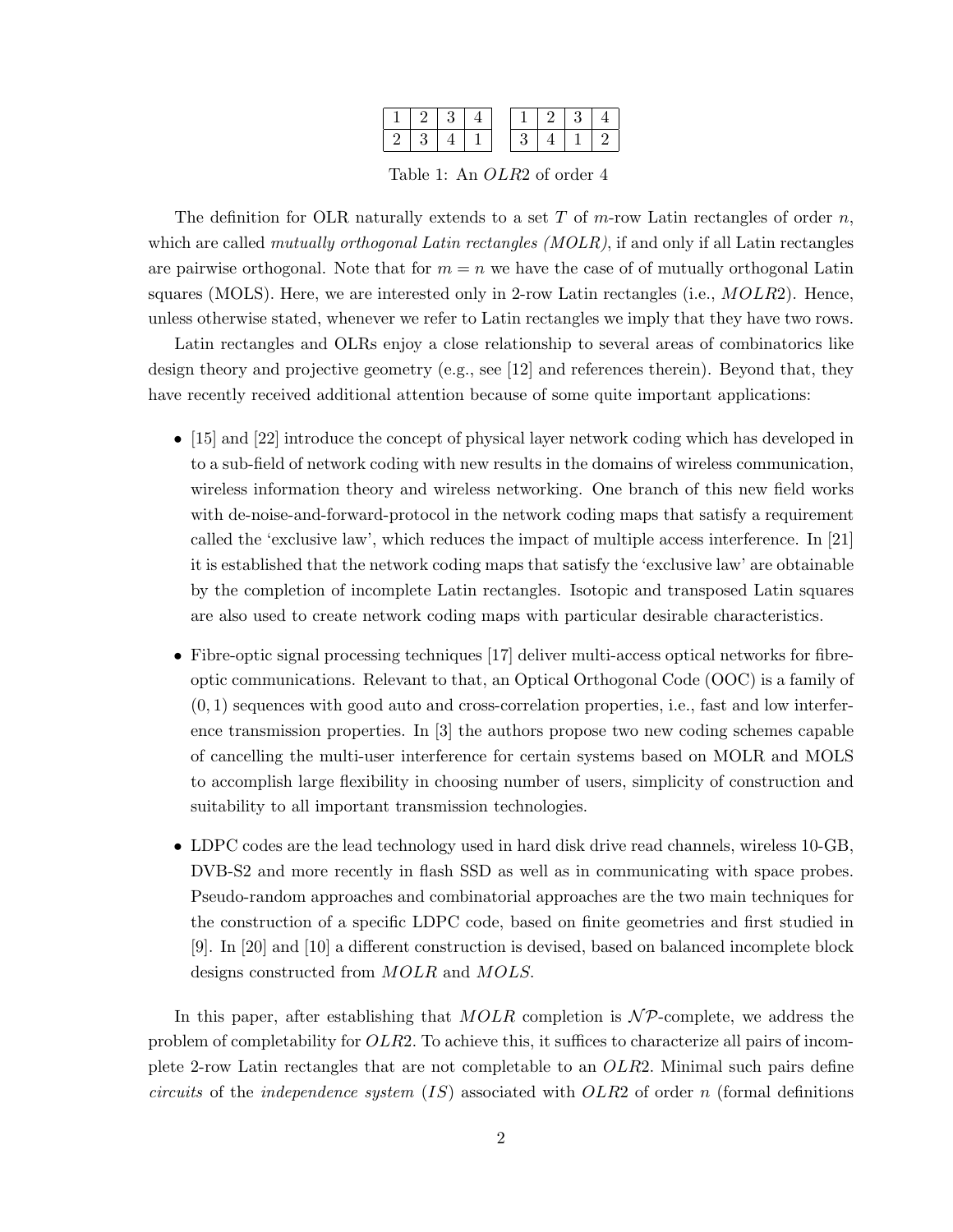Table 1: An OLR2 of order 4

The definition for OLR naturally extends to a set T of m-row Latin rectangles of order  $n$ , which are called *mutually orthogonal Latin rectangles (MOLR)*, if and only if all Latin rectangles are pairwise orthogonal. Note that for  $m = n$  we have the case of of mutually orthogonal Latin squares (MOLS). Here, we are interested only in 2-row Latin rectangles (i.e., MOLR2). Hence, unless otherwise stated, whenever we refer to Latin rectangles we imply that they have two rows.

Latin rectangles and OLRs enjoy a close relationship to several areas of combinatorics like design theory and projective geometry (e.g., see [12] and references therein). Beyond that, they have recently received additional attention because of some quite important applications:

- [15] and [22] introduce the concept of physical layer network coding which has developed in to a sub-field of network coding with new results in the domains of wireless communication, wireless information theory and wireless networking. One branch of this new field works with de-noise-and-forward-protocol in the network coding maps that satisfy a requirement called the 'exclusive law', which reduces the impact of multiple access interference. In [21] it is established that the network coding maps that satisfy the 'exclusive law' are obtainable by the completion of incomplete Latin rectangles. Isotopic and transposed Latin squares are also used to create network coding maps with particular desirable characteristics.
- Fibre-optic signal processing techniques [17] deliver multi-access optical networks for fibreoptic communications. Relevant to that, an Optical Orthogonal Code (OOC) is a family of  $(0, 1)$  sequences with good auto and cross-correlation properties, i.e., fast and low interference transmission properties. In [3] the authors propose two new coding schemes capable of cancelling the multi-user interference for certain systems based on MOLR and MOLS to accomplish large flexibility in choosing number of users, simplicity of construction and suitability to all important transmission technologies.
- LDPC codes are the lead technology used in hard disk drive read channels, wireless 10-GB, DVB-S2 and more recently in flash SSD as well as in communicating with space probes. Pseudo-random approaches and combinatorial approaches are the two main techniques for the construction of a specific LDPC code, based on finite geometries and first studied in [9]. In [20] and [10] a different construction is devised, based on balanced incomplete block designs constructed from MOLR and MOLS.

In this paper, after establishing that  $MOLR$  completion is  $N\mathcal{P}$ -complete, we address the problem of completability for OLR2. To achieve this, it suffices to characterize all pairs of incomplete 2-row Latin rectangles that are not completable to an OLR2. Minimal such pairs define circuits of the independence system  $(IS)$  associated with  $OLR2$  of order n (formal definitions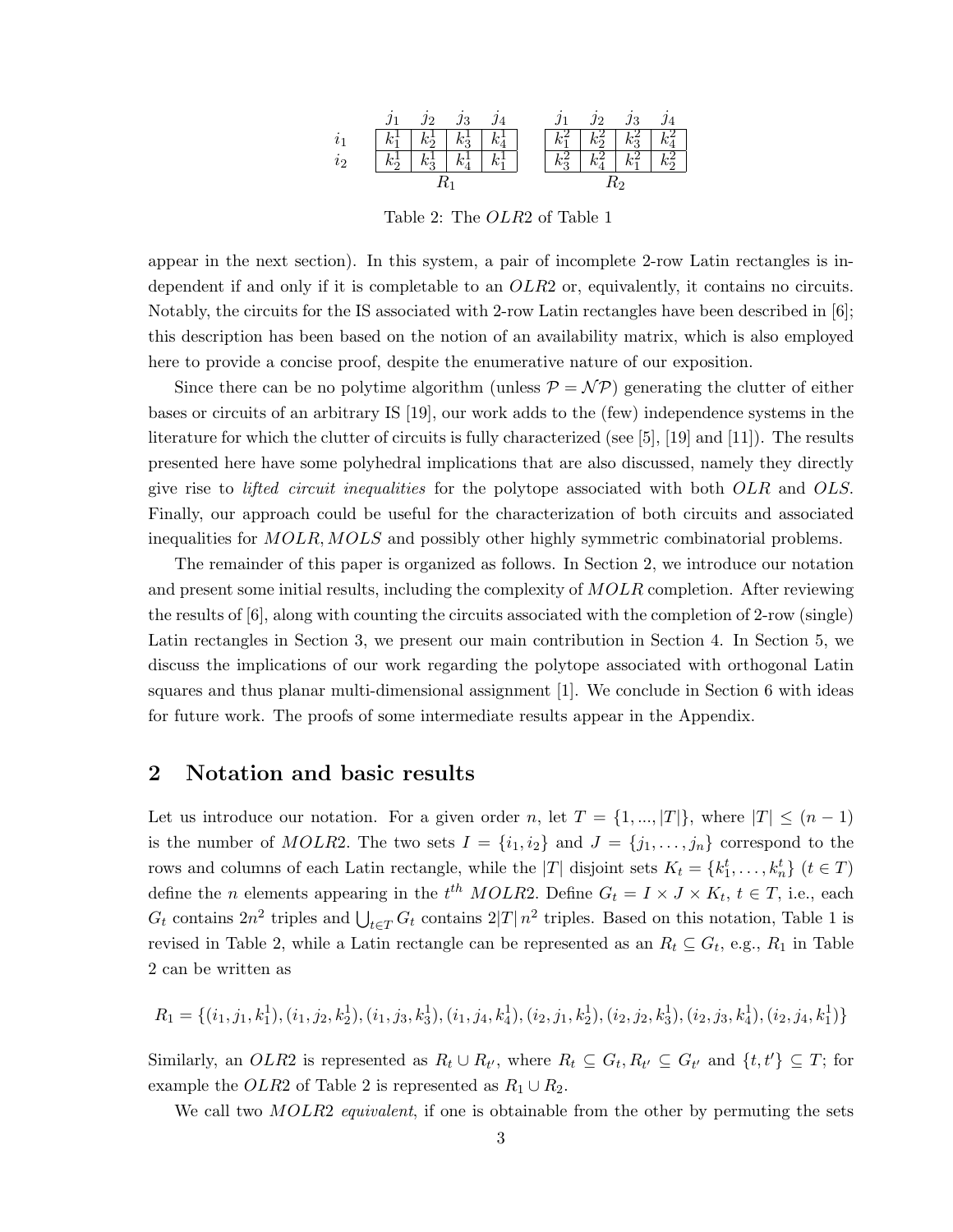|     |         | .12                           | $\jmath_3$ |         |         | .12                                | 13      |         |
|-----|---------|-------------------------------|------------|---------|---------|------------------------------------|---------|---------|
|     |         | $k_1^1 \mid k_2^1 \mid k_3^1$ |            | $k_4^1$ |         | $k_1^2 \mid k_2^2 \mid k_3^2 \mid$ |         | $k_4^2$ |
| U9. | $k_2^1$ | $k_3^1$                       | $k_4^1$    | $k_1^1$ | $k_3^2$ | $k_4^2$                            | $k_1^2$ | $k_2^2$ |
|     |         |                               |            |         |         |                                    |         |         |

Table 2: The OLR2 of Table 1

appear in the next section). In this system, a pair of incomplete 2-row Latin rectangles is independent if and only if it is completable to an OLR2 or, equivalently, it contains no circuits. Notably, the circuits for the IS associated with 2-row Latin rectangles have been described in [6]; this description has been based on the notion of an availability matrix, which is also employed here to provide a concise proof, despite the enumerative nature of our exposition.

Since there can be no polytime algorithm (unless  $\mathcal{P} = \mathcal{NP}$ ) generating the clutter of either bases or circuits of an arbitrary IS [19], our work adds to the (few) independence systems in the literature for which the clutter of circuits is fully characterized (see [5], [19] and [11]). The results presented here have some polyhedral implications that are also discussed, namely they directly give rise to *lifted circuit inequalities* for the polytope associated with both OLR and OLS. Finally, our approach could be useful for the characterization of both circuits and associated inequalities for MOLR, MOLS and possibly other highly symmetric combinatorial problems.

The remainder of this paper is organized as follows. In Section 2, we introduce our notation and present some initial results, including the complexity of  $MOLR$  completion. After reviewing the results of [6], along with counting the circuits associated with the completion of 2-row (single) Latin rectangles in Section 3, we present our main contribution in Section 4. In Section 5, we discuss the implications of our work regarding the polytope associated with orthogonal Latin squares and thus planar multi-dimensional assignment [1]. We conclude in Section 6 with ideas for future work. The proofs of some intermediate results appear in the Appendix.

# 2 Notation and basic results

Let us introduce our notation. For a given order n, let  $T = \{1, ..., |T|\}$ , where  $|T| \leq (n-1)$ is the number of MOLR2. The two sets  $I = \{i_1, i_2\}$  and  $J = \{j_1, \ldots, j_n\}$  correspond to the rows and columns of each Latin rectangle, while the |T| disjoint sets  $K_t = \{k_1^t, \ldots, k_n^t\}$   $(t \in T)$ define the *n* elements appearing in the  $t^{th}$  MOLR2. Define  $G_t = I \times J \times K_t$ ,  $t \in T$ , i.e., each  $G_t$  contains  $2n^2$  triples and  $\bigcup_{t\in T} G_t$  contains  $2|T|n^2$  triples. Based on this notation, Table 1 is revised in Table 2, while a Latin rectangle can be represented as an  $R_t \subseteq G_t$ , e.g.,  $R_1$  in Table 2 can be written as

$$
R_1 = \{(i_1, j_1, k_1^1), (i_1, j_2, k_2^1), (i_1, j_3, k_3^1), (i_1, j_4, k_4^1), (i_2, j_1, k_2^1), (i_2, j_2, k_3^1), (i_2, j_3, k_4^1), (i_2, j_4, k_1^1)\}
$$

Similarly, an OLR2 is represented as  $R_t \cup R_{t'}$ , where  $R_t \subseteq G_t, R_{t'} \subseteq G_{t'}$  and  $\{t, t'\} \subseteq T$ ; for example the OLR2 of Table 2 is represented as  $R_1 \cup R_2$ .

We call two *MOLR2 equivalent*, if one is obtainable from the other by permuting the sets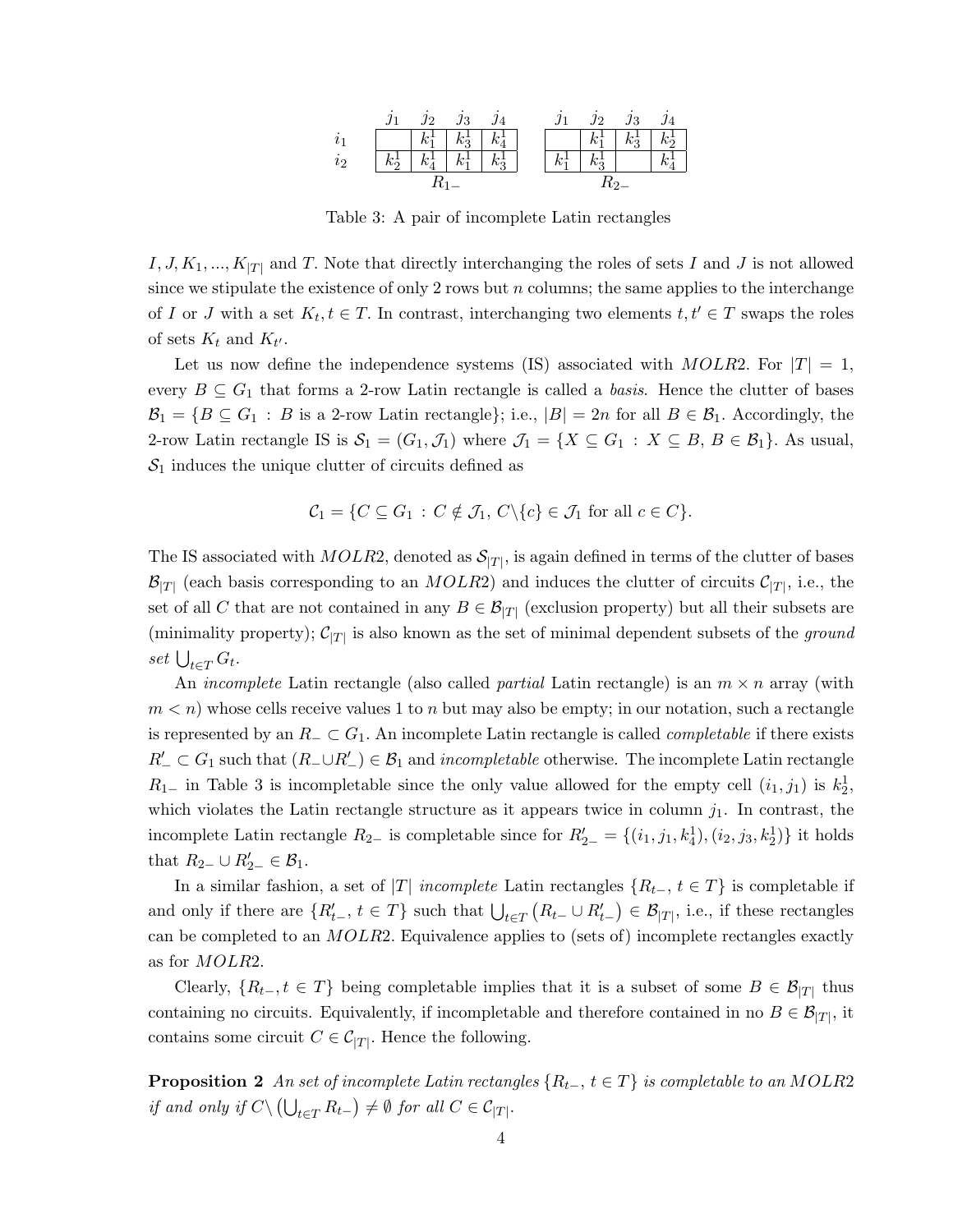

Table 3: A pair of incomplete Latin rectangles

 $I, J, K_1, ..., K_{|T|}$  and T. Note that directly interchanging the roles of sets I and J is not allowed since we stipulate the existence of only 2 rows but  $n$  columns; the same applies to the interchange of I or J with a set  $K_t, t \in T$ . In contrast, interchanging two elements  $t, t' \in T$  swaps the roles of sets  $K_t$  and  $K_{t'}$ .

Let us now define the independence systems (IS) associated with  $MOLR2$ . For  $|T| = 1$ , every  $B \subseteq G_1$  that forms a 2-row Latin rectangle is called a basis. Hence the clutter of bases  $\mathcal{B}_1 = \{B \subseteq G_1 : B \text{ is a 2-row Latin rectangle}\};\, \text{i.e., } |B| = 2n \text{ for all } B \in \mathcal{B}_1.$  Accordingly, the 2-row Latin rectangle IS is  $S_1 = (G_1, \mathcal{J}_1)$  where  $\mathcal{J}_1 = \{X \subseteq G_1 : X \subseteq B, B \in \mathcal{B}_1\}$ . As usual,  $S_1$  induces the unique clutter of circuits defined as

$$
\mathcal{C}_1 = \{ C \subseteq G_1 : C \notin \mathcal{J}_1, C \setminus \{c\} \in \mathcal{J}_1 \text{ for all } c \in C \}.
$$

The IS associated with  $MOLR2$ , denoted as  $\mathcal{S}_{|T|}$ , is again defined in terms of the clutter of bases  $\mathcal{B}_{|T|}$  (each basis corresponding to an *MOLR*2) and induces the clutter of circuits  $\mathcal{C}_{|T|}$ , i.e., the set of all C that are not contained in any  $B \in \mathcal{B}_{|T|}$  (exclusion property) but all their subsets are (minimality property);  $C_{|T|}$  is also known as the set of minimal dependent subsets of the ground set  $\bigcup_{t\in T} G_t$ .

An *incomplete* Latin rectangle (also called *partial* Latin rectangle) is an  $m \times n$  array (with  $m < n$ ) whose cells receive values 1 to n but may also be empty; in our notation, such a rectangle is represented by an  $R_$  ⊂  $G_1$ . An incomplete Latin rectangle is called *completable* if there exists  $R'_-\subset G_1$  such that  $(R_-\cup R'_-) \in \mathcal{B}_1$  and *incompletable* otherwise. The incomplete Latin rectangle  $R_{1-}$  in Table 3 is incompletable since the only value allowed for the empty cell  $(i_1, j_1)$  is  $k_2^1$ , which violates the Latin rectangle structure as it appears twice in column  $j_1$ . In contrast, the incomplete Latin rectangle  $R_{2-}$  is completable since for  $R'_{2-} = \{(i_1, j_1, k_4^1), (i_2, j_3, k_2^1)\}\$ it holds that  $R_{2-} \cup R'_{2-} \in \mathcal{B}_1$ .

In a similar fashion, a set of |T| incomplete Latin rectangles  $\{R_{t-}, t \in T\}$  is completable if and only if there are  $\{R'_{t-}, t \in T\}$  such that  $\bigcup_{t \in T} (R_{t-} \cup R'_{t-}) \in \mathcal{B}_{|T|}$ , i.e., if these rectangles can be completed to an MOLR2. Equivalence applies to (sets of) incomplete rectangles exactly as for MOLR2.

Clearly,  $\{R_{t-}, t \in T\}$  being completable implies that it is a subset of some  $B \in \mathcal{B}_{|T|}$  thus containing no circuits. Equivalently, if incompletable and therefore contained in no  $B \in \mathcal{B}_{|T|}$ , it contains some circuit  $C \in \mathcal{C}_{|T|}$ . Hence the following.

**Proposition 2** An set of incomplete Latin rectangles  $\{R_{t-}, t \in T\}$  is completable to an MOLR2 if and only if  $C \setminus (\bigcup_{t \in T} R_{t-}) \neq \emptyset$  for all  $C \in C_{|T|}$ .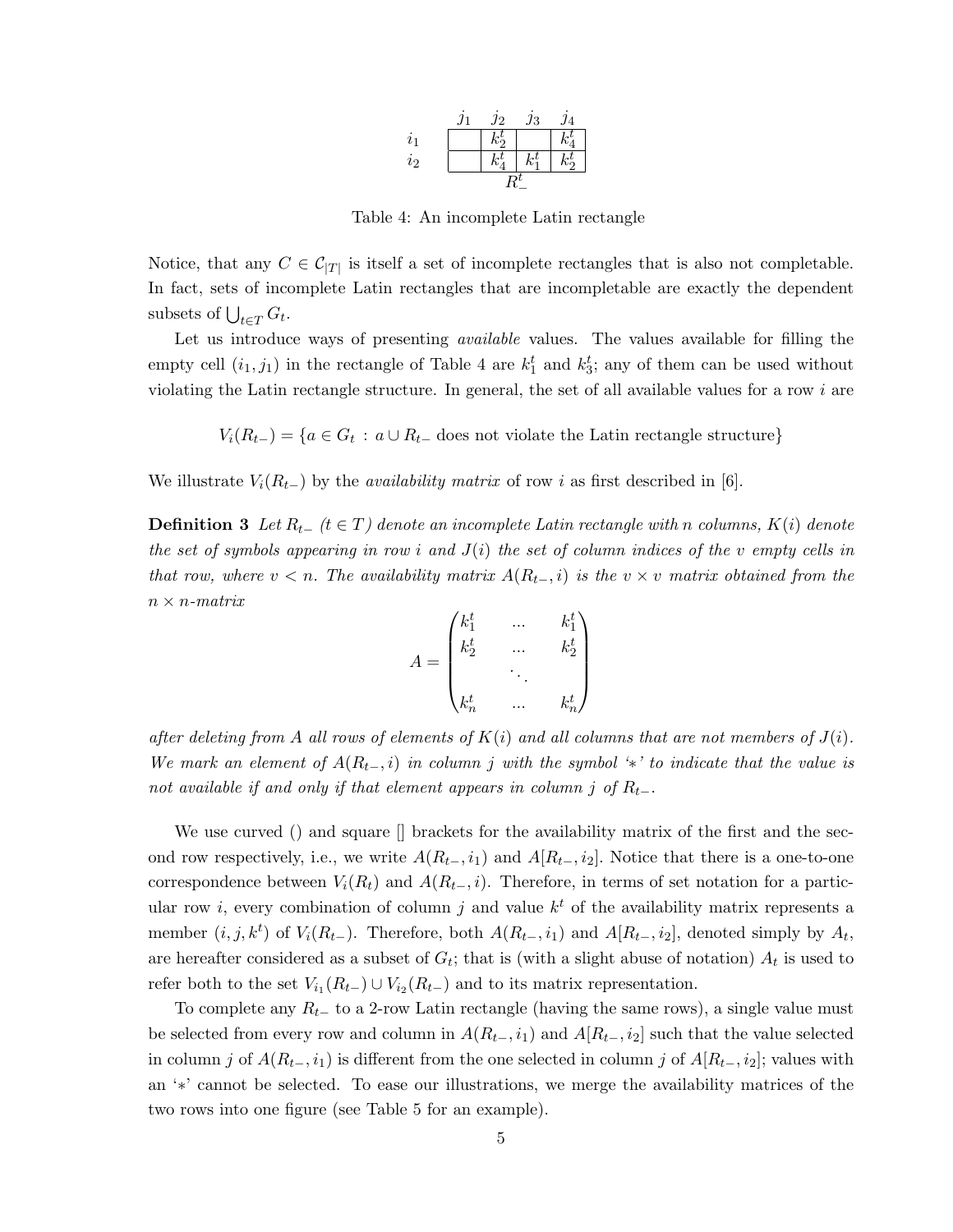

Table 4: An incomplete Latin rectangle

Notice, that any  $C \in \mathcal{C}_{|T|}$  is itself a set of incomplete rectangles that is also not completable. In fact, sets of incomplete Latin rectangles that are incompletable are exactly the dependent subsets of  $\bigcup_{t \in T} G_t$ .

Let us introduce ways of presenting *available* values. The values available for filling the empty cell  $(i_1, j_1)$  in the rectangle of Table 4 are  $k_1^t$  and  $k_3^t$ ; any of them can be used without violating the Latin rectangle structure. In general, the set of all available values for a row i are

 $V_i(R_{t-}) = \{a \in G_t : a \cup R_{t-} \text{ does not violate the Latin rectangle structure}\}\$ 

We illustrate  $V_i(R_{t-})$  by the *availability matrix* of row i as first described in [6].

**Definition 3** Let  $R_{t-}$  ( $t \in T$ ) denote an incomplete Latin rectangle with n columns,  $K(i)$  denote the set of symbols appearing in row i and  $J(i)$  the set of column indices of the v empty cells in that row, where  $v < n$ . The availability matrix  $A(R_{t-}, i)$  is the  $v \times v$  matrix obtained from the  $n \times n$ -matrix

$$
A = \begin{pmatrix} k_1^t & \dots & k_1^t \\ k_2^t & \dots & k_2^t \\ & \ddots & \\ k_n^t & \dots & k_n^t \end{pmatrix}
$$

after deleting from A all rows of elements of  $K(i)$  and all columns that are not members of  $J(i)$ . We mark an element of  $A(R_{t-}, i)$  in column j with the symbol '\*' to indicate that the value is not available if and only if that element appears in column j of  $R_{t-}$ .

We use curved () and square  $\parallel$  brackets for the availability matrix of the first and the second row respectively, i.e., we write  $A(R_{t-}, i_1)$  and  $A[R_{t-}, i_2]$ . Notice that there is a one-to-one correspondence between  $V_i(R_t)$  and  $A(R_{t-}, i)$ . Therefore, in terms of set notation for a particular row *i*, every combination of column *j* and value  $k<sup>t</sup>$  of the availability matrix represents a member  $(i, j, k^t)$  of  $V_i(R_{t-})$ . Therefore, both  $A(R_{t-}, i_1)$  and  $A[R_{t-}, i_2]$ , denoted simply by  $A_t$ , are hereafter considered as a subset of  $G_t$ ; that is (with a slight abuse of notation)  $A_t$  is used to refer both to the set  $V_{i_1}(R_{t-}) \cup V_{i_2}(R_{t-})$  and to its matrix representation.

To complete any  $R_{t-}$  to a 2-row Latin rectangle (having the same rows), a single value must be selected from every row and column in  $A(R_{t-}, i_1)$  and  $A[R_{t-}, i_2]$  such that the value selected in column j of  $A(R_{t-}, i_1)$  is different from the one selected in column j of  $A[R_{t-}, i_2]$ ; values with an '∗' cannot be selected. To ease our illustrations, we merge the availability matrices of the two rows into one figure (see Table 5 for an example).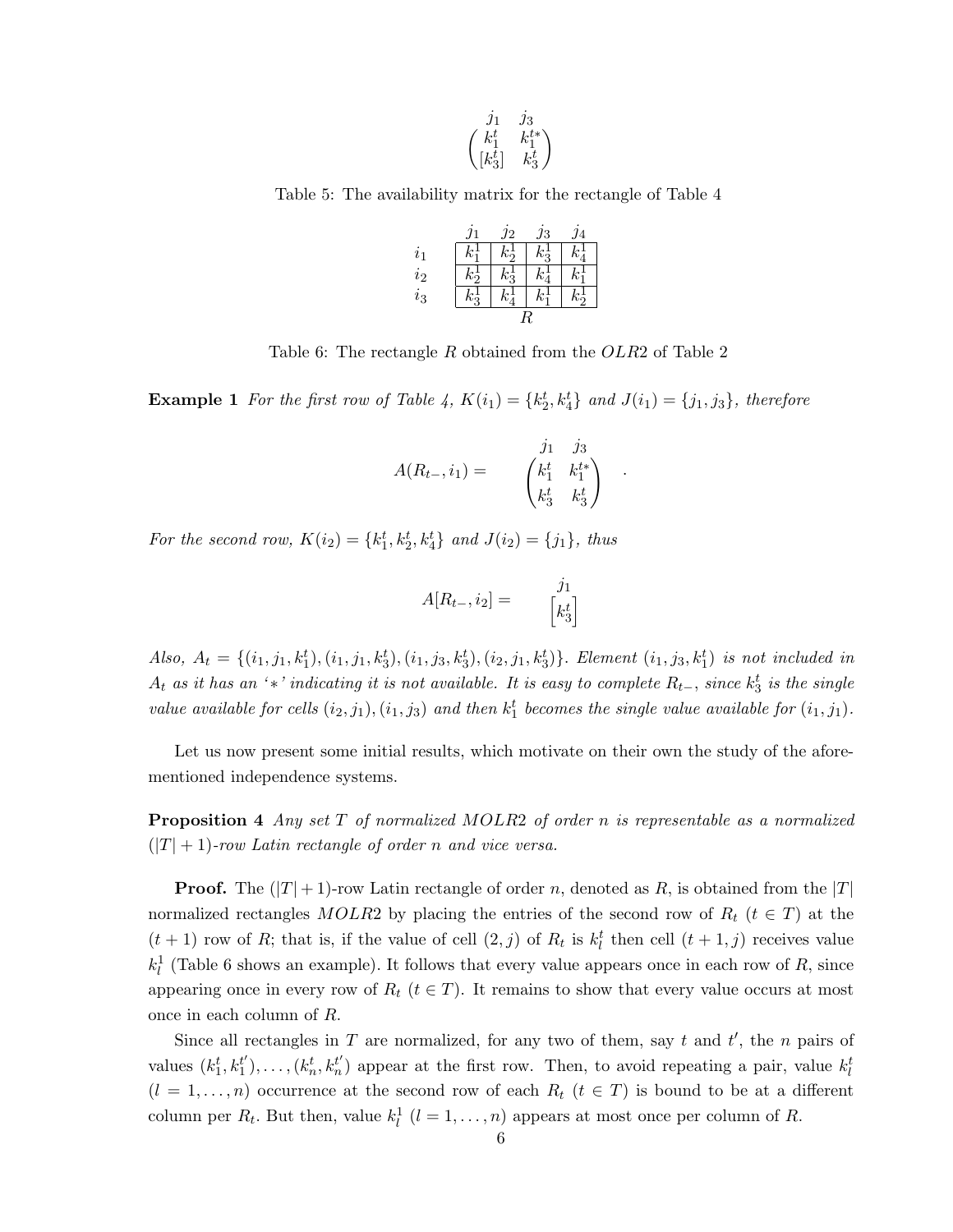$$
\begin{pmatrix}j_1&j_3\\k_1^t&k_1^{t*}\\[k_3^t]&k_3^t\end{pmatrix}
$$

Table 5: The availability matrix for the rectangle of Table 4

|                    | J1                           | $\jmath_2$        | ЈЗ        | 14 |
|--------------------|------------------------------|-------------------|-----------|----|
| $\scriptstyle i_1$ |                              | $\mathcal{L}_{2}$ | $\vec{v}$ |    |
| $\it i_2$          | $\mathcal{L}^{\pm}_{\Omega}$ |                   |           |    |
| $i_3$              |                              |                   |           |    |
|                    |                              |                   | R         |    |

Table 6: The rectangle R obtained from the OLR2 of Table 2

**Example 1** For the first row of Table 4,  $K(i_1) = \{k_2^t, k_4^t\}$  and  $J(i_1) = \{j_1, j_3\}$ , therefore

$$
A(R_{t-}, i_1) = \begin{pmatrix} j_1 & j_3 \\ k_1^t & k_1^{t*} \\ k_3^t & k_3^t \end{pmatrix} .
$$

For the second row,  $K(i_2) = \{k_1^t, k_2^t, k_4^t\}$  and  $J(i_2) = \{j_1\}$ , thus

$$
A[R_{t-}, i_2] = \begin{bmatrix} j_1 \\ k_3^t \end{bmatrix}
$$

Also,  $A_t = \{(i_1, j_1, k_1^t), (i_1, j_1, k_3^t), (i_1, j_3, k_3^t), (i_2, j_1, k_3^t)\}$ . Element  $(i_1, j_3, k_1^t)$  is not included in  $A_t$  as it has an '\*' indicating it is not available. It is easy to complete  $R_{t-}$ , since  $k_3^t$  is the single value available for cells  $(i_2, j_1), (i_1, j_3)$  and then  $k_1^t$  becomes the single value available for  $(i_1, j_1)$ .

Let us now present some initial results, which motivate on their own the study of the aforementioned independence systems.

**Proposition 4** Any set T of normalized MOLR2 of order n is representable as a normalized  $(|T|+1)$ -row Latin rectangle of order n and vice versa.

**Proof.** The  $(|T|+1)$ -row Latin rectangle of order n, denoted as R, is obtained from the  $|T|$ normalized rectangles MOLR2 by placing the entries of the second row of  $R_t$  ( $t \in T$ ) at the  $(t+1)$  row of R; that is, if the value of cell  $(2, j)$  of  $R_t$  is  $k_l^t$  then cell  $(t+1, j)$  receives value  $k_l^1$  (Table 6 shows an example). It follows that every value appears once in each row of R, since appearing once in every row of  $R_t$  ( $t \in T$ ). It remains to show that every value occurs at most once in each column of R.

Since all rectangles in T are normalized, for any two of them, say t and  $t'$ , the n pairs of values  $(k_1^t, k_1^{t'}$  $t'_{1}$ ,...,  $(k'_{n}, k'_{n})$  appear at the first row. Then, to avoid repeating a pair, value  $k'_{l}$  $(l = 1, \ldots, n)$  occurrence at the second row of each  $R_t$   $(t \in T)$  is bound to be at a different column per  $R_t$ . But then, value  $k_l^1$   $(l = 1, ..., n)$  appears at most once per column of R.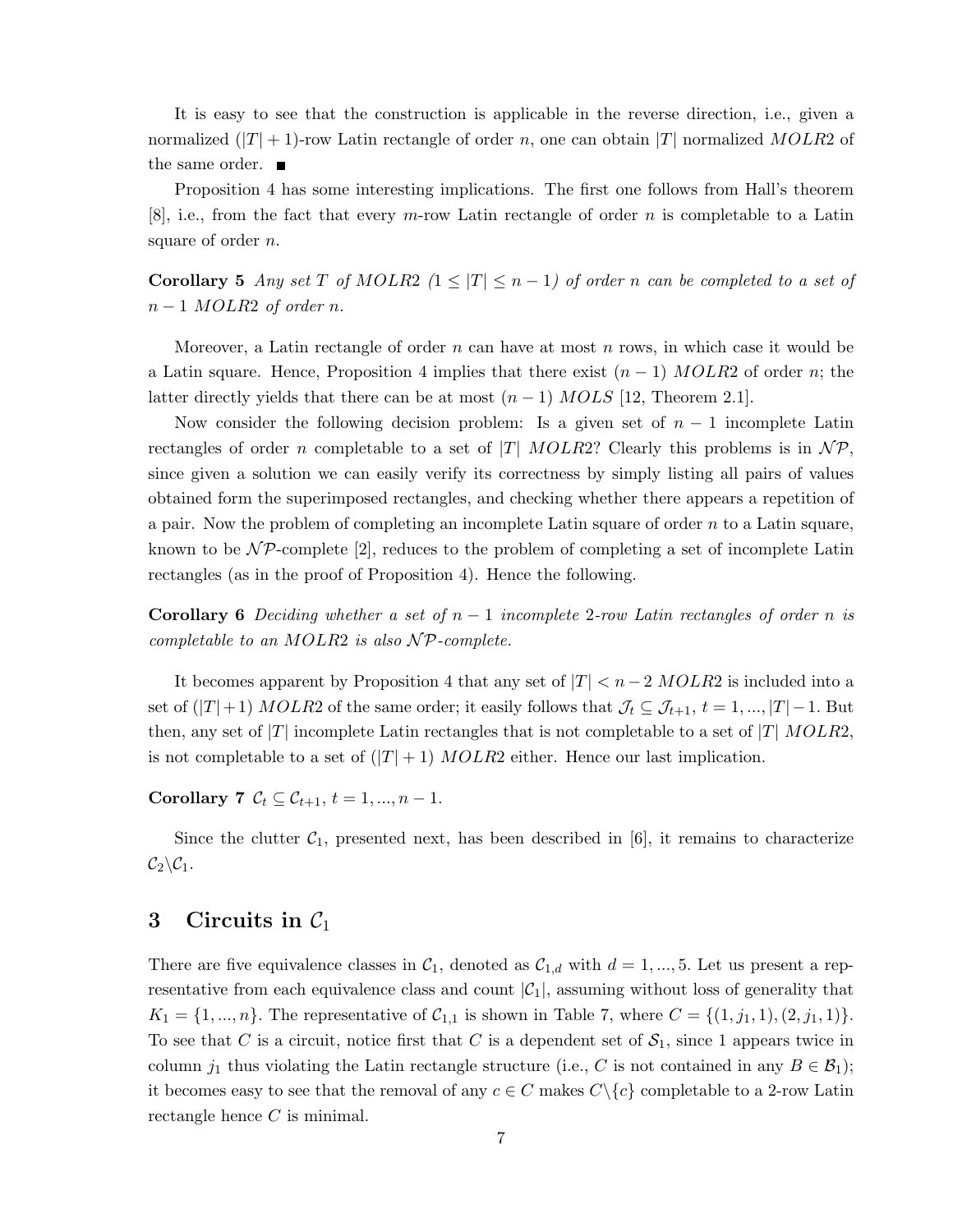It is easy to see that the construction is applicable in the reverse direction, i.e., given a normalized  $(|T|+1)$ -row Latin rectangle of order n, one can obtain  $|T|$  normalized MOLR2 of the same order.

Proposition 4 has some interesting implications. The first one follows from Hall's theorem  $[8]$ , i.e., from the fact that every m-row Latin rectangle of order n is completable to a Latin square of order *n*.

Corollary 5 Any set T of MOLR2  $(1 \leq |T| \leq n-1)$  of order n can be completed to a set of  $n-1$  MOLR2 of order n.

Moreover, a Latin rectangle of order n can have at most n rows, in which case it would be a Latin square. Hence, Proposition 4 implies that there exist  $(n-1)$  MOLR2 of order n; the latter directly yields that there can be at most  $(n-1)$  MOLS [12, Theorem 2.1].

Now consider the following decision problem: Is a given set of  $n-1$  incomplete Latin rectangles of order n completable to a set of |T| MOLR2? Clearly this problems is in  $\mathcal{NP}$ , since given a solution we can easily verify its correctness by simply listing all pairs of values obtained form the superimposed rectangles, and checking whether there appears a repetition of a pair. Now the problem of completing an incomplete Latin square of order  $n$  to a Latin square, known to be  $\mathcal{NP}$ -complete [2], reduces to the problem of completing a set of incomplete Latin rectangles (as in the proof of Proposition 4). Hence the following.

**Corollary 6** Deciding whether a set of  $n-1$  incomplete 2-row Latin rectangles of order n is completable to an MOLR2 is also  $\mathcal{NP}$ -complete.

It becomes apparent by Proposition 4 that any set of  $|T| < n-2 MOLR2$  is included into a set of  $(|T|+1)$  MOLR2 of the same order; it easily follows that  $\mathcal{J}_t \subseteq \mathcal{J}_{t+1}, t = 1, ..., |T|-1$ . But then, any set of  $|T|$  incomplete Latin rectangles that is not completable to a set of  $|T|$  MOLR2, is not completable to a set of  $(|T| + 1)$  MOLR2 either. Hence our last implication.

Corollary 7  $C_t \subseteq C_{t+1}, t = 1, ..., n - 1.$ 

Since the clutter  $C_1$ , presented next, has been described in [6], it remains to characterize  $C_2 \backslash C_1$ .

# 3 Circuits in  $C_1$

There are five equivalence classes in  $C_1$ , denoted as  $C_{1,d}$  with  $d = 1, ..., 5$ . Let us present a representative from each equivalence class and count  $|\mathcal{C}_1|$ , assuming without loss of generality that  $K_1 = \{1, ..., n\}$ . The representative of  $C_{1,1}$  is shown in Table 7, where  $C = \{(1, j_1, 1), (2, j_1, 1)\}.$ To see that C is a circuit, notice first that C is a dependent set of  $S_1$ , since 1 appears twice in column  $j_1$  thus violating the Latin rectangle structure (i.e., C is not contained in any  $B \in \mathcal{B}_1$ ); it becomes easy to see that the removal of any  $c \in C$  makes  $C \setminus \{c\}$  completable to a 2-row Latin rectangle hence C is minimal.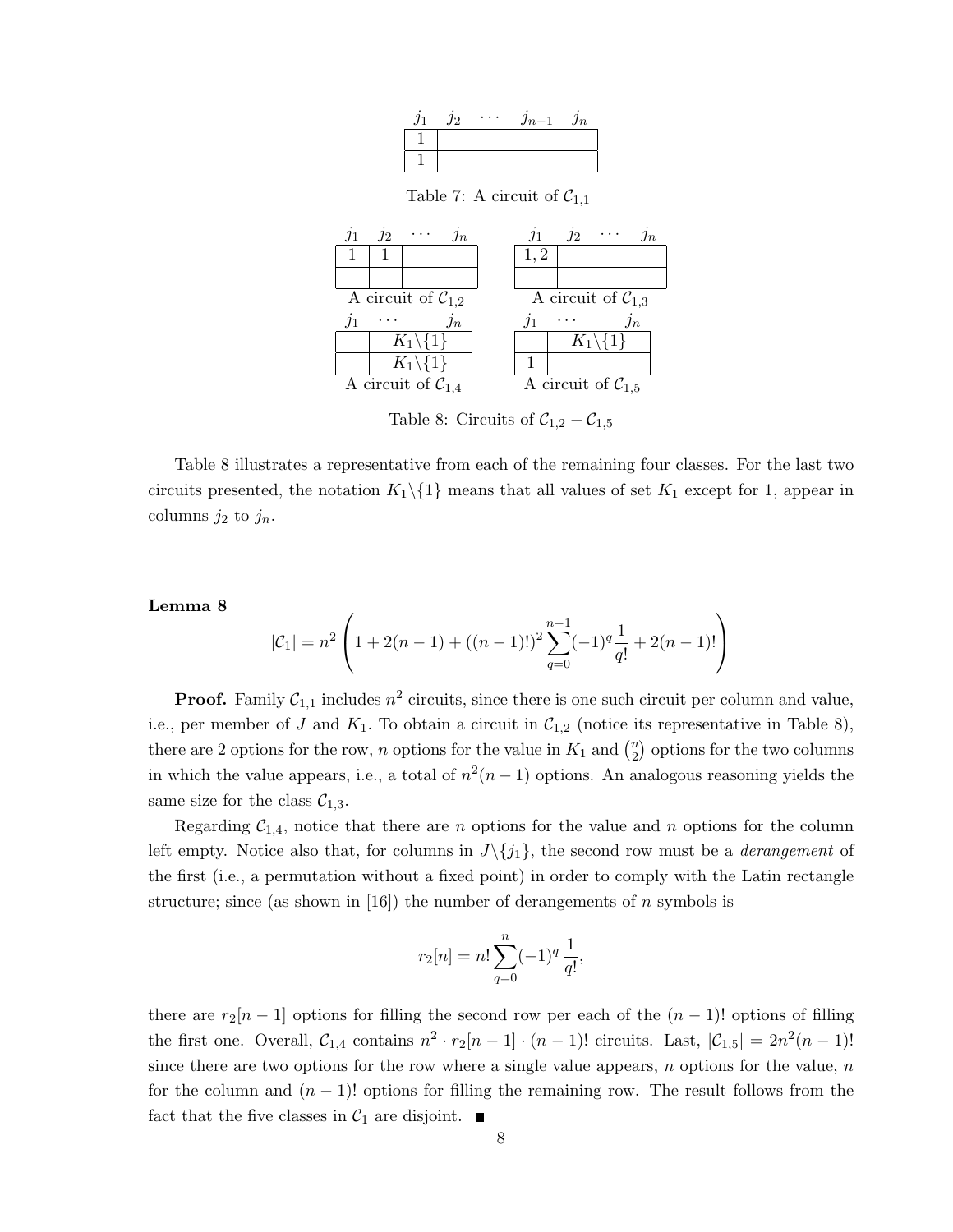| Ј2 | $\overline{\phantom{a}}$ | $Jn-$ | Jn |
|----|--------------------------|-------|----|
|    |                          |       |    |
|    |                          |       |    |

Table 7: A circuit of  $C_{1,1}$ 



Table 8: Circuits of  $C_{1,2} - C_{1,5}$ 

Table 8 illustrates a representative from each of the remaining four classes. For the last two circuits presented, the notation  $K_1 \setminus \{1\}$  means that all values of set  $K_1$  except for 1, appear in columns  $j_2$  to  $j_n$ .

#### Lemma 8

$$
|\mathcal{C}_1| = n^2 \left( 1 + 2(n-1) + ((n-1)!)^2 \sum_{q=0}^{n-1} (-1)^q \frac{1}{q!} + 2(n-1)! \right)
$$

**Proof.** Family  $C_{1,1}$  includes  $n^2$  circuits, since there is one such circuit per column and value, i.e., per member of J and  $K_1$ . To obtain a circuit in  $C_{1,2}$  (notice its representative in Table 8), there are 2 options for the row, n options for the value in  $K_1$  and  $\binom{n}{2}$  $\binom{n}{2}$  options for the two columns in which the value appears, i.e., a total of  $n^2(n-1)$  options. An analogous reasoning yields the same size for the class  $C_{1,3}$ .

Regarding  $C_{1,4}$ , notice that there are *n* options for the value and *n* options for the column left empty. Notice also that, for columns in  $J\setminus\{j_1\}$ , the second row must be a *derangement* of the first (i.e., a permutation without a fixed point) in order to comply with the Latin rectangle structure; since (as shown in [16]) the number of derangements of n symbols is

$$
r_2[n] = n! \sum_{q=0}^{n} (-1)^q \frac{1}{q!},
$$

there are  $r_2[n-1]$  options for filling the second row per each of the  $(n-1)!$  options of filling the first one. Overall,  $C_{1,4}$  contains  $n^2 \cdot r_2[n-1] \cdot (n-1)!$  circuits. Last,  $|C_{1,5}| = 2n^2(n-1)!$ since there are two options for the row where a single value appears,  $n$  options for the value,  $n$ for the column and  $(n - 1)!$  options for filling the remaining row. The result follows from the fact that the five classes in  $C_1$  are disjoint.  $\blacksquare$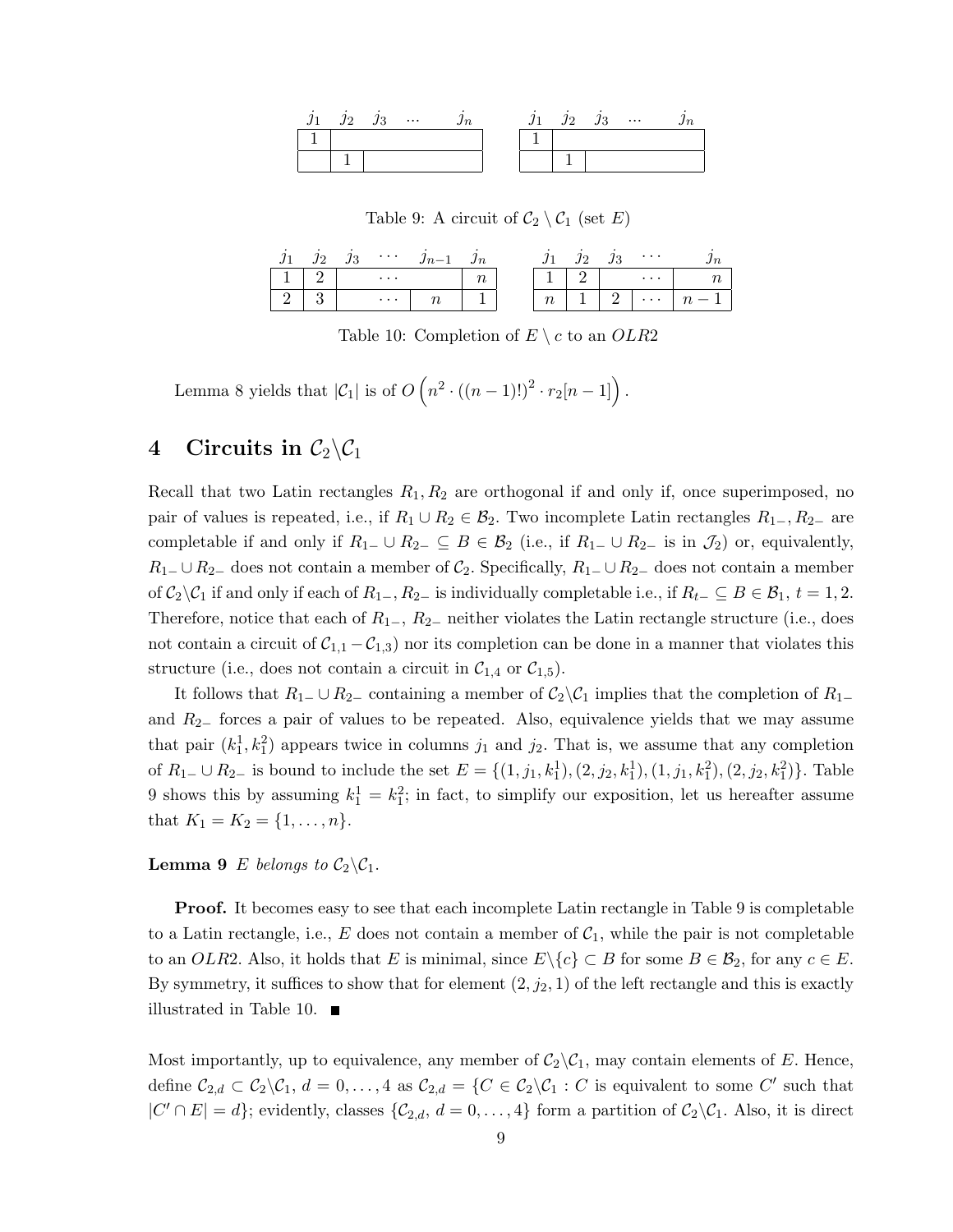|  | $\cdots$ |  |  | $\cdots$ |  |
|--|----------|--|--|----------|--|
|  |          |  |  |          |  |
|  |          |  |  |          |  |

Table 9: A circuit of  $C_2 \setminus C_1$  (set E)

|  | $\cdots$ |        |                           |  | $\cdots$ |  |
|--|----------|--------|---------------------------|--|----------|--|
|  | $\cdots$ | $\sim$ |                           |  | $\cdots$ |  |
|  | $\cdots$ |        | $\sim$<br>$\cdot$ $\cdot$ |  | $\cdots$ |  |

Table 10: Completion of  $E \setminus c$  to an  $OLR2$ 

Lemma 8 yields that  $|\mathcal{C}_1|$  is of  $O(n^2 \cdot ((n-1)!)^2 \cdot r_2[n-1])$ .

# 4 Circuits in  $C_2 \backslash C_1$

Recall that two Latin rectangles  $R_1, R_2$  are orthogonal if and only if, once superimposed, no pair of values is repeated, i.e., if  $R_1 \cup R_2 \in \mathcal{B}_2$ . Two incomplete Latin rectangles  $R_{1-}, R_{2-}$  are completable if and only if  $R_{1-} \cup R_{2-} \subseteq B \in \mathcal{B}_2$  (i.e., if  $R_{1-} \cup R_{2-}$  is in  $\mathcal{J}_2$ ) or, equivalently,  $R_1$ – ∪  $R_2$ – does not contain a member of  $C_2$ . Specifically,  $R_1$ – ∪  $R_2$ – does not contain a member of  $C_2\setminus C_1$  if and only if each of  $R_{1-}$ ,  $R_{2-}$  is individually completable i.e., if  $R_{t-} \subseteq B \in \mathcal{B}_1$ ,  $t = 1, 2$ . Therefore, notice that each of  $R_{1-}$ ,  $R_{2-}$  neither violates the Latin rectangle structure (i.e., does not contain a circuit of  $C_{1,1} - C_{1,3}$  nor its completion can be done in a manner that violates this structure (i.e., does not contain a circuit in  $C_{1,4}$  or  $C_{1,5}$ ).

It follows that  $R_1$ – ∪  $R_2$ – containing a member of  $C_2 \setminus C_1$  implies that the completion of  $R_1$ – and R2<sup>−</sup> forces a pair of values to be repeated. Also, equivalence yields that we may assume that pair  $(k_1^1, k_1^2)$  appears twice in columns  $j_1$  and  $j_2$ . That is, we assume that any completion of  $R_{1-} \cup R_{2-}$  is bound to include the set  $E = \{(1, j_1, k_1^1), (2, j_2, k_1^1), (1, j_1, k_1^2), (2, j_2, k_1^2)\}$ . Table 9 shows this by assuming  $k_1^1 = k_1^2$ ; in fact, to simplify our exposition, let us hereafter assume that  $K_1 = K_2 = \{1, \ldots, n\}.$ 

**Lemma 9** E belongs to  $C_2 \backslash C_1$ .

Proof. It becomes easy to see that each incomplete Latin rectangle in Table 9 is completable to a Latin rectangle, i.e., E does not contain a member of  $C_1$ , while the pair is not completable to an OLR2. Also, it holds that E is minimal, since  $E \setminus \{c\} \subset B$  for some  $B \in \mathcal{B}_2$ , for any  $c \in E$ . By symmetry, it suffices to show that for element  $(2, j_2, 1)$  of the left rectangle and this is exactly illustrated in Table 10.  $\blacksquare$ 

Most importantly, up to equivalence, any member of  $C_2\setminus C_1$ , may contain elements of E. Hence, define  $C_{2,d} \subset C_2 \backslash C_1$ ,  $d = 0, \ldots, 4$  as  $C_{2,d} = \{ C \in C_2 \backslash C_1 : C$  is equivalent to some C' such that  $|C' \cap E| = d$ ; evidently, classes  $\{\mathcal{C}_{2,d}, d = 0, \ldots, 4\}$  form a partition of  $\mathcal{C}_2 \backslash \mathcal{C}_1$ . Also, it is direct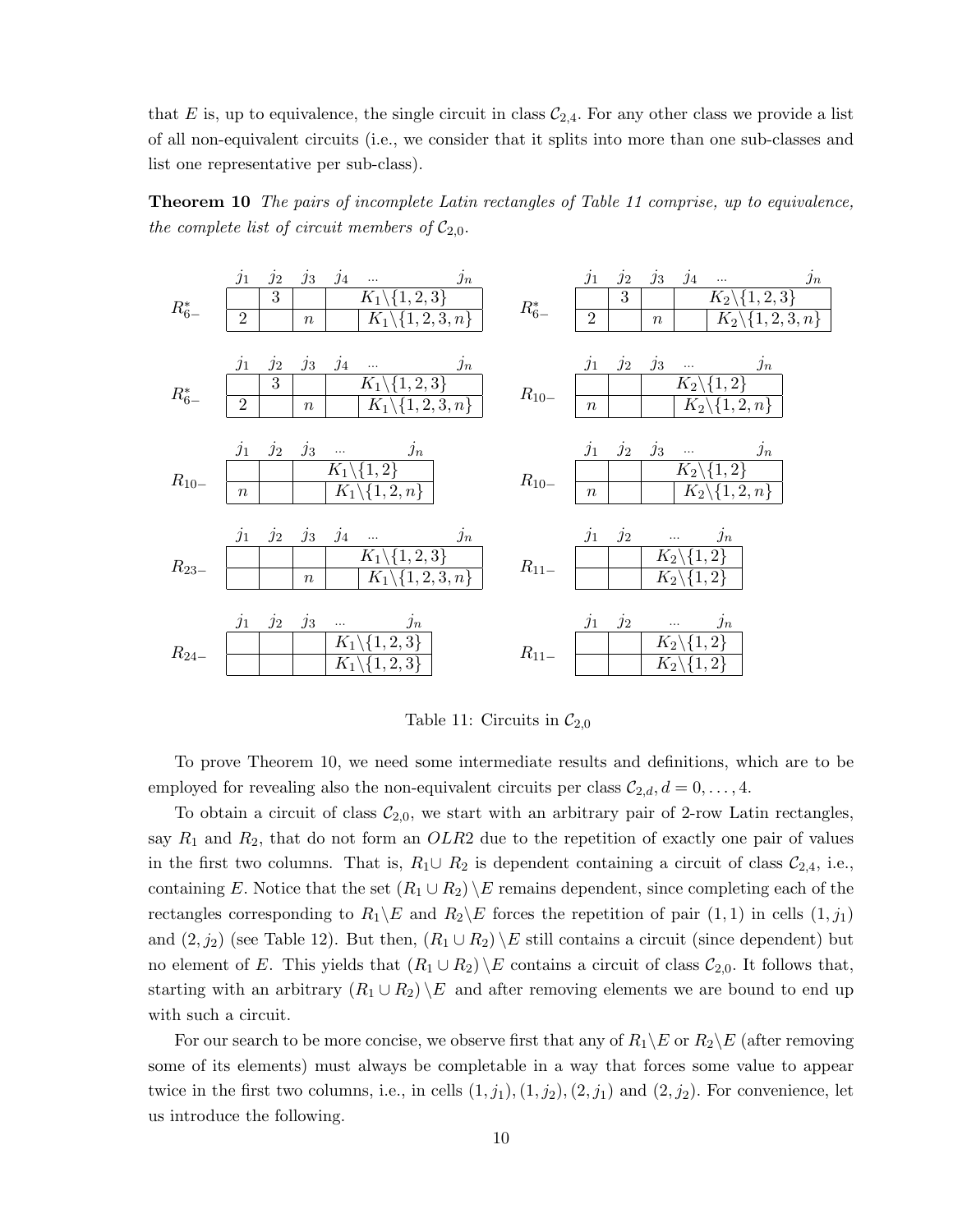that E is, up to equivalence, the single circuit in class  $C_{2,4}$ . For any other class we provide a list of all non-equivalent circuits (i.e., we consider that it splits into more than one sub-classes and list one representative per sub-class).

Theorem 10 The pairs of incomplete Latin rectangles of Table 11 comprise, up to equivalence, the complete list of circuit members of  $C_{2,0}$ .



Table 11: Circuits in  $\mathcal{C}_{2,0}$ 

To prove Theorem 10, we need some intermediate results and definitions, which are to be employed for revealing also the non-equivalent circuits per class  $C_{2,d}$ ,  $d = 0, \ldots, 4$ .

To obtain a circuit of class  $C_{2,0}$ , we start with an arbitrary pair of 2-row Latin rectangles, say  $R_1$  and  $R_2$ , that do not form an  $OLR2$  due to the repetition of exactly one pair of values in the first two columns. That is,  $R_1 \cup R_2$  is dependent containing a circuit of class  $\mathcal{C}_{2,4}$ , i.e., containing E. Notice that the set  $(R_1 \cup R_2) \setminus E$  remains dependent, since completing each of the rectangles corresponding to  $R_1 \backslash E$  and  $R_2 \backslash E$  forces the repetition of pair  $(1, 1)$  in cells  $(1, j_1)$ and  $(2, j_2)$  (see Table 12). But then,  $(R_1 \cup R_2) \setminus E$  still contains a circuit (since dependent) but no element of E. This yields that  $(R_1 \cup R_2) \setminus E$  contains a circuit of class  $C_{2,0}$ . It follows that, starting with an arbitrary  $(R_1 \cup R_2) \setminus E$  and after removing elements we are bound to end up with such a circuit.

For our search to be more concise, we observe first that any of  $R_1 \backslash E$  or  $R_2 \backslash E$  (after removing some of its elements) must always be completable in a way that forces some value to appear twice in the first two columns, i.e., in cells  $(1, j_1), (1, j_2), (2, j_1)$  and  $(2, j_2)$ . For convenience, let us introduce the following.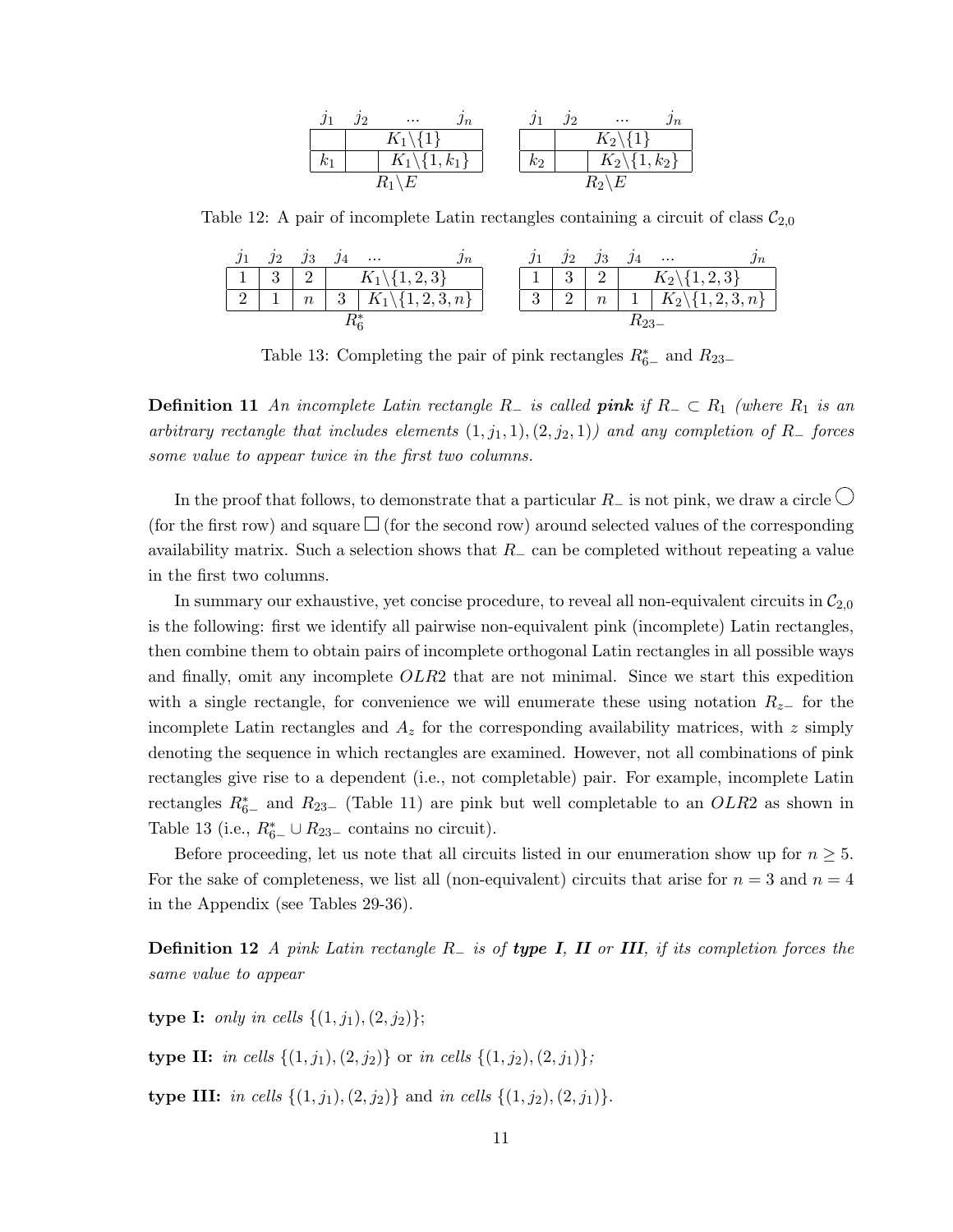|                | $\cdots$                    | Jn |       | $\cdots$                 |  |
|----------------|-----------------------------|----|-------|--------------------------|--|
|                | $K_1 \backslash \{1\}$      |    |       | $K_2\backslash\{1\}$     |  |
| k <sub>1</sub> | $K_1 \backslash \{1, k_1\}$ |    | $k_2$ | $K_2\backslash\{1,k_2\}$ |  |
|                |                             |    |       | $R_2$                    |  |

Table 12: A pair of incomplete Latin rectangles containing a circuit of class  $\mathcal{C}_{2,0}$ 

| $\beta_2$ $\beta_3$ |                     | $\cdots$ |                                          |  | 72 | $\jmath_3$ |                 | $\cdots$                   |
|---------------------|---------------------|----------|------------------------------------------|--|----|------------|-----------------|----------------------------|
| $-3$                | $2\perp$            |          | $K_1 \backslash \{1,2,3\}$               |  | 3  | $2 \mid$   |                 | $K_2 \backslash \{1,2,3\}$ |
|                     | $\lfloor n \rfloor$ |          | $\mid 3 \mid K_1 \backslash \{1,2,3,n\}$ |  |    |            | $n \mid 1 \mid$ | $K_2\backslash\{1,2,3,n\}$ |
|                     |                     |          |                                          |  |    |            |                 |                            |

Table 13: Completing the pair of pink rectangles  $R_{6-}^*$  and  $R_{23-}$ 

**Definition 11** An incomplete Latin rectangle R<sub>−</sub> is called **pink** if  $R_$  ⊂  $R_1$  (where  $R_1$  is an arbitrary rectangle that includes elements  $(1, j_1, 1), (2, j_2, 1)$  and any completion of R<sub>−</sub> forces some value to appear twice in the first two columns.

In the proof that follows, to demonstrate that a particular  $R_-\text{ is not pink, we draw a circle }\bigcirc$ (for the first row) and square  $\Box$  (for the second row) around selected values of the corresponding availability matrix. Such a selection shows that  $R_-\text{ can be completed without repeating a value}$ in the first two columns.

In summary our exhaustive, yet concise procedure, to reveal all non-equivalent circuits in  $C_{2,0}$ is the following: first we identify all pairwise non-equivalent pink (incomplete) Latin rectangles, then combine them to obtain pairs of incomplete orthogonal Latin rectangles in all possible ways and finally, omit any incomplete OLR2 that are not minimal. Since we start this expedition with a single rectangle, for convenience we will enumerate these using notation  $R_{z-}$  for the incomplete Latin rectangles and  $A<sub>z</sub>$  for the corresponding availability matrices, with z simply denoting the sequence in which rectangles are examined. However, not all combinations of pink rectangles give rise to a dependent (i.e., not completable) pair. For example, incomplete Latin rectangles  $R_{6-}^*$  and  $R_{23-}$  (Table 11) are pink but well completable to an  $OLR2$  as shown in Table 13 (i.e.,  $R_{6-}^* \cup R_{23-}$  contains no circuit).

Before proceeding, let us note that all circuits listed in our enumeration show up for  $n \geq 5$ . For the sake of completeness, we list all (non-equivalent) circuits that arise for  $n = 3$  and  $n = 4$ in the Appendix (see Tables 29-36).

**Definition 12** A pink Latin rectangle  $R_$  is of type I, II or III, if its completion forces the same value to appear

type I: *only in cells*  $\{(1, j_1), (2, j_2)\};$ 

type II: in cells  $\{(1, j_1), (2, j_2)\}$  or in cells  $\{(1, j_2), (2, j_1)\}$ ;

type III: in cells  $\{(1, j_1), (2, j_2)\}$  and in cells  $\{(1, j_2), (2, j_1)\}.$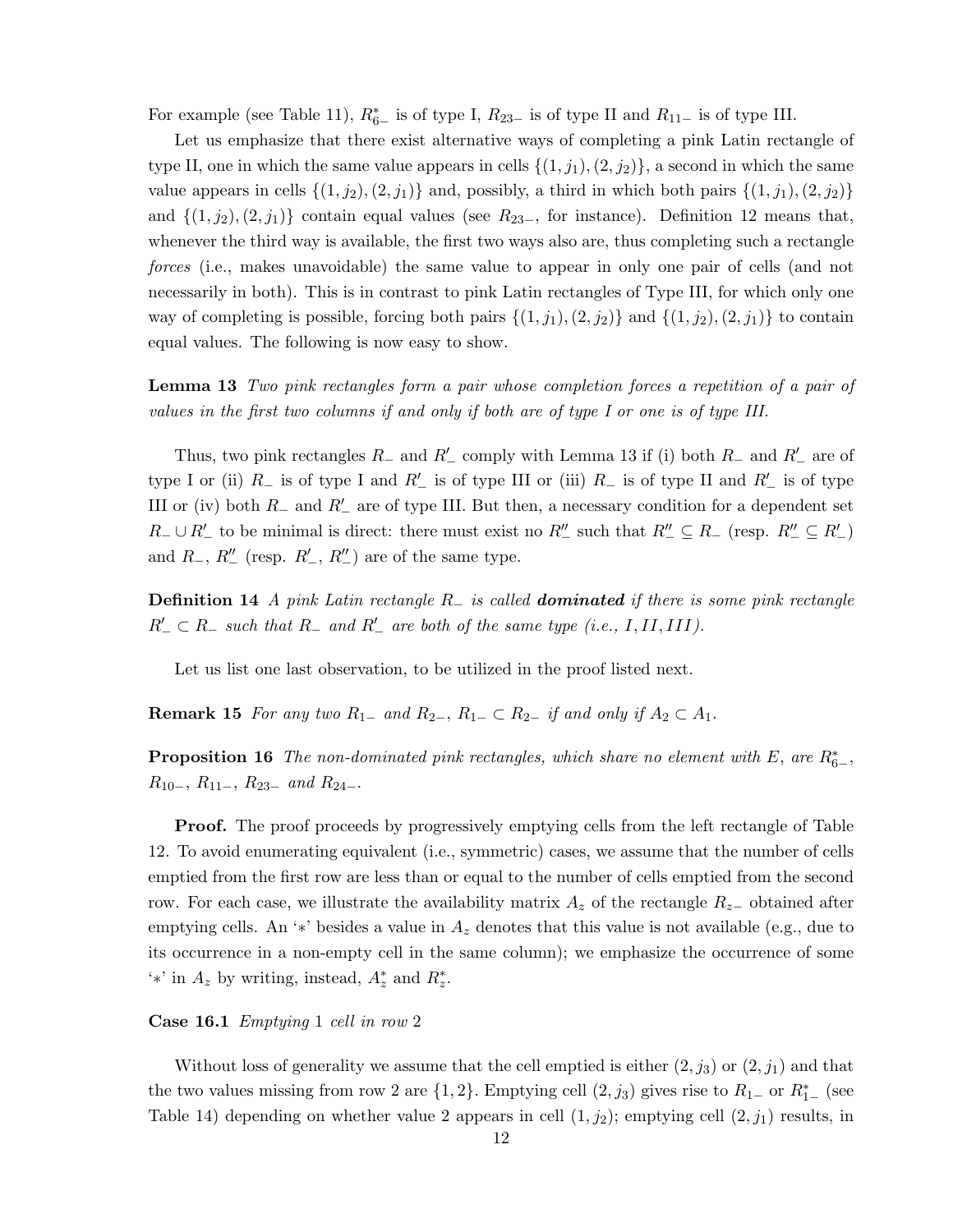For example (see Table 11),  $R^*_{6-}$  is of type I,  $R_{23-}$  is of type II and  $R_{11-}$  is of type III.

Let us emphasize that there exist alternative ways of completing a pink Latin rectangle of type II, one in which the same value appears in cells  $\{(1, j_1), (2, j_2)\}\$ , a second in which the same value appears in cells  $\{(1, j_2), (2, j_1)\}\$  and, possibly, a third in which both pairs  $\{(1, j_1), (2, j_2)\}\$ and  $\{(1, j_2), (2, j_1)\}\$ contain equal values (see  $R_{23-}$ , for instance). Definition 12 means that, whenever the third way is available, the first two ways also are, thus completing such a rectangle forces (i.e., makes unavoidable) the same value to appear in only one pair of cells (and not necessarily in both). This is in contrast to pink Latin rectangles of Type III, for which only one way of completing is possible, forcing both pairs  $\{(1, j_1), (2, j_2)\}\$  and  $\{(1, j_2), (2, j_1)\}\$  to contain equal values. The following is now easy to show.

Lemma 13 Two pink rectangles form a pair whose completion forces a repetition of a pair of values in the first two columns if and only if both are of type I or one is of type III.

Thus, two pink rectangles  $R_-\$  and  $R'_-\$  comply with Lemma 13 if (i) both  $R_-\$  and  $R'_-\$  are of type I or (ii)  $R_$  is of type I and  $R'_$  is of type III or (iii)  $R_$  is of type II and  $R'_$  is of type III or (iv) both  $R_-\$  and  $R'_-\$  are of type III. But then, a necessary condition for a dependent set  $R_-\cup R'_-$  to be minimal is direct: there must exist no  $R''_-$  such that  $R''_-\subseteq R_-$  (resp.  $R''_-\subseteq R'_-$ ) and  $R_-, R''_-$  (resp.  $R'_-, R''_-$ ) are of the same type.

**Definition 14** A pink Latin rectangle  $R_$  is called **dominated** if there is some pink rectangle  $R'_- \subset R_-$  such that  $R_-$  and  $R'_-$  are both of the same type (i.e., I, II, III).

Let us list one last observation, to be utilized in the proof listed next.

**Remark 15** For any two  $R_{1-}$  and  $R_{2-}$ ,  $R_{1-} \subset R_{2-}$  if and only if  $A_2 \subset A_1$ .

**Proposition 16** The non-dominated pink rectangles, which share no element with E, are  $R_{6-}^*$ ,  $R_{10-}$ ,  $R_{11-}$ ,  $R_{23-}$  and  $R_{24-}$ .

**Proof.** The proof proceeds by progressively emptying cells from the left rectangle of Table 12. To avoid enumerating equivalent (i.e., symmetric) cases, we assume that the number of cells emptied from the first row are less than or equal to the number of cells emptied from the second row. For each case, we illustrate the availability matrix  $A_z$  of the rectangle  $R_{z-}$  obtained after emptying cells. An '\*' besides a value in  $A_z$  denotes that this value is not available (e.g., due to its occurrence in a non-empty cell in the same column); we emphasize the occurrence of some <sup>'\*'</sup> in  $A_z$  by writing, instead,  $A_z^*$  and  $R_z^*$ .

#### Case 16.1 Emptying 1 cell in row 2

Without loss of generality we assume that the cell emptied is either  $(2, j_3)$  or  $(2, j_1)$  and that the two values missing from row 2 are  $\{1, 2\}$ . Emptying cell  $(2, j_3)$  gives rise to  $R_{1-}$  or  $R_{1-}^*$  (see Table 14) depending on whether value 2 appears in cell  $(1, j_2)$ ; emptying cell  $(2, j_1)$  results, in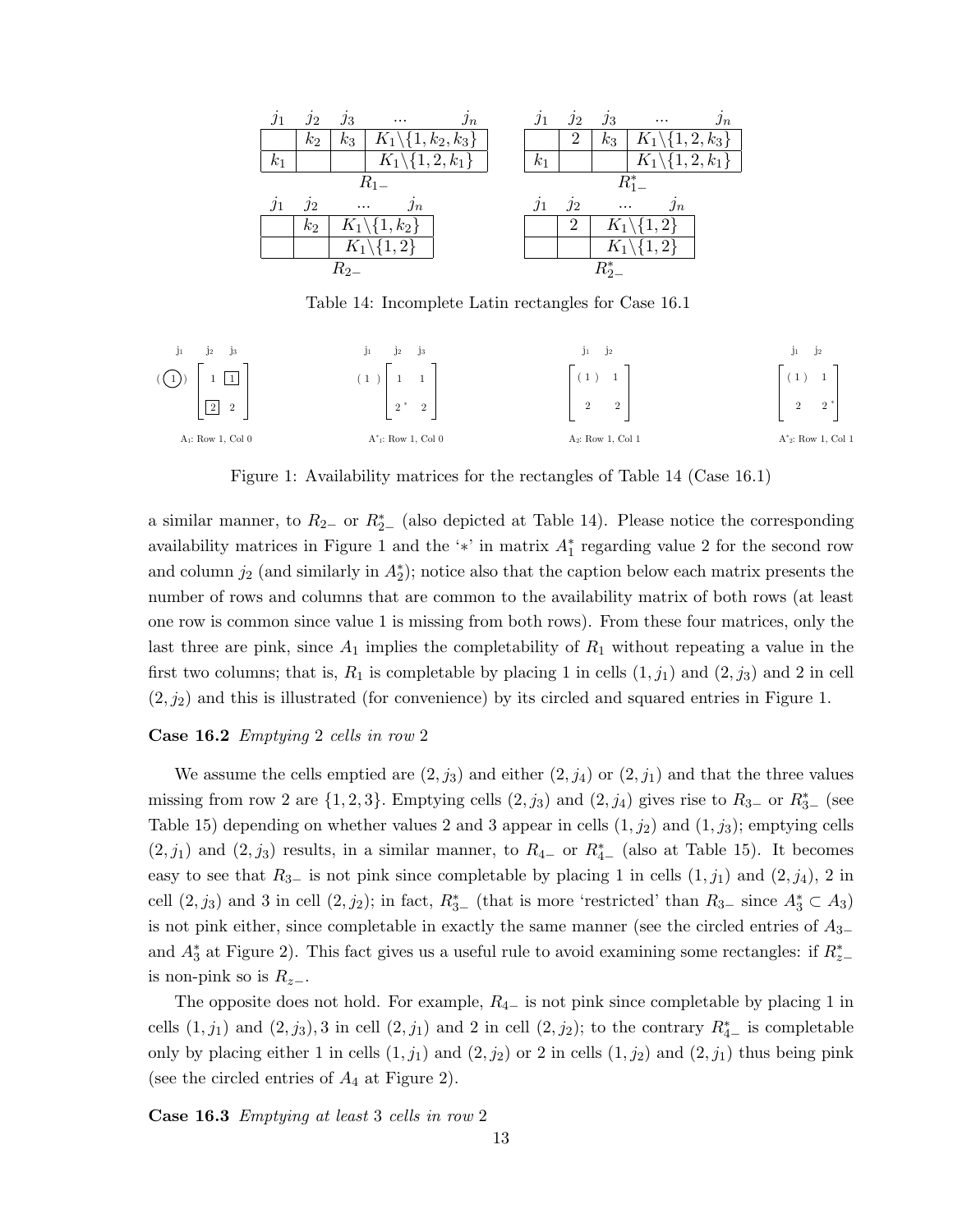|            | $j_2$      | $j_3$    | $\cdots$                                   | $\jmath_n$ | $\jmath_1$ | $\jmath_2$     | $j_3$    | $\cdots$                     | $\jmath_n$ |
|------------|------------|----------|--------------------------------------------|------------|------------|----------------|----------|------------------------------|------------|
|            | $k_2$      | $k_3$    | $\mid K_1 \backslash \{1, k_2, k_3\} \mid$ |            |            | 2              | $k_3$    | $K_1 \backslash \{1,2,k_3\}$ |            |
| $k_{1}$    |            |          | $K_1 \backslash \{1,2,k_1\}$               |            | $k_{1}$    |                |          | $K_1 \backslash \{1,2,k_1\}$ |            |
|            |            |          | $R_{1-}$                                   |            |            |                |          | $R_{1-}^*$                   |            |
| $\jmath_1$ | $\jmath_2$ | $\cdots$ | $j_n$                                      |            | $\eta_1$   | $\jmath_2$     | $\cdots$ | $\jmath_n$                   |            |
|            | $k_2$      |          | $K_1 \backslash \{1, k_2\}$                |            |            | $\overline{2}$ |          | $K_1 \backslash \{1,2\}$     |            |
|            |            |          |                                            |            |            |                |          |                              |            |
|            |            |          | $K_1 \backslash \{1,2\}$                   |            |            |                |          | $K_1 \backslash \{1,2\}$     |            |

Table 14: Incomplete Latin rectangles for Case 16.1



Figure 1: Availability matrices for the rectangles of Table 14 (Case 16.1)

a similar manner, to  $R_{2-}$  or  $R_{2-}^{*}$  (also depicted at Table 14). Please notice the corresponding availability matrices in Figure 1 and the '\*' in matrix  $A_1^*$  regarding value 2 for the second row and column  $j_2$  (and similarly in  $A_2^*$ ); notice also that the caption below each matrix presents the number of rows and columns that are common to the availability matrix of both rows (at least one row is common since value 1 is missing from both rows). From these four matrices, only the last three are pink, since  $A_1$  implies the completability of  $R_1$  without repeating a value in the first two columns; that is,  $R_1$  is completable by placing 1 in cells  $(1, j_1)$  and  $(2, j_3)$  and 2 in cell  $(2, j_2)$  and this is illustrated (for convenience) by its circled and squared entries in Figure 1.

#### Case 16.2 Emptying 2 cells in row 2

We assume the cells emptied are  $(2, j_3)$  and either  $(2, j_4)$  or  $(2, j_1)$  and that the three values missing from row 2 are  $\{1, 2, 3\}$ . Emptying cells  $(2, j_3)$  and  $(2, j_4)$  gives rise to  $R_{3-}$  or  $R_{3-}^*$  (see Table 15) depending on whether values 2 and 3 appear in cells  $(1, j_2)$  and  $(1, j_3)$ ; emptying cells  $(2, j_1)$  and  $(2, j_3)$  results, in a similar manner, to  $R_{4-}$  or  $R_{4-}^*$  (also at Table 15). It becomes easy to see that  $R_{3-}$  is not pink since completable by placing 1 in cells  $(1, j_1)$  and  $(2, j_4)$ , 2 in cell  $(2, j_3)$  and 3 in cell  $(2, j_2)$ ; in fact,  $R_{3-}^*$  (that is more 'restricted' than  $R_{3-}$  since  $A_3^* \subset A_3$ ) is not pink either, since completable in exactly the same manner (see the circled entries of  $A_{3-}$ and  $A_3^*$  at Figure 2). This fact gives us a useful rule to avoid examining some rectangles: if  $R_{z-}^*$ is non-pink so is  $R_{z-}$ .

The opposite does not hold. For example,  $R_{4-}$  is not pink since completable by placing 1 in cells  $(1, j_1)$  and  $(2, j_3)$ , 3 in cell  $(2, j_1)$  and 2 in cell  $(2, j_2)$ ; to the contrary  $R_{4-}^*$  is completable only by placing either 1 in cells  $(1, j_1)$  and  $(2, j_2)$  or 2 in cells  $(1, j_2)$  and  $(2, j_1)$  thus being pink (see the circled entries of  $A_4$  at Figure 2).

Case 16.3 Emptying at least 3 cells in row 2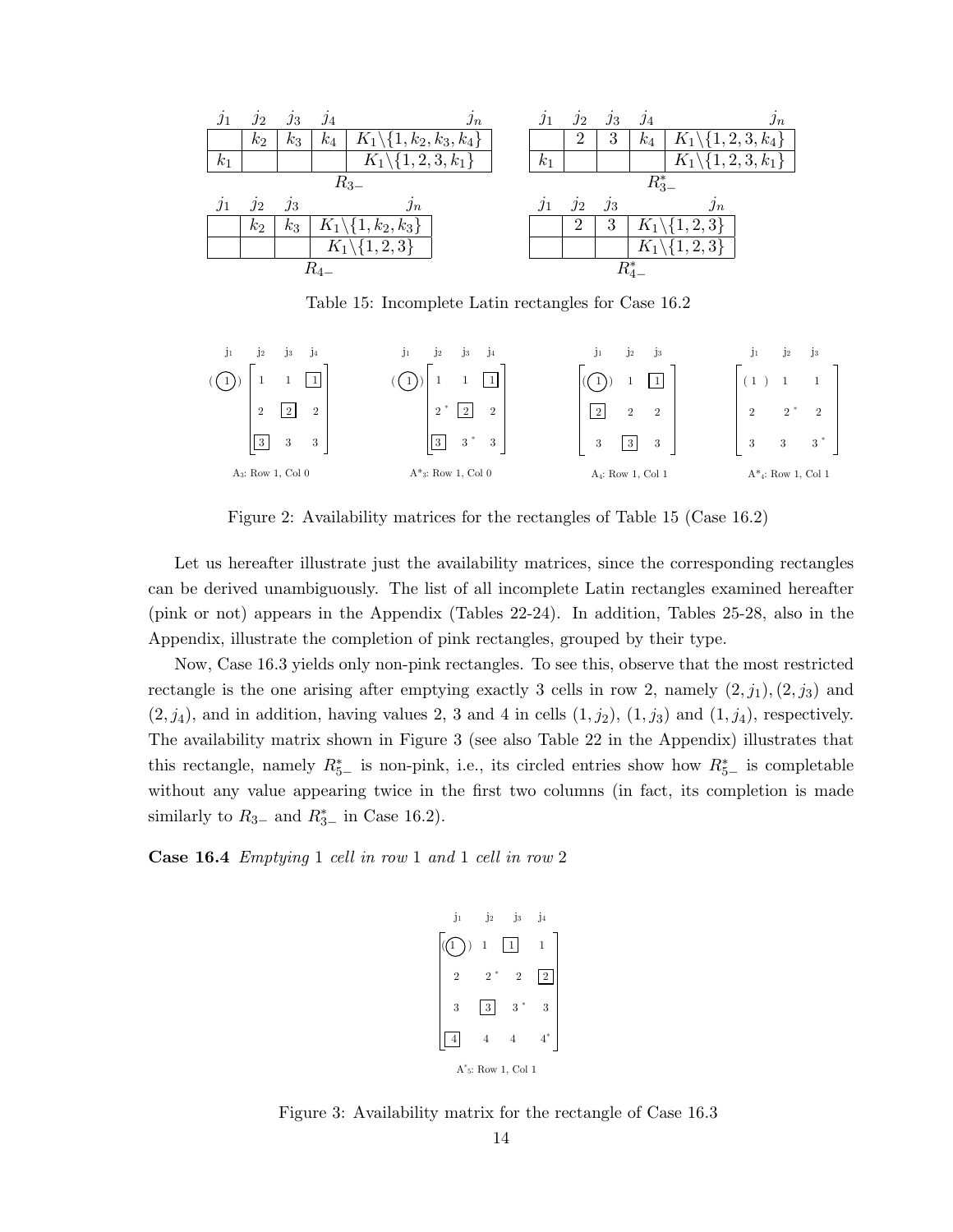| .11        | $\overline{J2}$ | $\jmath_3$ | $\jmath_4$ | $\jmath_n$                                      | $\jmath_1$ | $\jmath_2$ | $\jmath_3$ | $j_4$      | $\jmath_n$                     |
|------------|-----------------|------------|------------|-------------------------------------------------|------------|------------|------------|------------|--------------------------------|
|            | $k_2$           | $k_3$      | $k_4$      | $\mid K_1 \backslash \{1, k_2, k_3, k_4\} \mid$ |            | 2          | 3          | $k_4$      | $K_1 \backslash \{1,2,3,k_4\}$ |
| $k_1$      |                 |            |            | $\overline{K}_1 \backslash \{1,2,3,k_1\}$       | $k_1$      |            |            |            | $K_1 \backslash \{1,2,3,k_1\}$ |
|            |                 |            |            | $R_{3-}$                                        |            |            |            | $R_{3-}^*$ |                                |
|            |                 |            |            |                                                 |            |            |            |            |                                |
| $\jmath_1$ | $j_2$           | $\jmath_3$ |            | $\jmath_n$                                      | $\jmath_1$ | $\jmath_2$ | $\jmath_3$ |            | $\jmath_n$                     |
|            | $k_2$           | $k_3$      |            | $K_1\backslash\{1,k_2,k_3\}$                    |            | 2          | 3          |            | $K_1 \backslash \{1,2,3\}$     |
|            |                 |            |            | $K_1 \backslash \{1,2,3\}$                      |            |            |            |            | $K_1 \backslash \{1,2,3\}$     |

Table 15: Incomplete Latin rectangles for Case 16.2



Figure 2: Availability matrices for the rectangles of Table 15 (Case 16.2)

Let us hereafter illustrate just the availability matrices, since the corresponding rectangles can be derived unambiguously. The list of all incomplete Latin rectangles examined hereafter (pink or not) appears in the Appendix (Tables 22-24). In addition, Tables 25-28, also in the Appendix, illustrate the completion of pink rectangles, grouped by their type.

Now, Case 16.3 yields only non-pink rectangles. To see this, observe that the most restricted rectangle is the one arising after emptying exactly 3 cells in row 2, namely  $(2, j_1), (2, j_3)$  and  $(2, j_4)$ , and in addition, having values 2, 3 and 4 in cells  $(1, j_2)$ ,  $(1, j_3)$  and  $(1, j_4)$ , respectively. The availability matrix shown in Figure 3 (see also Table 22 in the Appendix) illustrates that this rectangle, namely  $R_{5-}^*$  is non-pink, i.e., its circled entries show how  $R_{5-}^*$  is completable without any value appearing twice in the first two columns (in fact, its completion is made similarly to  $R_{3-}$  and  $R_{3-}^*$  in Case 16.2).

Case 16.4 Emptying 1 cell in row 1 and 1 cell in row 2

```
A*
5: Row 1, Col 1
  j_1 j_2 j_3 j_41 \vert 1 \vert 1 \vert 1 \vert 1
 2 2^* 2 2
 3 \mid 3 \mid 3^* \mid 3| 4| 4 4 4<sup>*</sup>
((1))
```
Figure 3: Availability matrix for the rectangle of Case 16.3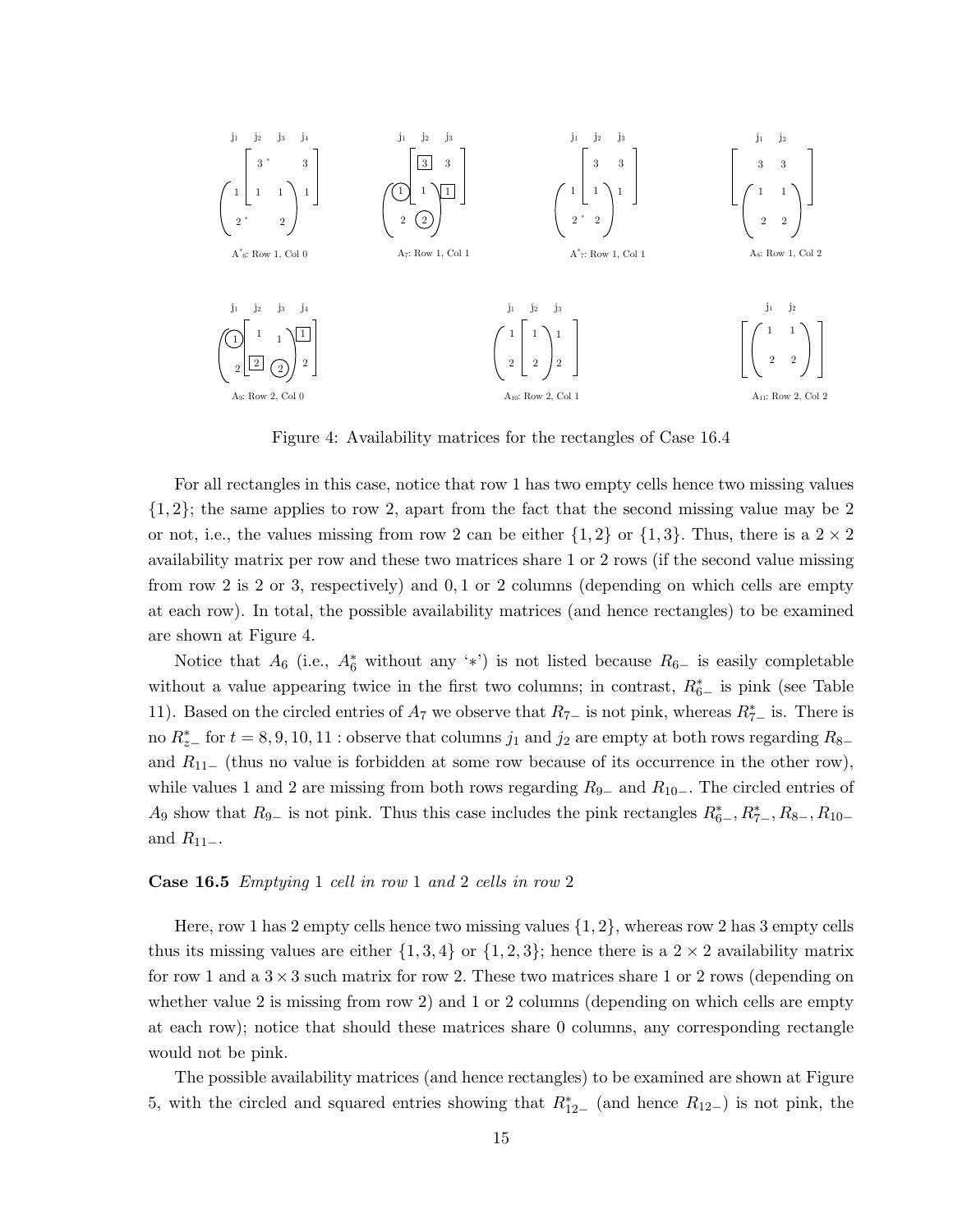

Figure 4: Availability matrices for the rectangles of Case 16.4

For all rectangles in this case, notice that row 1 has two empty cells hence two missing values  $\{1, 2\}$ ; the same applies to row 2, apart from the fact that the second missing value may be 2 or not, i.e., the values missing from row 2 can be either  $\{1, 2\}$  or  $\{1, 3\}$ . Thus, there is a  $2 \times 2$ availability matrix per row and these two matrices share 1 or 2 rows (if the second value missing from row 2 is 2 or 3, respectively) and 0, 1 or 2 columns (depending on which cells are empty at each row). In total, the possible availability matrices (and hence rectangles) to be examined are shown at Figure 4.

Notice that  $A_6$  (i.e.,  $A_6^*$  without any '\*') is not listed because  $R_{6-}$  is easily completable without a value appearing twice in the first two columns; in contrast,  $R_{6-}^*$  is pink (see Table 11). Based on the circled entries of  $A_7$  we observe that  $R_{7-}$  is not pink, whereas  $R_{7-}^*$  is. There is no  $R_{z-}^*$  for  $t = 8, 9, 10, 11$  : observe that columns  $j_1$  and  $j_2$  are empty at both rows regarding  $R_{8-}$ and  $R_{11-}$  (thus no value is forbidden at some row because of its occurrence in the other row), while values 1 and 2 are missing from both rows regarding  $R_{9-}$  and  $R_{10-}$ . The circled entries of A<sub>9</sub> show that  $R_{9-}$  is not pink. Thus this case includes the pink rectangles  $R_{6-}^*, R_{7-}^*, R_{8-}, R_{10-}$ and  $R_{11-}$ .

#### Case 16.5 Emptying 1 cell in row 1 and 2 cells in row 2

Here, row 1 has 2 empty cells hence two missing values  $\{1, 2\}$ , whereas row 2 has 3 empty cells thus its missing values are either  $\{1,3,4\}$  or  $\{1,2,3\}$ ; hence there is a  $2 \times 2$  availability matrix for row 1 and a  $3 \times 3$  such matrix for row 2. These two matrices share 1 or 2 rows (depending on whether value 2 is missing from row 2) and 1 or 2 columns (depending on which cells are empty at each row); notice that should these matrices share 0 columns, any corresponding rectangle would not be pink.

The possible availability matrices (and hence rectangles) to be examined are shown at Figure 5, with the circled and squared entries showing that  $R_{12-}^*$  (and hence  $R_{12-}$ ) is not pink, the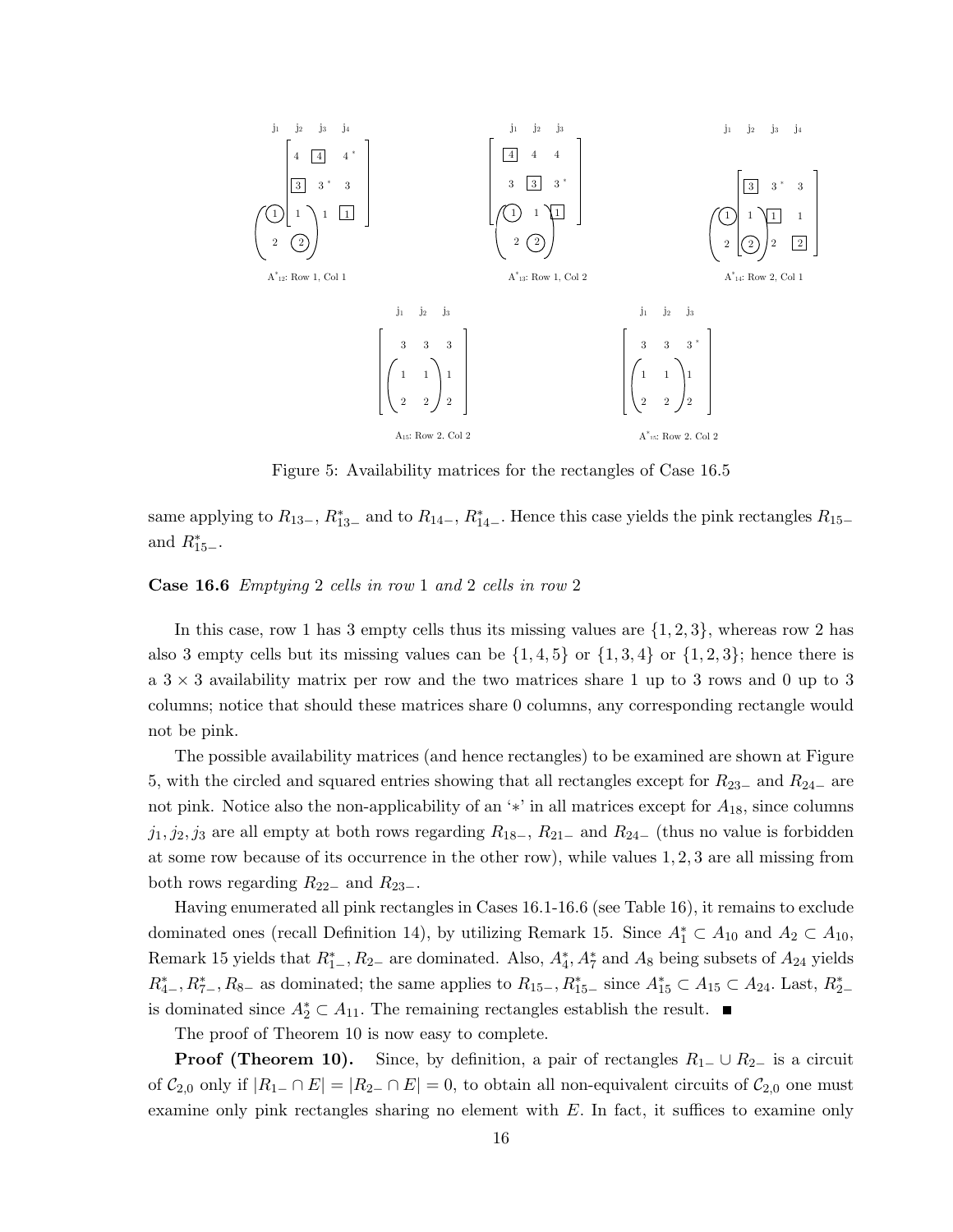

Figure 5: Availability matrices for the rectangles of Case 16.5

same applying to  $R_{13-}$ ,  $R_{13-}^*$  and to  $R_{14-}$ ,  $R_{14-}^*$ . Hence this case yields the pink rectangles  $R_{15-}$ and  $R_{15-}^*$ .

#### Case 16.6 Emptying 2 cells in row 1 and 2 cells in row 2

In this case, row 1 has 3 empty cells thus its missing values are  $\{1, 2, 3\}$ , whereas row 2 has also 3 empty cells but its missing values can be  $\{1,4,5\}$  or  $\{1,3,4\}$  or  $\{1,2,3\}$ ; hence there is a  $3 \times 3$  availability matrix per row and the two matrices share 1 up to 3 rows and 0 up to 3 columns; notice that should these matrices share 0 columns, any corresponding rectangle would not be pink.

The possible availability matrices (and hence rectangles) to be examined are shown at Figure 5, with the circled and squared entries showing that all rectangles except for  $R_{23-}$  and  $R_{24-}$  are not pink. Notice also the non-applicability of an '\*' in all matrices except for  $A_{18}$ , since columns  $j_1, j_2, j_3$  are all empty at both rows regarding  $R_{18-}$ ,  $R_{21-}$  and  $R_{24-}$  (thus no value is forbidden at some row because of its occurrence in the other row), while values 1, 2, 3 are all missing from both rows regarding  $R_{22-}$  and  $R_{23-}$ .

Having enumerated all pink rectangles in Cases 16.1-16.6 (see Table 16), it remains to exclude dominated ones (recall Definition 14), by utilizing Remark 15. Since  $A_1^* \subset A_{10}$  and  $A_2 \subset A_{10}$ , Remark 15 yields that  $R_{1-}^*, R_{2-}$  are dominated. Also,  $A_4^*, A_7^*$  and  $A_8$  being subsets of  $A_{24}$  yields  $R_{4-}^*, R_{7-}^*, R_{8-}$  as dominated; the same applies to  $R_{15-}, R_{15-}^*$  since  $A_{15}^* \subset A_{15} \subset A_{24}$ . Last,  $R_{2-}^*$ is dominated since  $A_2^* \subset A_{11}$ . The remaining rectangles establish the result.

The proof of Theorem 10 is now easy to complete.

**Proof (Theorem 10).** Since, by definition, a pair of rectangles  $R_1$  – ∪  $R_2$  is a circuit of  $C_{2,0}$  only if  $|R_{1-} \cap E| = |R_{2-} \cap E| = 0$ , to obtain all non-equivalent circuits of  $C_{2,0}$  one must examine only pink rectangles sharing no element with  $E$ . In fact, it suffices to examine only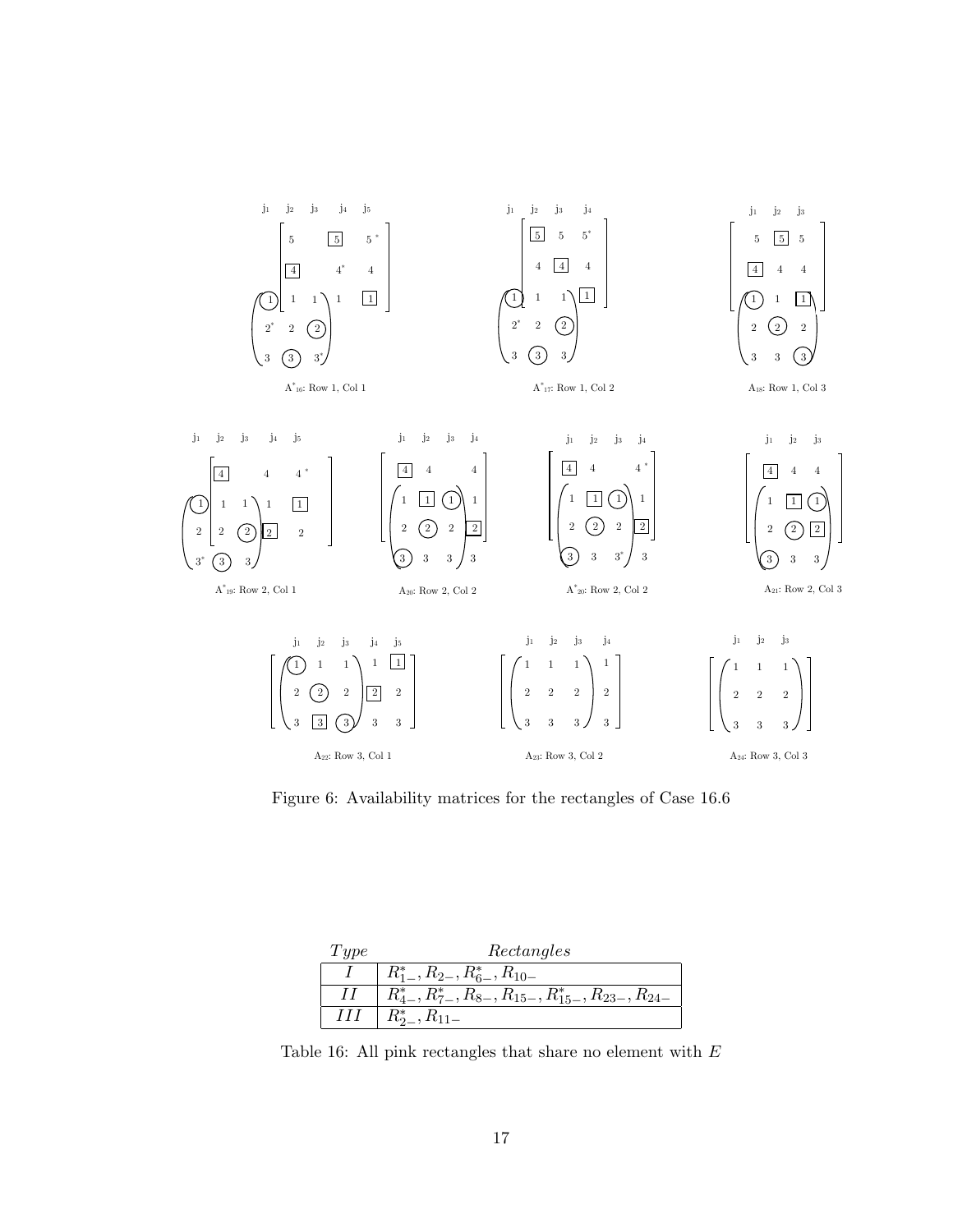

Figure 6: Availability matrices for the rectangles of Case 16.6

| Two | Rectangles                                                         |
|-----|--------------------------------------------------------------------|
|     | $R_{1-}^*, R_{2-}, R_{6-}^*, R_{10-}$                              |
|     | $R_{4-}^*, R_{7-}^*, R_{8-}, R_{15-}, R_{15-}^*, R_{23-}, R_{24-}$ |
| HН  | $R_{2-}^*, R_{11-}$                                                |

Table 16: All pink rectangles that share no element with  $E$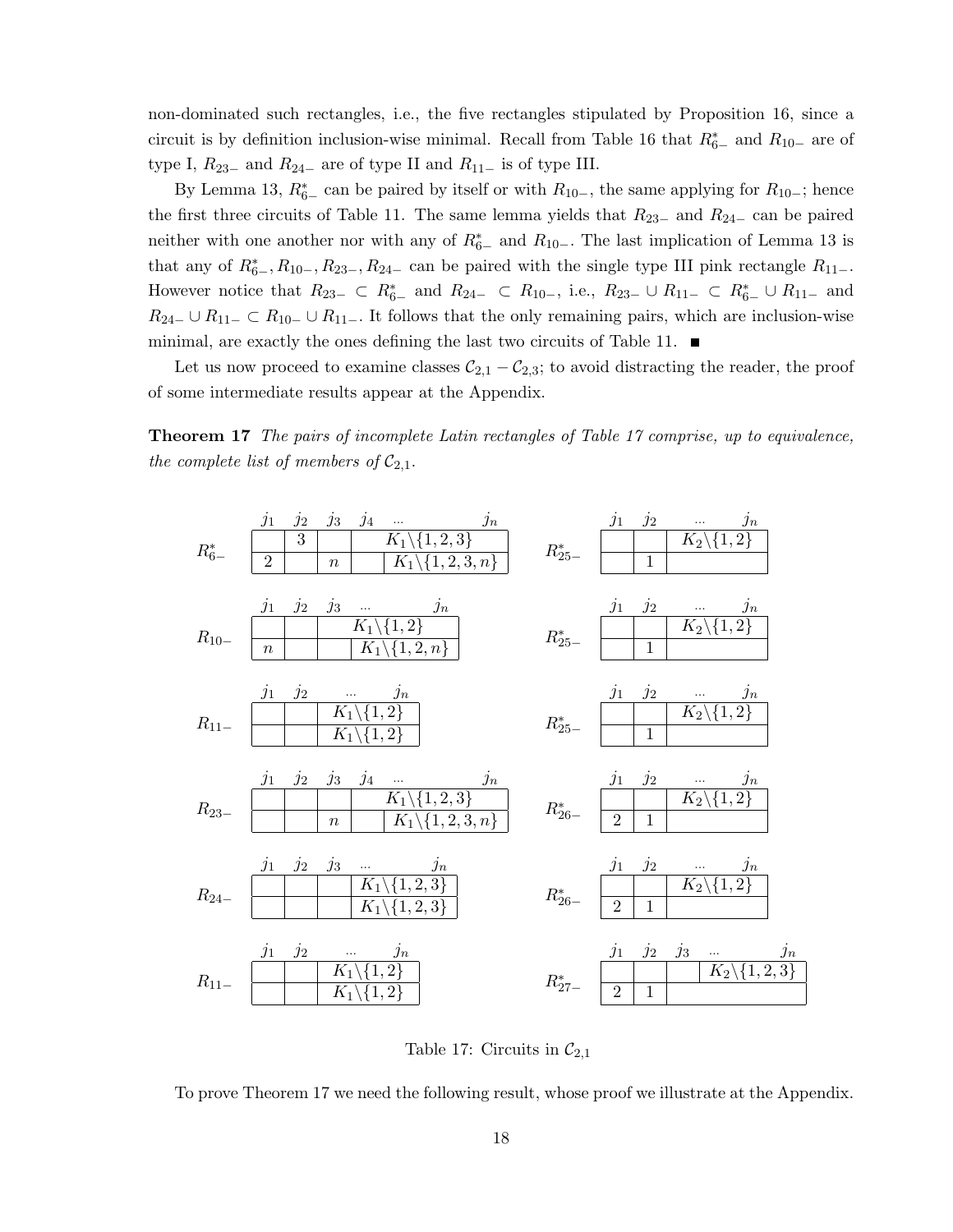non-dominated such rectangles, i.e., the five rectangles stipulated by Proposition 16, since a circuit is by definition inclusion-wise minimal. Recall from Table 16 that  $R_{6-}^*$  and  $R_{10-}$  are of type I,  $R_{23-}$  and  $R_{24-}$  are of type II and  $R_{11-}$  is of type III.

By Lemma 13,  $R_{6-}^*$  can be paired by itself or with  $R_{10-}$ , the same applying for  $R_{10-}$ ; hence the first three circuits of Table 11. The same lemma yields that  $R_{23-}$  and  $R_{24-}$  can be paired neither with one another nor with any of  $R_{6-}^*$  and  $R_{10-}$ . The last implication of Lemma 13 is that any of  $R_{6-}^*, R_{10-}, R_{23-}, R_{24-}$  can be paired with the single type III pink rectangle  $R_{11-}$ . However notice that  $R_{23-} \subset R_{6-}^*$  and  $R_{24-} \subset R_{10-}$ , i.e.,  $R_{23-} \cup R_{11-} \subset R_{6-}^* \cup R_{11-}$  and  $R_{24-} \cup R_{11-} \subset R_{10-} \cup R_{11-}$ . It follows that the only remaining pairs, which are inclusion-wise minimal, are exactly the ones defining the last two circuits of Table 11.  $\blacksquare$ 

Let us now proceed to examine classes  $C_{2,1} - C_{2,3}$ ; to avoid distracting the reader, the proof of some intermediate results appear at the Appendix.

Theorem 17 The pairs of incomplete Latin rectangles of Table 17 comprise, up to equivalence, the complete list of members of  $C_{2,1}$ .



Table 17: Circuits in  $\mathcal{C}_{2,1}$ 

To prove Theorem 17 we need the following result, whose proof we illustrate at the Appendix.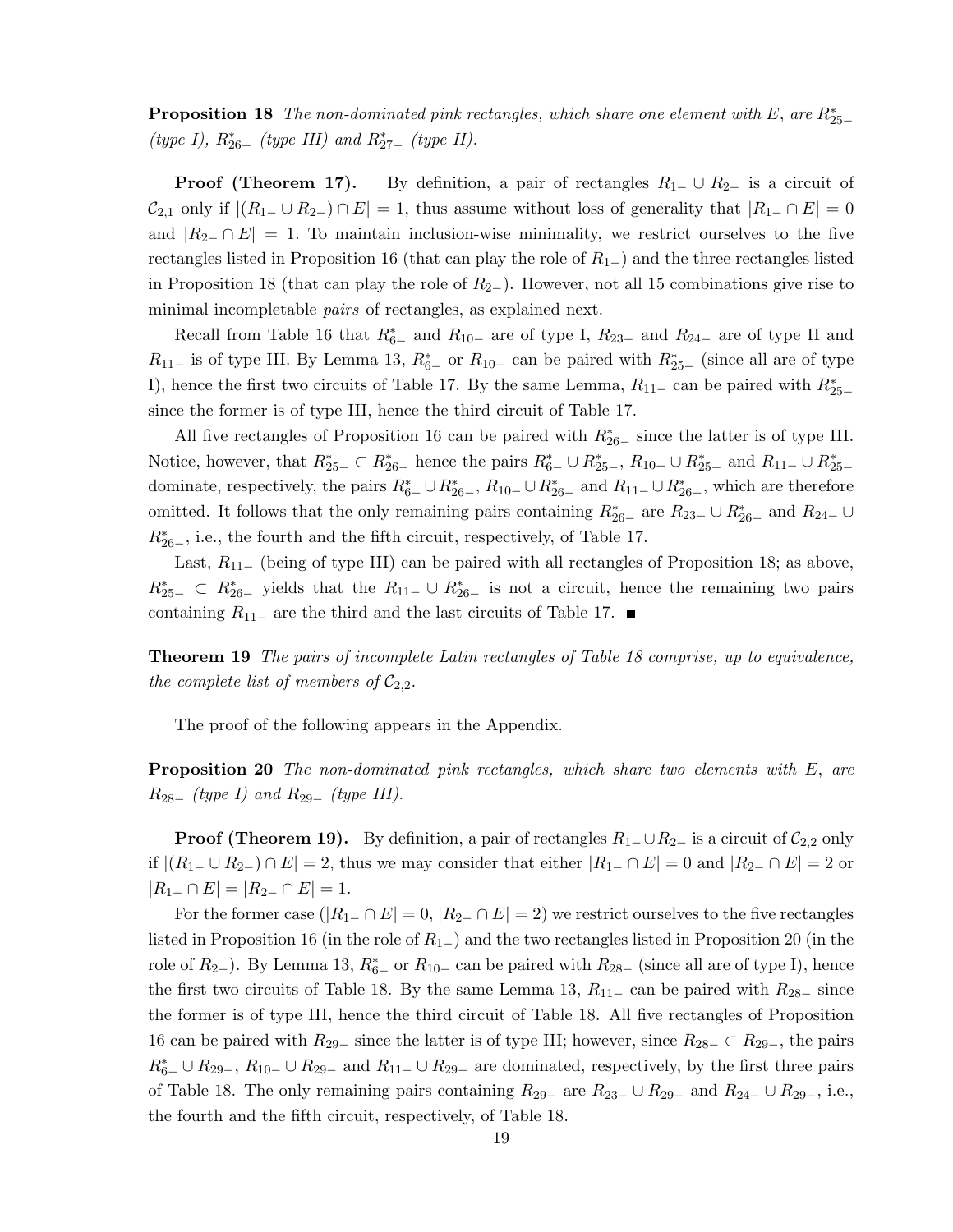**Proposition 18** The non-dominated pink rectangles, which share one element with E, are  $R_{25-}^*$ (type I),  $R_{26-}^{*}$  (type III) and  $R_{27-}^{*}$  (type II).

**Proof (Theorem 17).** By definition, a pair of rectangles  $R_{1-} \cup R_{2-}$  is a circuit of  $\mathcal{C}_{2,1}$  only if  $|(R_1 \_ \cup R_2 \_) \cap E| = 1$ , thus assume without loss of generality that  $|R_{1-} \cap E| = 0$ and  $|R_{2-} \cap E| = 1$ . To maintain inclusion-wise minimality, we restrict ourselves to the five rectangles listed in Proposition 16 (that can play the role of  $R_{1-}$ ) and the three rectangles listed in Proposition 18 (that can play the role of  $R_{2-}$ ). However, not all 15 combinations give rise to minimal incompletable *pairs* of rectangles, as explained next.

Recall from Table 16 that  $R_{6-}^*$  and  $R_{10-}$  are of type I,  $R_{23-}$  and  $R_{24-}$  are of type II and  $R_{11-}$  is of type III. By Lemma 13,  $R_{6-}^*$  or  $R_{10-}$  can be paired with  $R_{25-}^*$  (since all are of type I), hence the first two circuits of Table 17. By the same Lemma,  $R_{11-}$  can be paired with  $R_{25-}^*$ since the former is of type III, hence the third circuit of Table 17.

All five rectangles of Proposition 16 can be paired with  $R_{26-}^{*}$  since the latter is of type III. Notice, however, that  $R_{25-}^* \subset R_{26-}^*$  hence the pairs  $R_{6-}^* \cup R_{25-}^*$ ,  $R_{10-} \cup R_{25-}^*$  and  $R_{11-} \cup R_{25-}^*$ dominate, respectively, the pairs  $R_{6-}^* \cup R_{26-}^*$ ,  $R_{10-} \cup R_{26-}^*$  and  $R_{11-} \cup R_{26-}^*$ , which are therefore omitted. It follows that the only remaining pairs containing  $R_{26-}^*$  are  $R_{23-} \cup R_{26-}^*$  and  $R_{24-} \cup$  $R_{26-}^*$ , i.e., the fourth and the fifth circuit, respectively, of Table 17.

Last,  $R_{11-}$  (being of type III) can be paired with all rectangles of Proposition 18; as above,  $R_{25-}^*$   $\subset R_{26-}^*$  yields that the  $R_{11-} \cup R_{26-}^*$  is not a circuit, hence the remaining two pairs containing  $R_{11-}$  are the third and the last circuits of Table 17. ■

Theorem 19 The pairs of incomplete Latin rectangles of Table 18 comprise, up to equivalence, the complete list of members of  $\mathcal{C}_{2,2}$ .

The proof of the following appears in the Appendix.

**Proposition 20** The non-dominated pink rectangles, which share two elements with E, are  $R_{28-}$  (type I) and  $R_{29-}$  (type III).

**Proof (Theorem 19).** By definition, a pair of rectangles  $R_1 \cup R_2$  is a circuit of  $C_{2,2}$  only if  $|(R_1 \_ \cup R_2 \_ ) \cap E| = 2$ , thus we may consider that either  $|R_1 \_ \cap E| = 0$  and  $|R_2 \_ \cap E| = 2$  or  $|R_{1-} \cap E| = |R_{2-} \cap E| = 1.$ 

For the former case  $(|R_{1-} \cap E| = 0, |R_{2-} \cap E| = 2)$  we restrict ourselves to the five rectangles listed in Proposition 16 (in the role of  $R_{1-}$ ) and the two rectangles listed in Proposition 20 (in the role of  $R_{2-}$ ). By Lemma 13,  $R_{6-}^*$  or  $R_{10-}$  can be paired with  $R_{28-}$  (since all are of type I), hence the first two circuits of Table 18. By the same Lemma 13,  $R_{11-}$  can be paired with  $R_{28-}$  since the former is of type III, hence the third circuit of Table 18. All five rectangles of Proposition 16 can be paired with  $R_{29-}$  since the latter is of type III; however, since  $R_{28-} \subset R_{29-}$ , the pairs  $R_{6-}^* \cup R_{29-}, R_{10-} \cup R_{29-}$  and  $R_{11-} \cup R_{29-}$  are dominated, respectively, by the first three pairs of Table 18. The only remaining pairs containing  $R_{29-}$  are  $R_{23-} \cup R_{29-}$  and  $R_{24-} \cup R_{29-}$ , i.e., the fourth and the fifth circuit, respectively, of Table 18.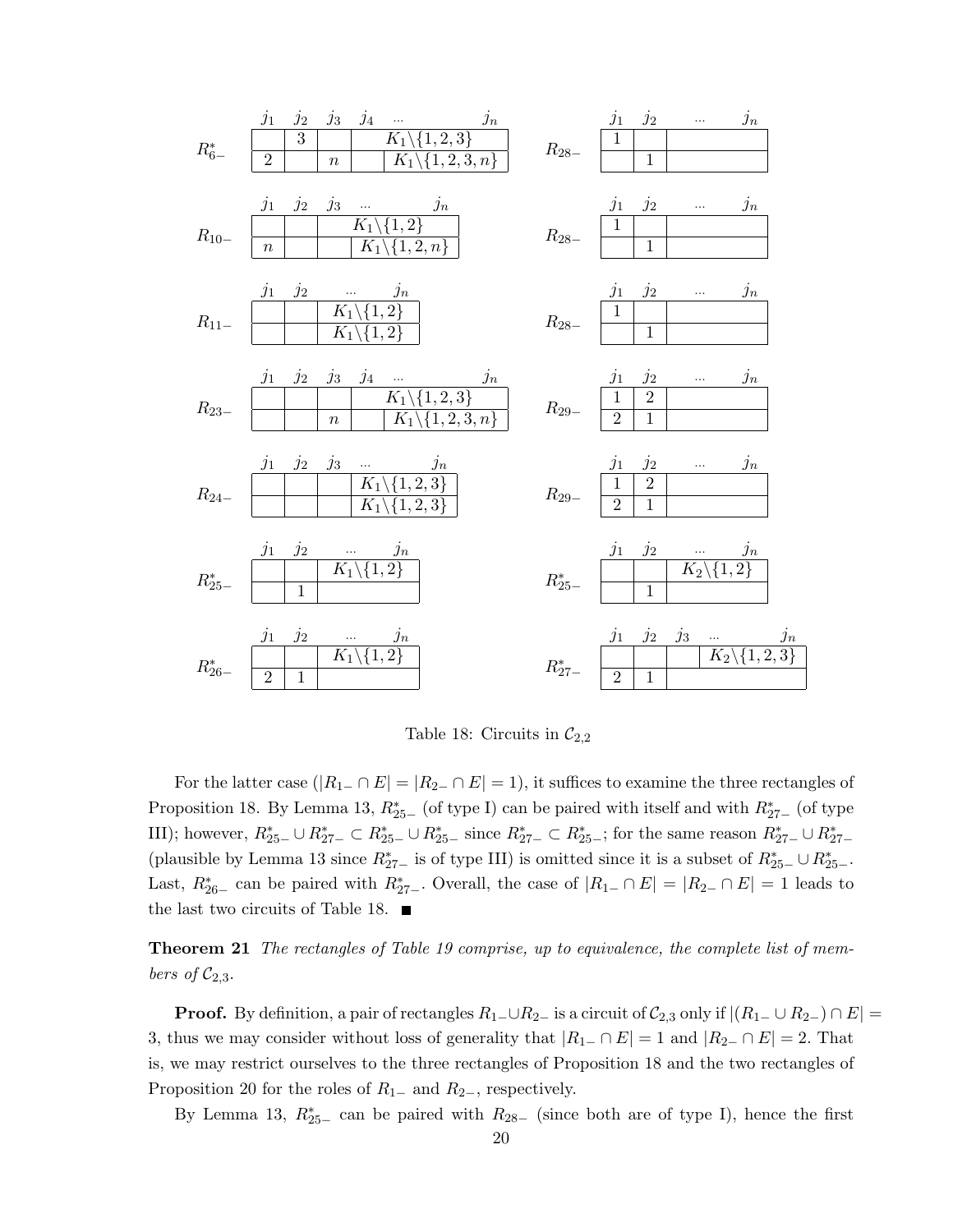

Table 18: Circuits in  $\mathcal{C}_{2,2}$ 

For the latter case  $(|R_{1-} \cap E| = |R_{2-} \cap E| = 1)$ , it suffices to examine the three rectangles of Proposition 18. By Lemma 13,  $R_{25-}^{*}$  (of type I) can be paired with itself and with  $R_{27-}^{*}$  (of type III); however,  $R_{25-}^* \cup R_{27-}^* \subset R_{25-}^* \cup R_{25-}^*$  since  $R_{27-}^* \subset R_{25-}^*$ ; for the same reason  $R_{27-}^* \cup R_{27-}^*$ (plausible by Lemma 13 since  $R_{27-}^*$  is of type III) is omitted since it is a subset of  $R_{25-}^* \cup R_{25-}^*$ . Last,  $R_{26-}^*$  can be paired with  $R_{27-}^*$ . Overall, the case of  $|R_{1-} \cap E| = |R_{2-} \cap E| = 1$  leads to the last two circuits of Table 18.  $\blacksquare$ 

**Theorem 21** The rectangles of Table 19 comprise, up to equivalence, the complete list of members of  $C_{2,3}$ .

**Proof.** By definition, a pair of rectangles  $R_1 \_ \cup R_2 \_$  is a circuit of  $C_{2,3}$  only if  $|(R_1 \_ \cup R_2 \_) \cap E|$ 3, thus we may consider without loss of generality that  $|R_{1-} \cap E| = 1$  and  $|R_{2-} \cap E| = 2$ . That is, we may restrict ourselves to the three rectangles of Proposition 18 and the two rectangles of Proposition 20 for the roles of  $R_{1-}$  and  $R_{2-}$ , respectively.

By Lemma 13,  $R_{25-}^*$  can be paired with  $R_{28-}$  (since both are of type I), hence the first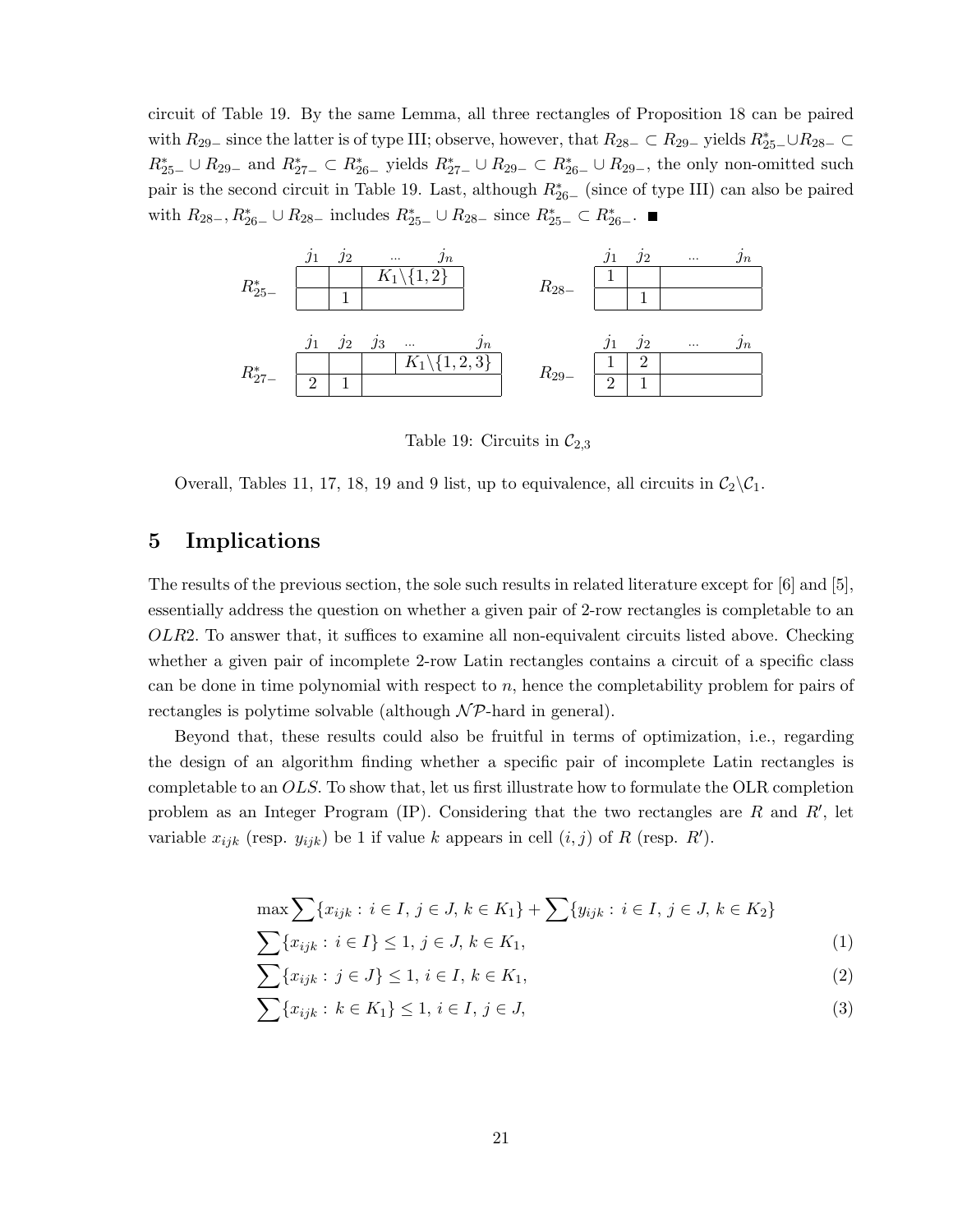circuit of Table 19. By the same Lemma, all three rectangles of Proposition 18 can be paired with  $R_{29-}$  since the latter is of type III; observe, however, that  $R_{28-} \subset R_{29-}$  yields  $R_{25-}^* \cup R_{28-} \subset$  $R_{25-}^* \cup R_{29-}$  and  $R_{27-}^* \subset R_{26-}^*$  yields  $R_{27-}^* \cup R_{29-} \subset R_{26-}^* \cup R_{29-}$ , the only non-omitted such pair is the second circuit in Table 19. Last, although  $R_{26-}^*$  (since of type III) can also be paired with  $R_{28-}$ ,  $R_{26-}^* \cup R_{28-}$  includes  $R_{25-}^* \cup R_{28-}$  since  $R_{25-}^* \subset R_{26-}^*$ .



Table 19: Circuits in  $\mathcal{C}_{2,3}$ 

Overall, Tables 11, 17, 18, 19 and 9 list, up to equivalence, all circuits in  $C_2\backslash C_1$ .

# 5 Implications

The results of the previous section, the sole such results in related literature except for [6] and [5], essentially address the question on whether a given pair of 2-row rectangles is completable to an OLR2. To answer that, it suffices to examine all non-equivalent circuits listed above. Checking whether a given pair of incomplete 2-row Latin rectangles contains a circuit of a specific class can be done in time polynomial with respect to  $n$ , hence the completability problem for pairs of rectangles is polytime solvable (although  $N\mathcal{P}$ -hard in general).

Beyond that, these results could also be fruitful in terms of optimization, i.e., regarding the design of an algorithm finding whether a specific pair of incomplete Latin rectangles is completable to an OLS. To show that, let us first illustrate how to formulate the OLR completion problem as an Integer Program (IP). Considering that the two rectangles are  $R$  and  $R'$ , let variable  $x_{ijk}$  (resp.  $y_{ijk}$ ) be 1 if value k appears in cell  $(i, j)$  of R (resp. R').

$$
\max \sum \{ x_{ijk} : i \in I, j \in J, k \in K_1 \} + \sum \{ y_{ijk} : i \in I, j \in J, k \in K_2 \}
$$

$$
\sum \{x_{ijk} : i \in I\} \le 1, j \in J, k \in K_1,\tag{1}
$$

$$
\sum \{x_{ijk} : j \in J\} \le 1, i \in I, k \in K_1,\tag{2}
$$

$$
\sum \{x_{ijk} : k \in K_1\} \le 1, \, i \in I, \, j \in J,\tag{3}
$$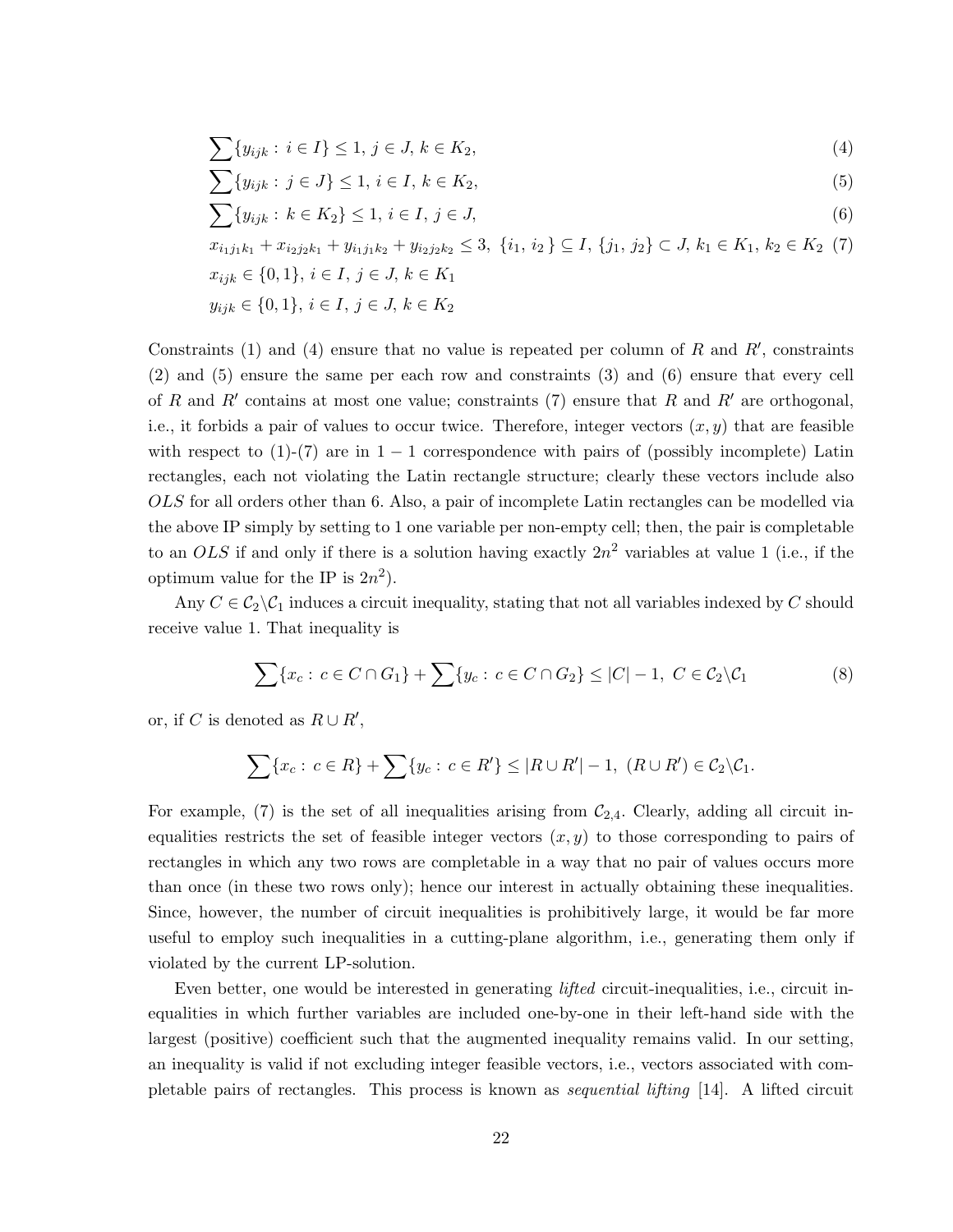$$
\sum \{y_{ijk} : i \in I\} \le 1, j \in J, k \in K_2,\tag{4}
$$

$$
\sum \{y_{ijk} : j \in J\} \le 1, i \in I, k \in K_2,\tag{5}
$$

$$
\sum \{y_{ijk} : k \in K_2\} \le 1, \, i \in I, \, j \in J,\tag{6}
$$

$$
x_{i_1j_1k_1} + x_{i_2j_2k_1} + y_{i_1j_1k_2} + y_{i_2j_2k_2} \le 3, \ \{i_1, i_2\} \subseteq I, \ \{j_1, j_2\} \subset J, \ k_1 \in K_1, \ k_2 \in K_2 \tag{7}
$$
  

$$
x_{ijk} \in \{0, 1\}, \ i \in I, \ j \in J, \ k \in K_1
$$

$$
y_{ijk} \in \{0,1\}, \, i \in I, \, j \in J, \, k \in K_2
$$

Constraints (1) and (4) ensure that no value is repeated per column of R and  $R'$ , constraints (2) and (5) ensure the same per each row and constraints (3) and (6) ensure that every cell of R and R' contains at most one value; constraints  $(7)$  ensure that R and R' are orthogonal, i.e., it forbids a pair of values to occur twice. Therefore, integer vectors  $(x, y)$  that are feasible with respect to  $(1)-(7)$  are in  $1-1$  correspondence with pairs of (possibly incomplete) Latin rectangles, each not violating the Latin rectangle structure; clearly these vectors include also OLS for all orders other than 6. Also, a pair of incomplete Latin rectangles can be modelled via the above IP simply by setting to 1 one variable per non-empty cell; then, the pair is completable to an OLS if and only if there is a solution having exactly  $2n^2$  variables at value 1 (i.e., if the optimum value for the IP is  $2n^2$ .

Any  $C \in \mathcal{C}_2 \backslash \mathcal{C}_1$  induces a circuit inequality, stating that not all variables indexed by C should receive value 1. That inequality is

$$
\sum \{x_c : c \in C \cap G_1\} + \sum \{y_c : c \in C \cap G_2\} \le |C| - 1, C \in C_2 \setminus C_1
$$
\n
$$
(8)
$$

or, if C is denoted as  $R \cup R'$ ,

$$
\sum \{x_c : c \in R\} + \sum \{y_c : c \in R'\} \le |R \cup R'| - 1, (R \cup R') \in C_2 \backslash C_1.
$$

For example, (7) is the set of all inequalities arising from  $C_{2,4}$ . Clearly, adding all circuit inequalities restricts the set of feasible integer vectors  $(x, y)$  to those corresponding to pairs of rectangles in which any two rows are completable in a way that no pair of values occurs more than once (in these two rows only); hence our interest in actually obtaining these inequalities. Since, however, the number of circuit inequalities is prohibitively large, it would be far more useful to employ such inequalities in a cutting-plane algorithm, i.e., generating them only if violated by the current LP-solution.

Even better, one would be interested in generating *lifted* circuit-inequalities, i.e., circuit inequalities in which further variables are included one-by-one in their left-hand side with the largest (positive) coefficient such that the augmented inequality remains valid. In our setting, an inequality is valid if not excluding integer feasible vectors, i.e., vectors associated with completable pairs of rectangles. This process is known as sequential lifting [14]. A lifted circuit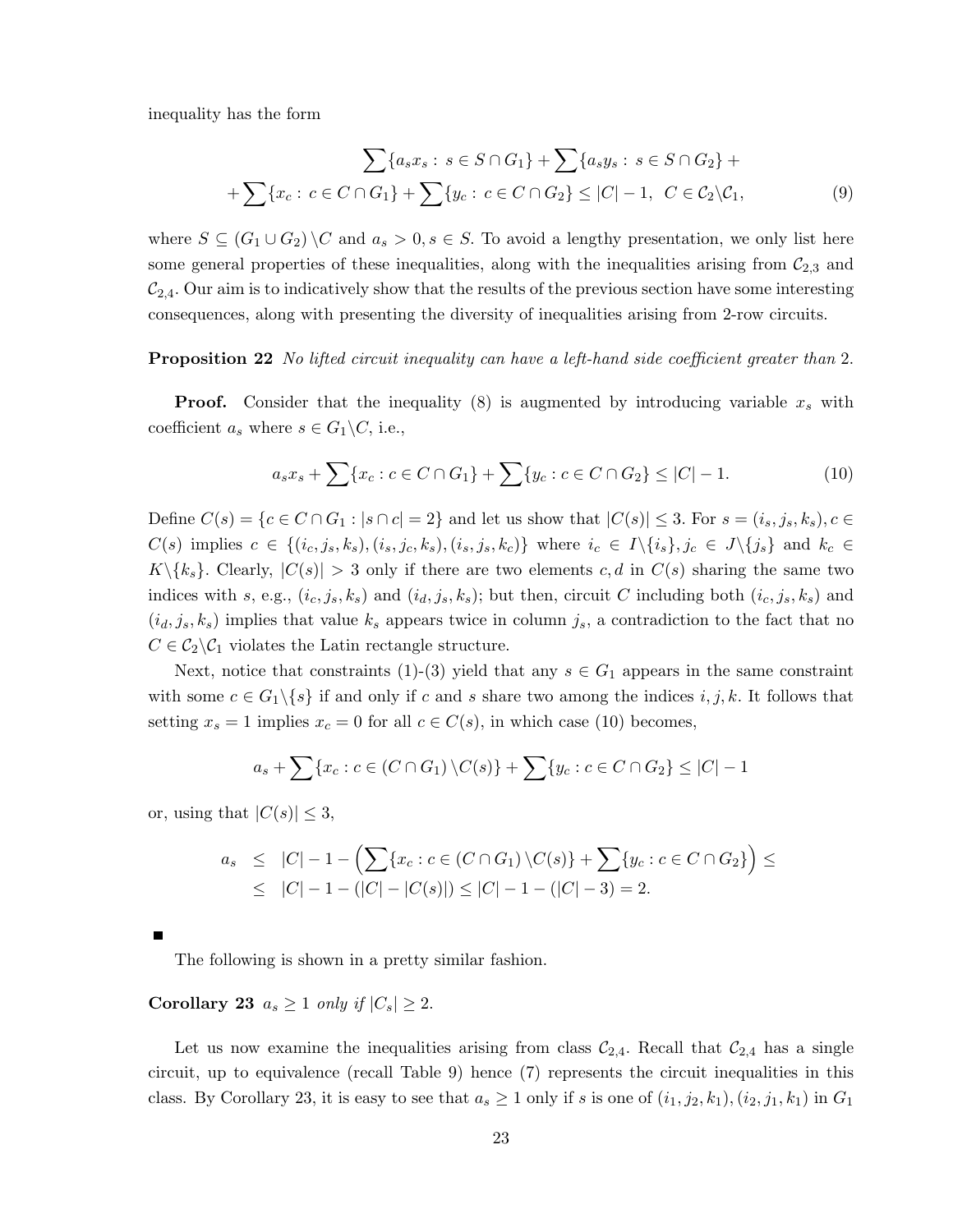inequality has the form

$$
\sum \{a_s x_s : s \in S \cap G_1\} + \sum \{a_s y_s : s \in S \cap G_2\} +
$$
  
+
$$
\sum \{x_c : c \in C \cap G_1\} + \sum \{y_c : c \in C \cap G_2\} \le |C| - 1, C \in C_2 \setminus C_1,
$$
 (9)

where  $S \subseteq (G_1 \cup G_2) \backslash C$  and  $a_s > 0, s \in S$ . To avoid a lengthy presentation, we only list here some general properties of these inequalities, along with the inequalities arising from  $C_{2,3}$  and  $\mathcal{C}_{2,4}$ . Our aim is to indicatively show that the results of the previous section have some interesting consequences, along with presenting the diversity of inequalities arising from 2-row circuits.

#### **Proposition 22** No lifted circuit inequality can have a left-hand side coefficient greater than 2.

**Proof.** Consider that the inequality  $(8)$  is augmented by introducing variable  $x_s$  with coefficient  $a_s$  where  $s \in G_1 \backslash C$ , i.e.,

$$
a_s x_s + \sum \{x_c : c \in C \cap G_1\} + \sum \{y_c : c \in C \cap G_2\} \le |C| - 1.
$$
 (10)

Define  $C(s) = \{c \in C \cap G_1 : |s \cap c| = 2\}$  and let us show that  $|C(s)| \leq 3$ . For  $s = (i_s, j_s, k_s), c \in$  $C(s)$  implies  $c \in \{(i_c, j_s, k_s), (i_s, j_c, k_s), (i_s, j_s, k_c)\}\$  where  $i_c \in I \setminus \{i_s\}, j_c \in J \setminus \{j_s\}\$  and  $k_c \in I \setminus \{i_s\}$  $K\backslash\{k_s\}$ . Clearly,  $|C(s)| > 3$  only if there are two elements c, d in  $C(s)$  sharing the same two indices with s, e.g.,  $(i_c, j_s, k_s)$  and  $(i_d, j_s, k_s)$ ; but then, circuit C including both  $(i_c, j_s, k_s)$  and  $(i_d, j_s, k_s)$  implies that value  $k_s$  appears twice in column  $j_s$ , a contradiction to the fact that no  $C \in C_2 \backslash C_1$  violates the Latin rectangle structure.

Next, notice that constraints (1)-(3) yield that any  $s \in G_1$  appears in the same constraint with some  $c \in G_1 \setminus \{s\}$  if and only if c and s share two among the indices  $i, j, k$ . It follows that setting  $x_s = 1$  implies  $x_c = 0$  for all  $c \in C(s)$ , in which case (10) becomes,

$$
a_s + \sum \{x_c : c \in (C \cap G_1) \setminus C(s)\} + \sum \{y_c : c \in C \cap G_2\} \leq |C| - 1
$$

or, using that  $|C(s)| \leq 3$ ,

$$
a_s \leq |C| - 1 - \left(\sum \{x_c : c \in (C \cap G_1) \setminus C(s)\} + \sum \{y_c : c \in C \cap G_2\}\right) \leq
$$
  
 
$$
\leq |C| - 1 - (|C| - |C(s)|) \leq |C| - 1 - (|C| - 3) = 2.
$$

The following is shown in a pretty similar fashion.

Corollary 23  $a_s \geq 1$  only if  $|C_s| \geq 2$ .

Let us now examine the inequalities arising from class  $\mathcal{C}_{2,4}$ . Recall that  $\mathcal{C}_{2,4}$  has a single circuit, up to equivalence (recall Table 9) hence (7) represents the circuit inequalities in this class. By Corollary 23, it is easy to see that  $a_s \ge 1$  only if s is one of  $(i_1, j_2, k_1), (i_2, j_1, k_1)$  in  $G_1$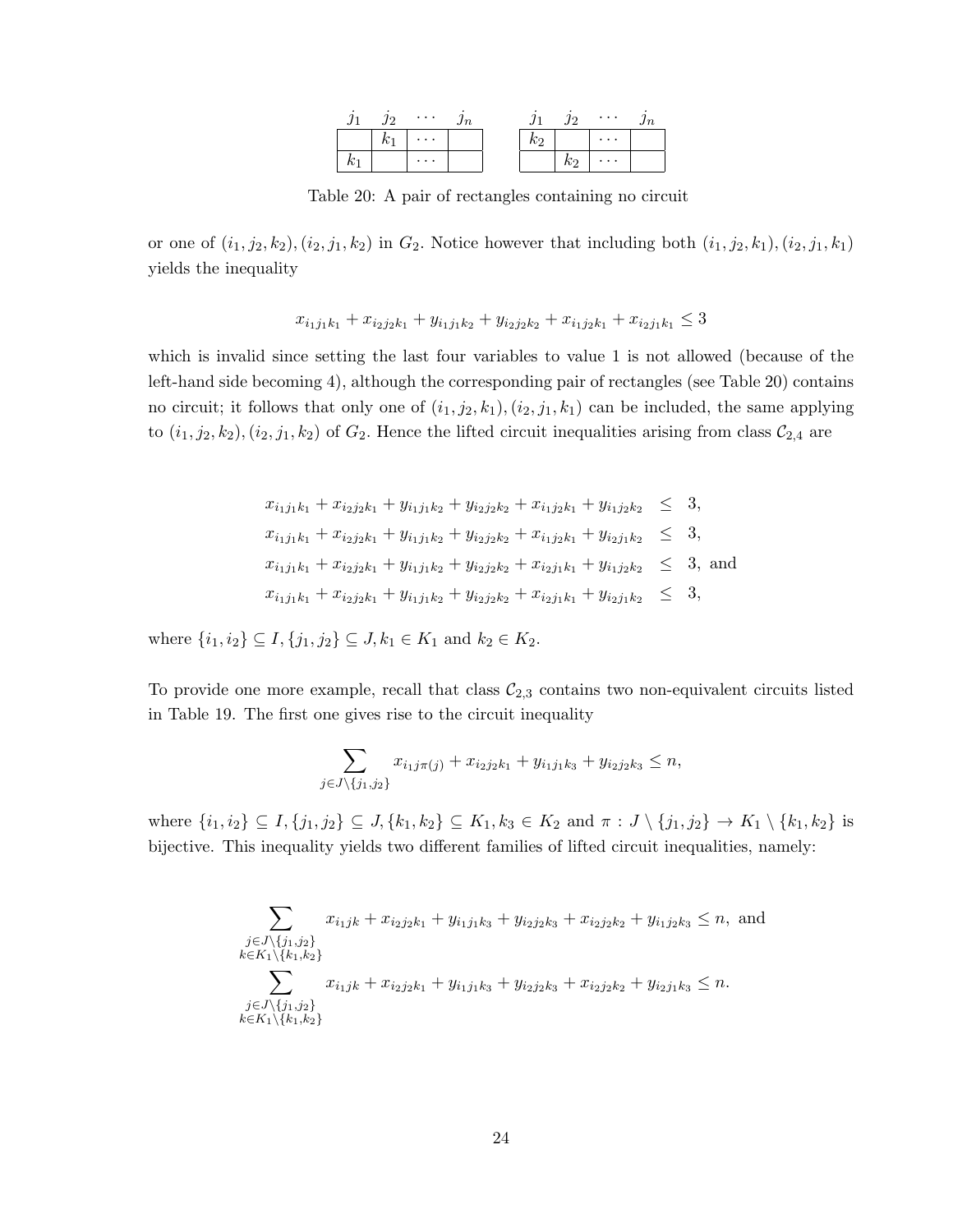|  | $\cdots$ |  |                   | $\cdots$ |  |
|--|----------|--|-------------------|----------|--|
|  | $\cdots$ |  |                   | .        |  |
|  | $\cdots$ |  | $\mathcal{K}_{2}$ | $\cdots$ |  |

Table 20: A pair of rectangles containing no circuit

or one of  $(i_1, j_2, k_2), (i_2, j_1, k_2)$  in  $G_2$ . Notice however that including both  $(i_1, j_2, k_1), (i_2, j_1, k_1)$ yields the inequality

$$
x_{i_1j_1k_1} + x_{i_2j_2k_1} + y_{i_1j_1k_2} + y_{i_2j_2k_2} + x_{i_1j_2k_1} + x_{i_2j_1k_1} \le 3
$$

which is invalid since setting the last four variables to value 1 is not allowed (because of the left-hand side becoming 4), although the corresponding pair of rectangles (see Table 20) contains no circuit; it follows that only one of  $(i_1, j_2, k_1), (i_2, j_1, k_1)$  can be included, the same applying to  $(i_1, j_2, k_2), (i_2, j_1, k_2)$  of  $G_2$ . Hence the lifted circuit inequalities arising from class  $C_{2,4}$  are

$$
x_{i_1j_1k_1} + x_{i_2j_2k_1} + y_{i_1j_1k_2} + y_{i_2j_2k_2} + x_{i_1j_2k_1} + y_{i_1j_2k_2} \leq 3,
$$
  
\n
$$
x_{i_1j_1k_1} + x_{i_2j_2k_1} + y_{i_1j_1k_2} + y_{i_2j_2k_2} + x_{i_1j_2k_1} + y_{i_2j_1k_2} \leq 3,
$$
  
\n
$$
x_{i_1j_1k_1} + x_{i_2j_2k_1} + y_{i_1j_1k_2} + y_{i_2j_2k_2} + x_{i_2j_1k_1} + y_{i_1j_2k_2} \leq 3,
$$
 and  
\n
$$
x_{i_1j_1k_1} + x_{i_2j_2k_1} + y_{i_1j_1k_2} + y_{i_2j_2k_2} + x_{i_2j_1k_1} + y_{i_2j_1k_2} \leq 3,
$$

where  $\{i_1, i_2\} \subseteq I, \{j_1, j_2\} \subseteq J, k_1 \in K_1$  and  $k_2 \in K_2$ .

To provide one more example, recall that class  $\mathcal{C}_{2,3}$  contains two non-equivalent circuits listed in Table 19. The first one gives rise to the circuit inequality

$$
\sum_{j \in J \setminus \{j_1, j_2\}} x_{i_1 j \pi(j)} + x_{i_2 j_2 k_1} + y_{i_1 j_1 k_3} + y_{i_2 j_2 k_3} \le n,
$$

where  $\{i_1, i_2\} \subseteq I, \{j_1, j_2\} \subseteq J, \{k_1, k_2\} \subseteq K_1, k_3 \in K_2 \text{ and } \pi : J \setminus \{j_1, j_2\} \to K_1 \setminus \{k_1, k_2\} \text{ is }$ bijective. This inequality yields two different families of lifted circuit inequalities, namely:

$$
\sum_{\substack{j \in J \setminus \{j_1, j_2\} \\ k \in K_1 \setminus \{k_1, k_2\}}} x_{i_1 jk} + x_{i_2 j_2 k_1} + y_{i_1 j_1 k_3} + y_{i_2 j_2 k_3} + x_{i_2 j_2 k_2} + y_{i_1 j_2 k_3} \le n, \text{ and}
$$
\n
$$
\sum_{\substack{j \in J \setminus \{j_1, j_2\} \\ k \in K_1 \setminus \{k_1, k_2\}}} x_{i_1 jk} + x_{i_2 j_2 k_1} + y_{i_1 j_1 k_3} + y_{i_2 j_2 k_3} + x_{i_2 j_2 k_2} + y_{i_2 j_1 k_3} \le n.
$$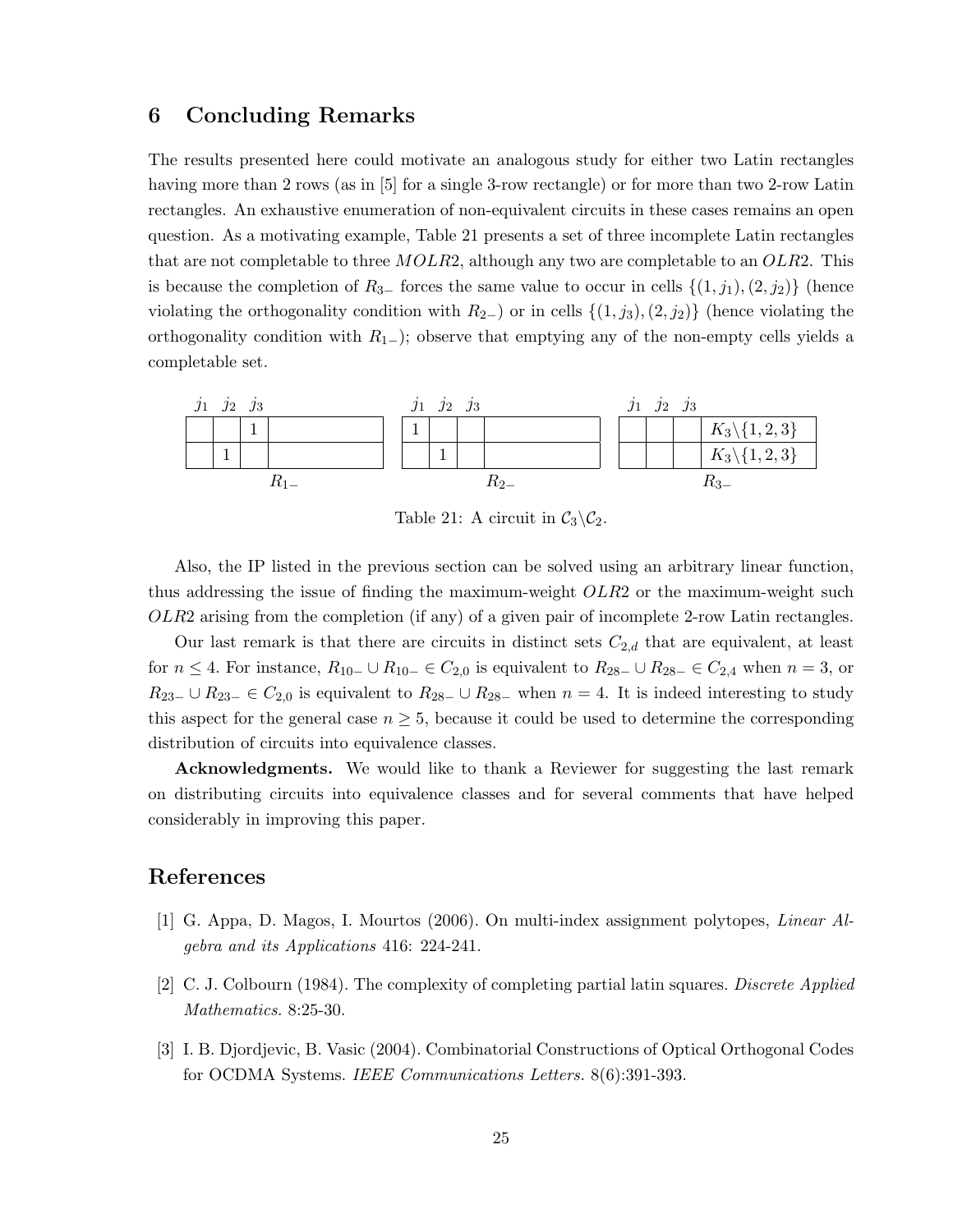# 6 Concluding Remarks

The results presented here could motivate an analogous study for either two Latin rectangles having more than 2 rows (as in [5] for a single 3-row rectangle) or for more than two 2-row Latin rectangles. An exhaustive enumeration of non-equivalent circuits in these cases remains an open question. As a motivating example, Table 21 presents a set of three incomplete Latin rectangles that are not completable to three  $MOLR2$ , although any two are completable to an  $OLR2$ . This is because the completion of  $R_{3-}$  forces the same value to occur in cells  $\{(1, j_1), (2, j_2)\}$  (hence violating the orthogonality condition with  $R_{2-}$ ) or in cells  $\{(1, j_3), (2, j_2)\}$  (hence violating the orthogonality condition with  $R_{1-}$ ); observe that emptying any of the non-empty cells yields a completable set.



Table 21: A circuit in  $C_3 \backslash C_2$ .

Also, the IP listed in the previous section can be solved using an arbitrary linear function, thus addressing the issue of finding the maximum-weight *OLR*2 or the maximum-weight such OLR2 arising from the completion (if any) of a given pair of incomplete 2-row Latin rectangles.

Our last remark is that there are circuits in distinct sets  $C_{2,d}$  that are equivalent, at least for  $n \leq 4$ . For instance,  $R_{10-} \cup R_{10-} \in C_{2,0}$  is equivalent to  $R_{28-} \cup R_{28-} \in C_{2,4}$  when  $n = 3$ , or  $R_{23-} \cup R_{23-} \in C_{2,0}$  is equivalent to  $R_{28-} \cup R_{28-}$  when  $n=4$ . It is indeed interesting to study this aspect for the general case  $n \geq 5$ , because it could be used to determine the corresponding distribution of circuits into equivalence classes.

Acknowledgments. We would like to thank a Reviewer for suggesting the last remark on distributing circuits into equivalence classes and for several comments that have helped considerably in improving this paper.

### References

- [1] G. Appa, D. Magos, I. Mourtos (2006). On multi-index assignment polytopes, Linear Algebra and its Applications 416: 224-241.
- [2] C. J. Colbourn (1984). The complexity of completing partial latin squares. Discrete Applied Mathematics. 8:25-30.
- [3] I. B. Djordjevic, B. Vasic (2004). Combinatorial Constructions of Optical Orthogonal Codes for OCDMA Systems. IEEE Communications Letters. 8(6):391-393.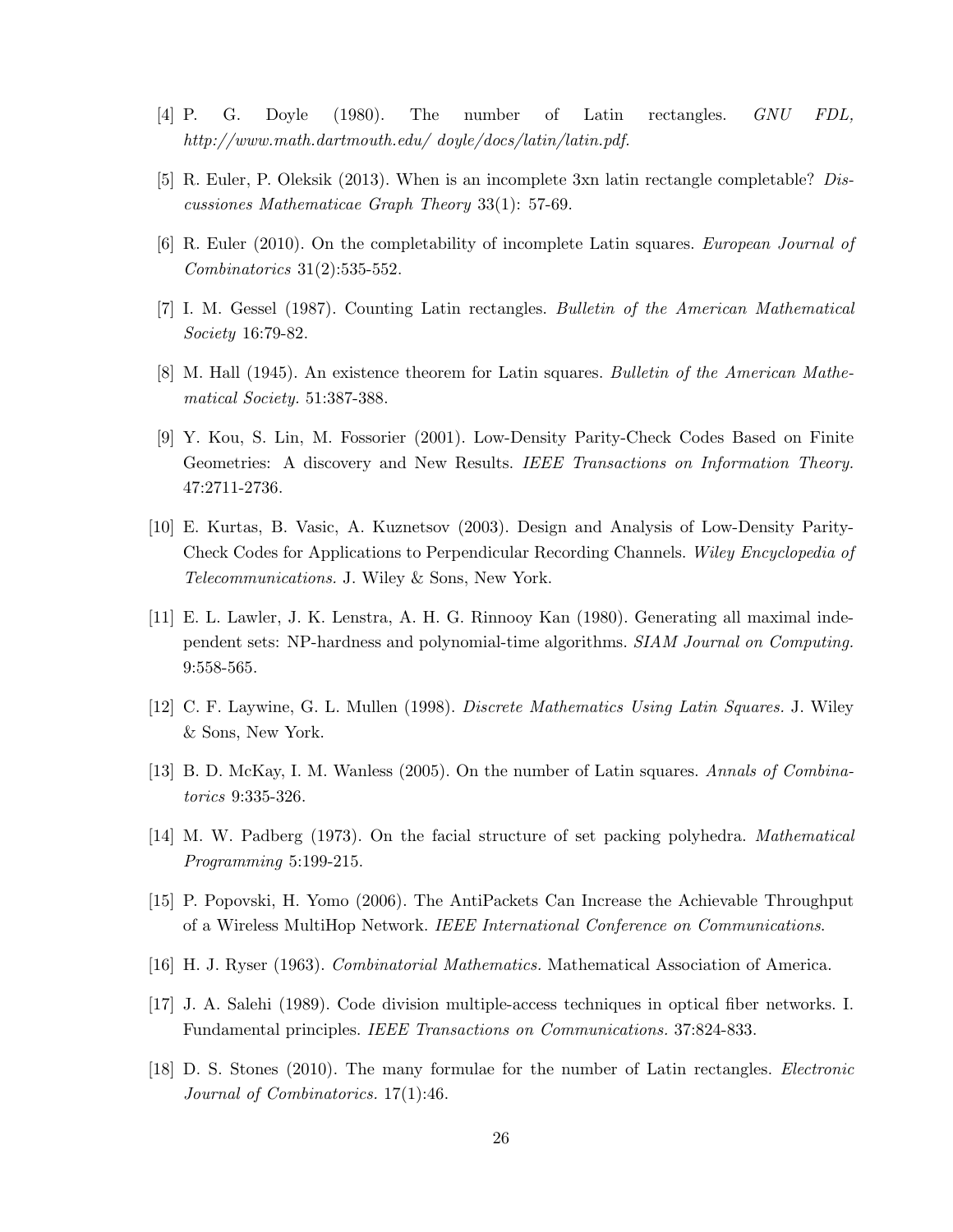- [4] P. G. Doyle (1980). The number of Latin rectangles. GNU FDL, http://www.math.dartmouth.edu/ doyle/docs/latin/latin.pdf.
- [5] R. Euler, P. Oleksik (2013). When is an incomplete 3xn latin rectangle completable? Discussiones Mathematicae Graph Theory 33(1): 57-69.
- [6] R. Euler (2010). On the completability of incomplete Latin squares. European Journal of Combinatorics 31(2):535-552.
- [7] I. M. Gessel (1987). Counting Latin rectangles. Bulletin of the American Mathematical Society 16:79-82.
- [8] M. Hall (1945). An existence theorem for Latin squares. Bulletin of the American Mathematical Society. 51:387-388.
- [9] Y. Kou, S. Lin, M. Fossorier (2001). Low-Density Parity-Check Codes Based on Finite Geometries: A discovery and New Results. IEEE Transactions on Information Theory. 47:2711-2736.
- [10] E. Kurtas, B. Vasic, A. Kuznetsov (2003). Design and Analysis of Low-Density Parity-Check Codes for Applications to Perpendicular Recording Channels. Wiley Encyclopedia of Telecommunications. J. Wiley & Sons, New York.
- [11] E. L. Lawler, J. K. Lenstra, A. H. G. Rinnooy Kan (1980). Generating all maximal independent sets: NP-hardness and polynomial-time algorithms. SIAM Journal on Computing. 9:558-565.
- [12] C. F. Laywine, G. L. Mullen (1998). Discrete Mathematics Using Latin Squares. J. Wiley & Sons, New York.
- [13] B. D. McKay, I. M. Wanless (2005). On the number of Latin squares. Annals of Combinatorics 9:335-326.
- [14] M. W. Padberg (1973). On the facial structure of set packing polyhedra. Mathematical Programming 5:199-215.
- [15] P. Popovski, H. Yomo (2006). The AntiPackets Can Increase the Achievable Throughput of a Wireless MultiHop Network. IEEE International Conference on Communications.
- [16] H. J. Ryser (1963). Combinatorial Mathematics. Mathematical Association of America.
- [17] J. A. Salehi (1989). Code division multiple-access techniques in optical fiber networks. I. Fundamental principles. IEEE Transactions on Communications. 37:824-833.
- [18] D. S. Stones (2010). The many formulae for the number of Latin rectangles. Electronic Journal of Combinatorics. 17(1):46.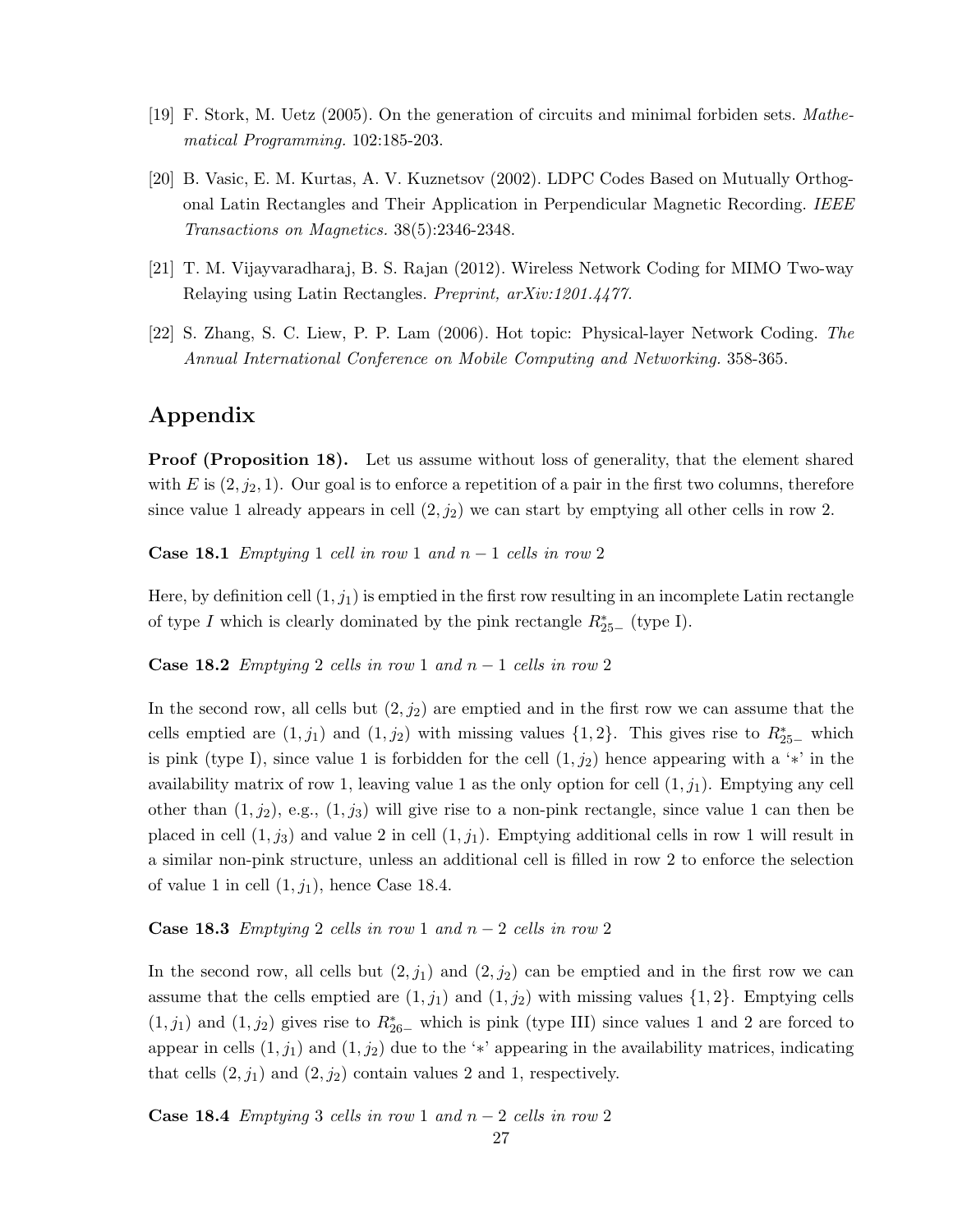- [19] F. Stork, M. Uetz (2005). On the generation of circuits and minimal forbiden sets. Mathematical Programming. 102:185-203.
- [20] B. Vasic, E. M. Kurtas, A. V. Kuznetsov (2002). LDPC Codes Based on Mutually Orthogonal Latin Rectangles and Their Application in Perpendicular Magnetic Recording. IEEE Transactions on Magnetics. 38(5):2346-2348.
- [21] T. M. Vijayvaradharaj, B. S. Rajan (2012). Wireless Network Coding for MIMO Two-way Relaying using Latin Rectangles. Preprint, arXiv:1201.4477.
- [22] S. Zhang, S. C. Liew, P. P. Lam (2006). Hot topic: Physical-layer Network Coding. The Annual International Conference on Mobile Computing and Networking. 358-365.

# Appendix

**Proof (Proposition 18).** Let us assume without loss of generality, that the element shared with E is  $(2, j_2, 1)$ . Our goal is to enforce a repetition of a pair in the first two columns, therefore since value 1 already appears in cell  $(2, j_2)$  we can start by emptying all other cells in row 2.

**Case 18.1** Emptying 1 cell in row 1 and  $n-1$  cells in row 2

Here, by definition cell  $(1, j_1)$  is emptied in the first row resulting in an incomplete Latin rectangle of type I which is clearly dominated by the pink rectangle  $R_{25-}^*$  (type I).

Case 18.2 Emptying 2 cells in row 1 and  $n-1$  cells in row 2

In the second row, all cells but  $(2, j_2)$  are emptied and in the first row we can assume that the cells emptied are  $(1, j_1)$  and  $(1, j_2)$  with missing values  $\{1, 2\}$ . This gives rise to  $R_{25-}^*$  which is pink (type I), since value 1 is forbidden for the cell  $(1, j_2)$  hence appearing with a '\*' in the availability matrix of row 1, leaving value 1 as the only option for cell  $(1, j_1)$ . Emptying any cell other than  $(1, j_2)$ , e.g.,  $(1, j_3)$  will give rise to a non-pink rectangle, since value 1 can then be placed in cell  $(1, j_3)$  and value 2 in cell  $(1, j_1)$ . Emptying additional cells in row 1 will result in a similar non-pink structure, unless an additional cell is filled in row 2 to enforce the selection of value 1 in cell  $(1, j_1)$ , hence Case 18.4.

#### **Case 18.3** Emptying 2 cells in row 1 and  $n-2$  cells in row 2

In the second row, all cells but  $(2, j_1)$  and  $(2, j_2)$  can be emptied and in the first row we can assume that the cells emptied are  $(1, j_1)$  and  $(1, j_2)$  with missing values  $\{1, 2\}$ . Emptying cells  $(1, j_1)$  and  $(1, j_2)$  gives rise to  $R_{26-}^*$  which is pink (type III) since values 1 and 2 are forced to appear in cells  $(1, j_1)$  and  $(1, j_2)$  due to the '\*' appearing in the availability matrices, indicating that cells  $(2, j_1)$  and  $(2, j_2)$  contain values 2 and 1, respectively.

**Case 18.4** Emptying 3 cells in row 1 and  $n-2$  cells in row 2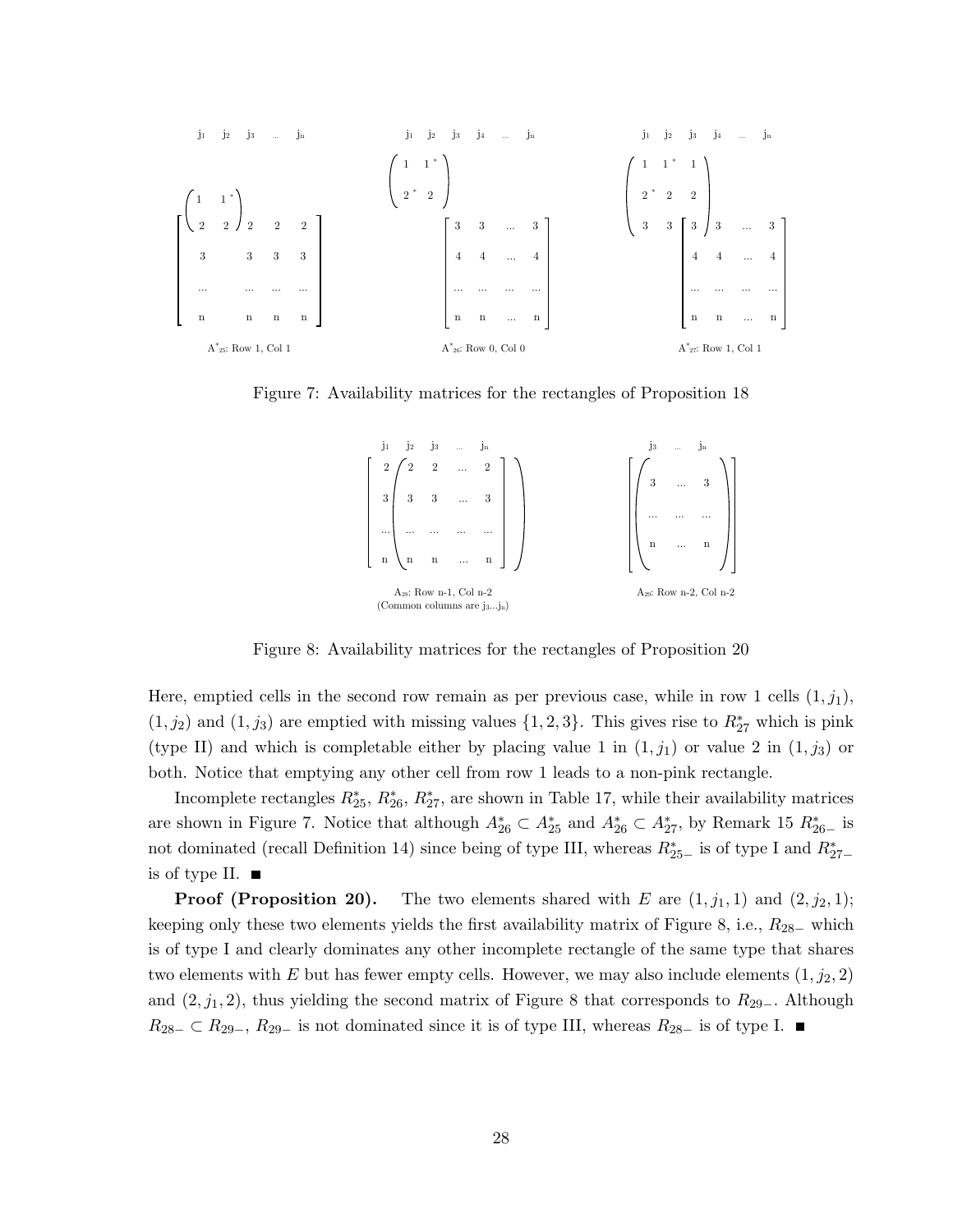

Figure 7: Availability matrices for the rectangles of Proposition 18

| $j_1$<br>Ĵз<br>$j_2$<br>$\ddotsc$                                    |                         | .Jn<br>$_{\rm J3}$<br>$\cdots$     |
|----------------------------------------------------------------------|-------------------------|------------------------------------|
| $\overline{2}$<br>$\overline{2}$<br>$\overline{2}$<br>$\cdots$       | $\overline{2}$          |                                    |
| $3 \mid 3 \mid 3$<br>$\ddotsc$                                       | 3                       | 3<br>3                             |
| $\cdots$<br>$\cdots$                                                 |                         | $\cdots$                           |
| $\mathbf n$<br>$\ddots$<br>$\mathbf{n}$<br>$\mathbf n$               | $\overline{\mathbf{n}}$ | $\bf n$<br>$\cdots$                |
| A <sub>28</sub> : Row n-1, Col n-2<br>(Common columns are $j_3j_n$ ) |                         | A <sub>29</sub> : Row n-2, Col n-2 |

Figure 8: Availability matrices for the rectangles of Proposition 20

Here, emptied cells in the second row remain as per previous case, while in row 1 cells  $(1, j_1)$ ,  $(1, j_2)$  and  $(1, j_3)$  are emptied with missing values  $\{1, 2, 3\}$ . This gives rise to  $R_{27}^*$  which is pink (type II) and which is completable either by placing value 1 in  $(1, j_1)$  or value 2 in  $(1, j_3)$  or both. Notice that emptying any other cell from row 1 leads to a non-pink rectangle.

Incomplete rectangles  $R_{25}^*$ ,  $R_{26}^*$ ,  $R_{27}^*$ , are shown in Table 17, while their availability matrices are shown in Figure 7. Notice that although  $A_{26}^* \subset A_{25}^*$  and  $A_{26}^* \subset A_{27}^*$ , by Remark 15  $R_{26-}^*$  is not dominated (recall Definition 14) since being of type III, whereas  $R_{25-}^*$  is of type I and  $R_{27-}^*$ is of type II.  $\blacksquare$ 

**Proof (Proposition 20).** The two elements shared with E are  $(1, j_1, 1)$  and  $(2, j_2, 1)$ ; keeping only these two elements yields the first availability matrix of Figure 8, i.e.,  $R_{28-}$  which is of type I and clearly dominates any other incomplete rectangle of the same type that shares two elements with E but has fewer empty cells. However, we may also include elements  $(1, j_2, 2)$ and  $(2, j_1, 2)$ , thus yielding the second matrix of Figure 8 that corresponds to  $R_{29-}$ . Although  $R_{28-} \subset R_{29-}, R_{29-}$  is not dominated since it is of type III, whereas  $R_{28-}$  is of type I.  $\blacksquare$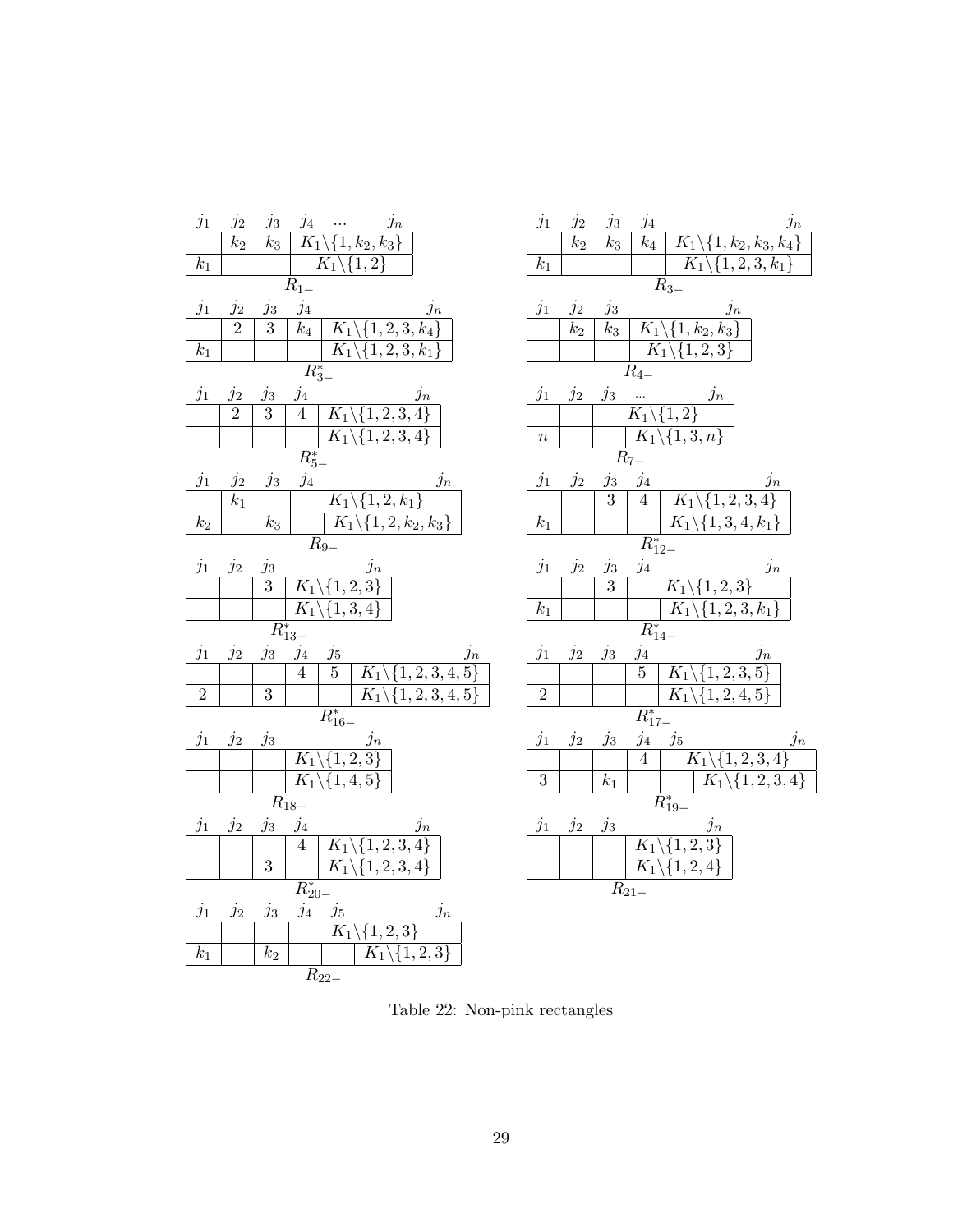| $j_1$<br>$j_2$<br>$j_3 \quad j_4 \quad \dots$<br>$j_n$<br>$\overline{k_3}$<br>$\overline{k_2}$<br>$K_1\backslash\{1,k_2,k_3\}$ | $j_1$<br>$j_{4}$<br>$j_2$<br>$j_3$<br>$j_{\underline{n}}$<br>$\overline{k_4}$<br>$K_1\backslash\{1,k_2,k_3,k_4\}$<br>$\overline{k_2}$<br>$\overline{k_3}$ |
|--------------------------------------------------------------------------------------------------------------------------------|-----------------------------------------------------------------------------------------------------------------------------------------------------------|
|                                                                                                                                | $k_1$                                                                                                                                                     |
| $\overline{K_1} \backslash \{1,2\}$<br>$\bar{k}_1$<br>$R_{1-}$                                                                 | $K_1 \backslash \{1,2,3,k_1\}$                                                                                                                            |
|                                                                                                                                | $\overline{R}_3$                                                                                                                                          |
| $\mathcal{j}_4$<br>$j_1$<br>$j_2$<br>$j_3$<br>$j_n$                                                                            | $j_1$<br>$j_2$<br>$j_3$<br>$j_n$                                                                                                                          |
| $K_1\backslash\{1,2,3,k_4\}$<br>$\overline{2}$<br>$\overline{k_4}$<br>3                                                        | $K_1\backslash\{1,k_2,k_3\}$<br>$k_2$<br>$k_3$                                                                                                            |
| $\overline{K_1} \backslash \{1,2,3,k_1$<br>$k_1$                                                                               | $K_1 \backslash \{1,2,3\}$                                                                                                                                |
| $\overline{R^*_{3-}}$                                                                                                          | $R_{4-}$                                                                                                                                                  |
| $j_1$<br>$j_2$<br>$\frac{j_4}{4}$<br>$\frac{j_3}{3}$<br>$j_n$                                                                  | $j_1$<br>$j_2$<br>$j_3$<br>$\frac{1}{K_1\setminus\{1,2\}}$<br>$j_n$                                                                                       |
| $K_1 \backslash \{1,2,3,4\}$<br>$\overline{2}$                                                                                 |                                                                                                                                                           |
| $K_1 \backslash \{1,2,3,4$                                                                                                     | $K_1\backslash \{1,3,n\}$<br>$\, n$                                                                                                                       |
| $R_{5-}^*$                                                                                                                     | $R_{7-}$                                                                                                                                                  |
| $j_{4}$<br>$j_1$<br>$j_2$<br>$j_3$<br>$j_n$                                                                                    | $j_1$<br>$\frac{j_4}{4}$<br>$j_2$<br>$j_3$<br>$\ensuremath{j_n}\xspace$                                                                                   |
| $\overline{K_1 \backslash \{1,2,k_1\}}$<br>$k_1$                                                                               | $K_1\backslash\{1,2,3,4\}$<br>$\overline{3}$                                                                                                              |
| $K_1\backslash\{1,2,k_2,k_3\}$<br>$\overline{k_2}$<br>$k_3$                                                                    | $K_1 \backslash \{1,3,4,k_1$<br>$\overline{k_1}$                                                                                                          |
| $R_{9-}$                                                                                                                       | $\overline{R^{*}_{12-}}$                                                                                                                                  |
| $j_1$<br>$j_2$<br>$\frac{j_3}{3}$<br>$\frac{j_n}{K_1\setminus\{1,2,3\}}$                                                       | $j_{4}% \rightarrow j_{4}$<br>$j_1$<br>$j_2$<br>$j_3$<br>$j_n$                                                                                            |
|                                                                                                                                | $\overline{3}$<br>$K_1\backslash\{1,2,3\}$                                                                                                                |
| $\overline{K_1 \backslash \{1,3,4\}}$                                                                                          | $\overline{K}_1 \backslash \{1,2,3,k_1\}$<br>$k_1$                                                                                                        |
| $\overline{R^{*}_{13-}}$                                                                                                       | $\overline{R^{*}_{14-}}$                                                                                                                                  |
| $j_4$<br>$j_1$<br>$j_2$<br>$j_3$<br>$j_5$<br>$j_n$                                                                             | $j_3$<br>$\frac{j_4}{5}$<br>$j_1$<br>$j_2$<br>$j_n$                                                                                                       |
| $\overline{4}$<br>$\overline{5}$<br>$K_1 \setminus \{1, 2, 3, 4, 5\}$                                                          | $K_1\backslash\{1,2,3,5\}$                                                                                                                                |
| $\overline{2}$<br>$\overline{3}$<br>$\overline{K_1} \backslash \{1,2,3,4,5\}$                                                  | $\overline{2}$<br>$K_1\backslash\{1,2,4,5\}$                                                                                                              |
| $R_{16-}^*$                                                                                                                    | $\overline{R^{*}_{17-}}$                                                                                                                                  |
| $\ensuremath{j}_n$<br>$j_1$<br>$j_2$<br>$j_3$                                                                                  | $j_4\quad j_5$<br>$j_1$<br>$j_3$<br>$j_2$<br>$j_n$                                                                                                        |
| $\overline{K_1 \backslash \{1,2,3\}}$                                                                                          | $\overline{4}$<br>$K_1 \backslash \{1,2,3,4\}$                                                                                                            |
| $K_1\backslash\{1,4,5\}$                                                                                                       | $\overline{3}$<br>$k_1$<br>$\overline{K_1 \backslash \{1,2},3,4\}$                                                                                        |
| $\overline{R_{18-}}$                                                                                                           | $R_{19-}^*$                                                                                                                                               |
| $j_1$<br>$j_2$<br>$j_4$<br>$j_3$<br>$j_n$                                                                                      | $j_1$<br>$\ensuremath{j}_n$<br>$j_2$<br>$j_3$                                                                                                             |
| $K_1\backslash\{1,2,3,4\}$<br>$\overline{4}$                                                                                   | $K_1 \backslash \{1,2,3\}$                                                                                                                                |
| $K_1 \backslash \{1,2,3,4\}$<br>$\overline{3}$                                                                                 | $K_1\backslash\{1,2,4\}$                                                                                                                                  |
| $R_{20-}^*$                                                                                                                    | $\overline{R_{21-}}$                                                                                                                                      |
| $j_1$<br>$j_{\underline{5}}$<br>$j_2$<br>$j_3$<br>$j_4$<br>$j_n$                                                               |                                                                                                                                                           |
| $K_1\backslash\{1,2,3\}$                                                                                                       |                                                                                                                                                           |
| $\overline{K}_1 \backslash \{1,2,3\}$<br>$k_1$<br>$k_2$                                                                        |                                                                                                                                                           |
| $R_{22-}$                                                                                                                      |                                                                                                                                                           |

Table 22: Non-pink rectangles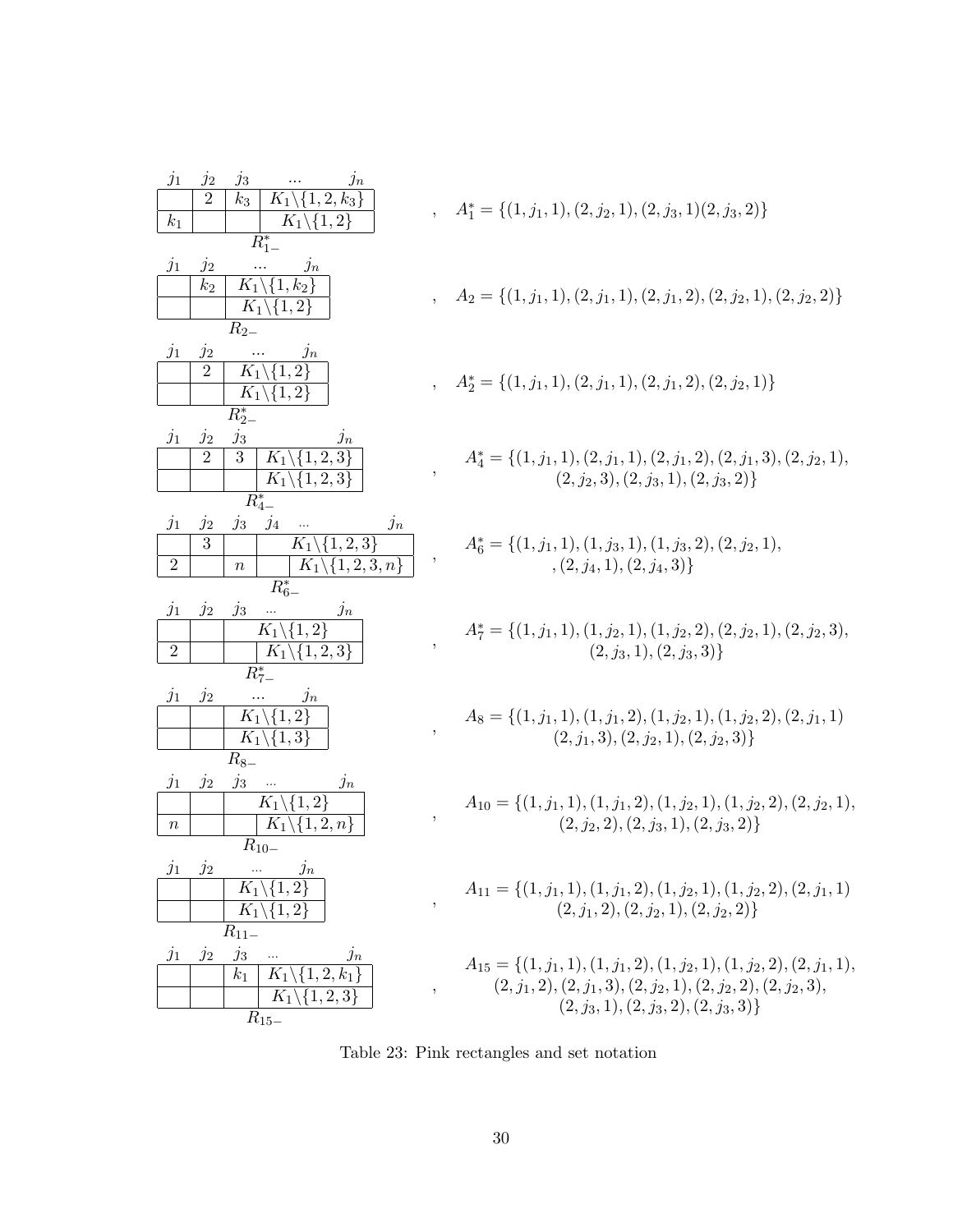| $j_1$            | $j_2$<br>$j_3$<br>$\jmath_n$                                                     |                         |                                                                                |
|------------------|----------------------------------------------------------------------------------|-------------------------|--------------------------------------------------------------------------------|
|                  | $\overline{2}$<br>$K_1 \backslash \{1,2,k_3\}$<br>$k_3$                          |                         | $A_1^* = \{(1, j_1, 1), (2, j_2, 1), (2, j_3, 1), (2, j_3, 2)\}\$              |
| $k_1$            | $\overline{K}_1 \backslash \{1,2\}$                                              |                         |                                                                                |
|                  | $R_{1-}^*$                                                                       |                         |                                                                                |
| $j_1$            | $j_2$<br>$\jmath n$                                                              |                         |                                                                                |
|                  | $K_1 \backslash \{1, k_2\}$<br>k <sub>2</sub>                                    |                         |                                                                                |
|                  | $K_1 \backslash \{1,2\}$                                                         |                         | $A_2 = \{(1, j_1, 1), (2, j_1, 1), (2, j_1, 2), (2, j_2, 1), (2, j_2, 2)\}\$   |
|                  | $R_{2-}$                                                                         |                         |                                                                                |
| $j_1$            | $j_2$<br>$\jmath_n$                                                              |                         |                                                                                |
|                  | $K_1 \backslash \{1,2\}$<br>$\overline{2}$                                       |                         |                                                                                |
|                  | $K_1 \backslash \{1,2\}$                                                         |                         | $A_2^* = \{(1, j_1, 1), (2, j_1, 1), (2, j_1, 2), (2, j_2, 1)\}$               |
|                  | $R_{2-}^*$                                                                       |                         |                                                                                |
|                  | $j_3$                                                                            |                         |                                                                                |
| $j_1$            | $j_2$<br>$\jmath_n$<br>$K_1\overline{\setminus\{1,2,3\}}$<br>3<br>$\overline{2}$ |                         |                                                                                |
|                  |                                                                                  | ,                       | $A_4^* = \{(1, j_1, 1), (2, j_1, 1), (2, j_1, 2), (2, j_1, 3), (2, j_2, 1),$   |
|                  | $K_1 \backslash \{1,2,3\}$                                                       |                         | $(2, j_2, 3), (2, j_3, 1), (2, j_3, 2)$                                        |
|                  | $R_{4-}^*$                                                                       |                         |                                                                                |
| $j_1$            | $j_4$<br>$j_2$<br>$j_3$<br>$j_n$                                                 |                         |                                                                                |
|                  | 3<br>$K_1 \backslash \{1,2,3\}$                                                  | $^\mathrm{^\mathrm{o}}$ | $A_6^* = \{(1, j_1, 1), (1, j_3, 1), (1, j_3, 2), (2, j_2, 1),$                |
| $\overline{2}$   | $K_1 \backslash \{1, 2, 3, n\}$<br>$\boldsymbol{n}$                              |                         | $\{2, j_4, 1\}, (2, j_4, 3)\}$                                                 |
|                  | $R_{6-}^*$                                                                       |                         |                                                                                |
| $j_1$            | $j_3$<br>$j_2$<br>$\jmath_n$                                                     |                         |                                                                                |
|                  | $K_1 \backslash \{1,2\}$                                                         |                         | $A_7^* = \{(1, j_1, 1), (1, j_2, 1), (1, j_2, 2), (2, j_2, 1), (2, j_2, 3),$   |
| $\overline{2}$   | $K_1 \backslash \{1,2,3\}$                                                       |                         | $\{2, j_3, 1\}, \{2, j_3, 3\}$                                                 |
|                  | $R_{7-}^*$                                                                       |                         |                                                                                |
| $j_1$            | $j_2$<br>$\jmath_n$                                                              |                         |                                                                                |
|                  | $\{1,\overline{2}\}$<br>$K_1$                                                    |                         | $A_8 = \{(1, j_1, 1), (1, j_1, 2), (1, j_2, 1), (1, j_2, 2), (2, j_1, 1)\}$    |
|                  | $K_1 \backslash \{1,3\}$                                                         | ,                       | $(2, j_1, 3), (2, j_2, 1), (2, j_2, 3)$                                        |
|                  | $R_{8-}$                                                                         |                         |                                                                                |
| $j_1$            | $j_3$<br>$j_2$<br>$j_n$<br>$\ldots$                                              |                         |                                                                                |
|                  | $K_1 \backslash \{1,\overline{2}\}$                                              |                         | $A_{10} = \{(1, j_1, 1), (1, j_1, 2), (1, j_2, 1), (1, j_2, 2), (2, j_2, 1),$  |
| $\, n$           | $K_1 \backslash \{1,2,n\}$                                                       | $\overline{ }$          | $(2, j_2, 2), (2, j_3, 1), (2, j_3, 2)$                                        |
|                  | $R_{10-}$                                                                        |                         |                                                                                |
|                  | $j_1$ $j_2$<br>$j_n$<br>$\cdots$                                                 |                         |                                                                                |
|                  | $K_1$<br>$\{1,2\}$                                                               |                         | $A_{11} = \{(1, j_1, 1), (1, j_1, 2), (1, j_2, 1), (1, j_2, 2), (2, j_1, 1)\}$ |
|                  | $\{1,2\}$<br>$K_1$                                                               |                         | $(2, j_1, 2), (2, j_2, 1), (2, j_2, 2)$                                        |
|                  | $R_{11-}$                                                                        |                         |                                                                                |
|                  | $j_3$<br>$j_2$                                                                   |                         |                                                                                |
| $\overline{j_1}$ | $\jmath_n$<br>$K_1 \backslash \{1,2,k_1\}$<br>k <sub>1</sub>                     |                         | $A_{15} = \{(1, j_1, 1), (1, j_1, 2), (1, j_2, 1), (1, j_2, 2), (2, j_1, 1),$  |
|                  | $K_1 \backslash \{1,2,3\}$                                                       | $\overline{ }$          | $(2, j_1, 2), (2, j_1, 3), (2, j_2, 1), (2, j_2, 2), (2, j_2, 3),$             |
|                  |                                                                                  |                         | $(2, j_3, 1), (2, j_3, 2), (2, j_3, 3)$                                        |
|                  | $R_{15-}$                                                                        |                         |                                                                                |

Table 23: Pink rectangles and set notation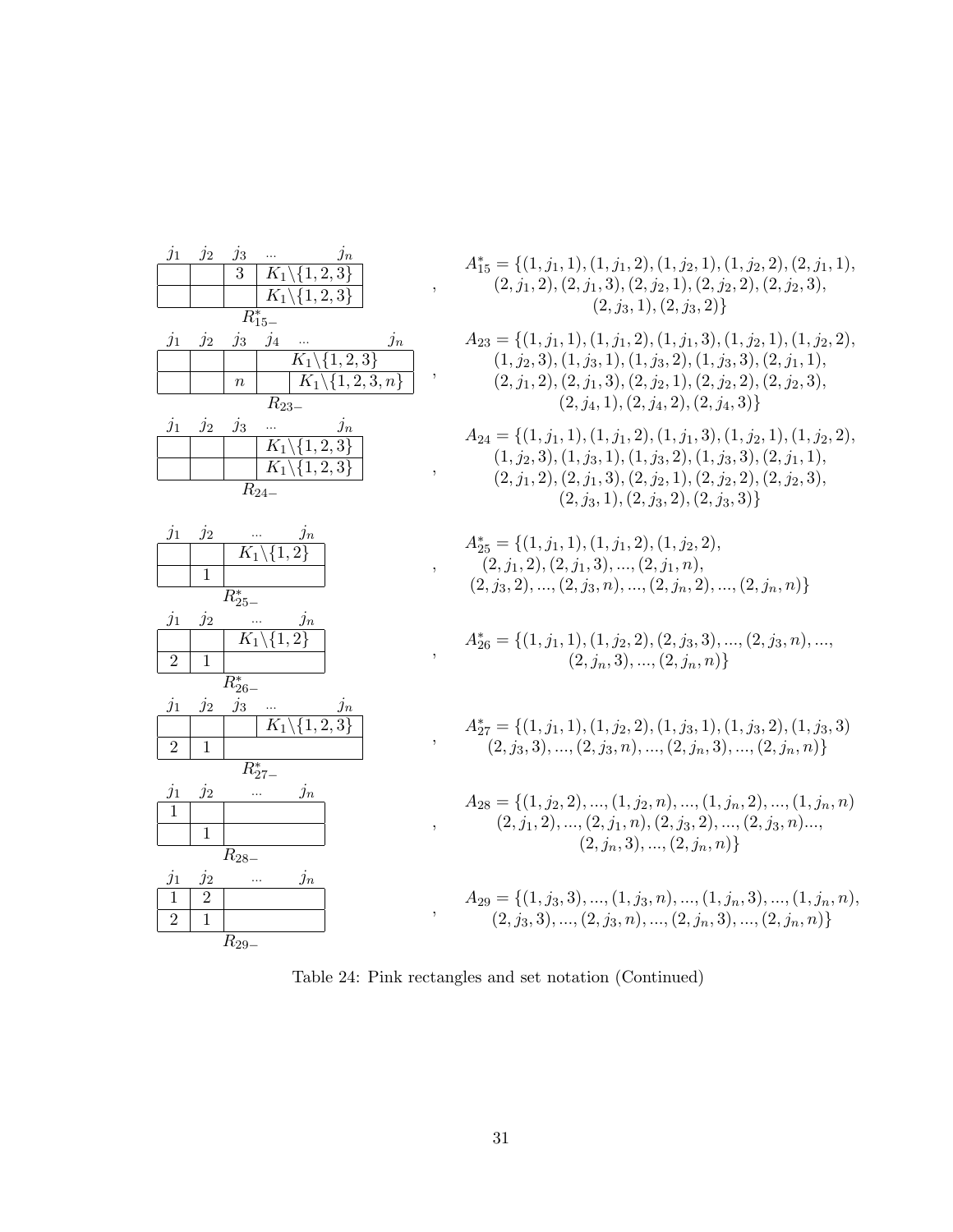| $j_1$               | $j_2$           | $\frac{j_3}{3}$       |                                                  |
|---------------------|-----------------|-----------------------|--------------------------------------------------|
|                     |                 |                       | $\frac{j_n}{\sqrt{\{1,2,3\}}}$<br>$\frac{}{K_1}$ |
|                     |                 |                       | $K_1 \backslash \{1,2,3\}$                       |
|                     |                 |                       | $R_{15-}^*$                                      |
| $j_1$               | $\dot{j}_2$     | $j_3$                 | $j_4$<br>$j_n$                                   |
|                     |                 |                       | $\overline{K_1 \backslash \{1,2,3\}}$            |
|                     |                 | $\boldsymbol{n}$      | $K_1\backslash\{1,2,3,n\}$                       |
|                     |                 |                       | $R_{23}$                                         |
| $j_1$               | $j_2$           | $j_3$                 | $\frac{j_n}{K_1\setminus\{1,2,3\}}$              |
|                     |                 |                       |                                                  |
|                     |                 |                       | $K_1 \backslash \{1,2,3\}$                       |
|                     |                 |                       | $\overline{R_{24}}$ .                            |
|                     |                 |                       |                                                  |
| $j_{\underline{1}}$ | $j_2$           |                       | $\frac{m}{K_1\setminus\{1,2\}}$                  |
|                     |                 |                       |                                                  |
|                     | $\overline{1}$  |                       |                                                  |
|                     |                 | $\overline{R}_{25}^*$ |                                                  |
| $j_1$               | $\dot{j}_2$     |                       | $\frac{m}{K_1\setminus\{1,2\}}$                  |
|                     |                 |                       |                                                  |
| $\overline{2}$      | $\overline{1}$  |                       |                                                  |
|                     |                 | $R_{26}^*$            |                                                  |
| $j_1$               | $\dot{j}_2$     | $j_3$                 | $\frac{j_n}{K_1\setminus\{1,2,3\}}$              |
|                     |                 |                       |                                                  |
| $\overline{2}$      | $\overline{1}$  |                       |                                                  |
|                     |                 |                       | $\overline{R}_{27-}^{*}$                         |
| $j_1\,$             | $j_2$           |                       | $j_n$                                            |
| $\overline{1}$      |                 |                       |                                                  |
|                     | $\overline{1}$  |                       |                                                  |
|                     |                 | $\overline{R}_{28-}$  |                                                  |
| $\frac{j_1}{1}$     | $\frac{j_2}{2}$ |                       | $j_n$<br>                                        |
|                     |                 |                       |                                                  |
| $\overline{2}$      |                 |                       |                                                  |
|                     |                 | $\overline{R}_{29-}$  |                                                  |

$$
A_{15}^* = \{ (1, j_1, 1), (1, j_1, 2), (1, j_2, 1), (1, j_2, 2), (2, j_1, 1), (2, j_1, 2), (2, j_1, 3), (2, j_2, 1), (2, j_2, 2), (2, j_2, 3), (2, j_3, 1), (2, j_3, 2) \}
$$

$$
A_{23} = \{ (1, j_1, 1), (1, j_1, 2), (1, j_1, 3), (1, j_2, 1), (1, j_2, 2),(1, j_2, 3), (1, j_3, 1), (1, j_3, 2), (1, j_3, 3), (2, j_1, 1),(2, j_1, 2), (2, j_1, 3), (2, j_2, 1), (2, j_2, 2), (2, j_2, 3),(2, j_4, 1), (2, j_4, 2), (2, j_4, 3) \}
$$

$$
A_{24} = \{ (1, j_1, 1), (1, j_1, 2), (1, j_1, 3), (1, j_2, 1), (1, j_2, 2), (1, j_2, 3), (1, j_3, 1), (1, j_3, 2), (1, j_3, 3), (2, j_1, 1), (2, j_1, 2), (2, j_1, 3), (2, j_2, 1), (2, j_2, 2), (2, j_2, 3), (2, j_3, 1), (2, j_3, 2), (2, j_3, 3) \}
$$

$$
A_{25}^{*} = \{ (1, j_1, 1), (1, j_1, 2), (1, j_2, 2), (2, j_1, 2), (2, j_1, 3), ..., (2, j_1, n), (2, j_3, 2), ..., (2, j_3, n), ..., (2, j_n, 2), ..., (2, j_n, n) \}
$$

$$
A_{26}^* = \{ (1, j_1, 1), (1, j_2, 2), (2, j_3, 3), ..., (2, j_3, n), ..., (2, j_n, 3), ..., (2, j_n, n) \}
$$

$$
A_{27}^* = \{ (1, j_1, 1), (1, j_2, 2), (1, j_3, 1), (1, j_3, 2), (1, j_3, 3), (2, j_3, 3), \dots, (2, j_3, n), \dots, (2, j_n, 3), \dots, (2, j_n, n) \}
$$

$$
A_{28} = \{ (1, j_2, 2), ..., (1, j_2, n), ..., (1, j_n, 2), ..., (1, j_n, n) (2, j_1, 2), ..., (2, j_1, n), (2, j_3, 2), ..., (2, j_3, n), ..., (2, j_n, 3), ..., (2, j_n, n) \}
$$

$$
A_{29} = \{ (1, j_3, 3), ..., (1, j_3, n), ..., (1, j_n, 3), ..., (1, j_n, n),
$$
  

$$
(2, j_3, 3), ..., (2, j_3, n), ..., (2, j_n, 3), ..., (2, j_n, n) \}
$$

Table 24: Pink rectangles and set notation (Continued)

,

,

,

,

,

,

,

,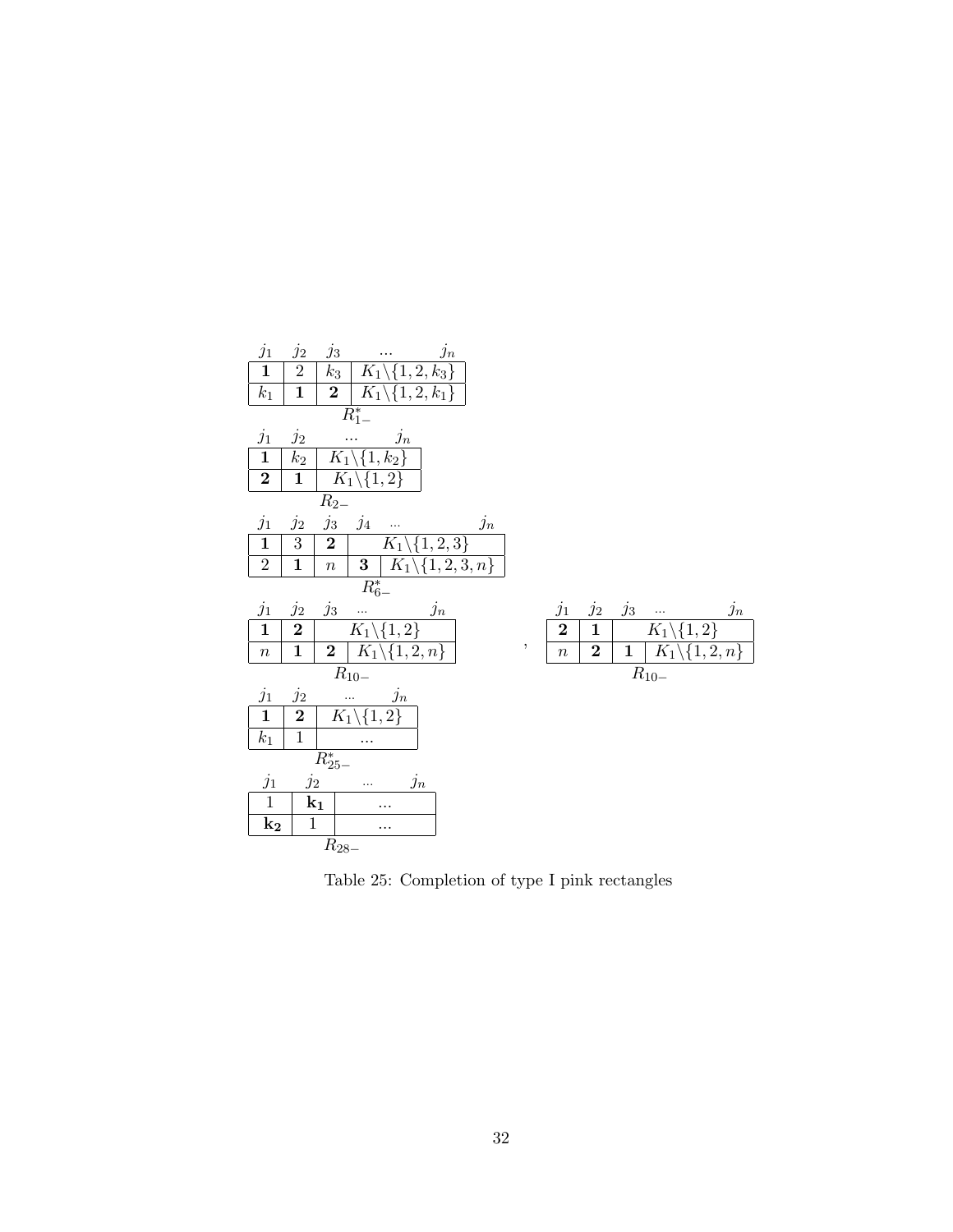| $j_1$                   | $j_2$                    | $j_n$<br>$j_3$<br>$\mathcal{L}^{\text{max}}$ , and $\mathcal{L}^{\text{max}}$                               |   |                                                                                                                                                                                          |
|-------------------------|--------------------------|-------------------------------------------------------------------------------------------------------------|---|------------------------------------------------------------------------------------------------------------------------------------------------------------------------------------------|
| $\overline{\mathbf{1}}$ | $\overline{2}$           | $k_3   K_1 \setminus \{1, 2, k_3\}$                                                                         |   |                                                                                                                                                                                          |
| $k_1$                   | $\mathbf{1}$             | <b>2</b>   $K_1 \setminus \{1, 2, k_1\}$                                                                    |   |                                                                                                                                                                                          |
|                         |                          | $R_{1-}^*$                                                                                                  |   |                                                                                                                                                                                          |
| $j_1\,$                 | $j_2$                    | $\frac{}{\mid K_1\backslash\{1,k_2\}}$                                                                      |   |                                                                                                                                                                                          |
| $\mathbf{1}$            | $\mathfrak{k}_2$         |                                                                                                             |   |                                                                                                                                                                                          |
| $\overline{2}$          |                          | $\overline{1 \mid K_1 \setminus \{1,2\}}$                                                                   |   |                                                                                                                                                                                          |
|                         |                          | $R_{2-}$                                                                                                    |   |                                                                                                                                                                                          |
| $j_1$                   | $j_2$                    | $\begin{array}{ c c } \hline j_3 & j_4 &  & j_n \ \hline 2 & K_1 \backslash \{1,2,3\} \ \hline \end{array}$ |   |                                                                                                                                                                                          |
| $\mathbf{1}$            | $\overline{3}$           |                                                                                                             |   |                                                                                                                                                                                          |
| $\sqrt{2}$              | $\mathbf{1}$             | $\boxed{n \mid \mathbf{3} \mid K_1 \setminus \{1,2,3,n\}}$                                                  |   |                                                                                                                                                                                          |
|                         |                          | $\overline{R^*_{6-}}$                                                                                       |   |                                                                                                                                                                                          |
| $j_1$                   | $\mathfrak{j}_2$         | $\frac{j_3 \quad  \quad j_n}{\left  K_1 \setminus \{1,2\} \right }$                                         |   | $j_2$<br>$\frac{j_1}{2}$<br>$\begin{array}{ c c } \hline j_3 &  & j_n \ \hline & K_1 \backslash \{1,2\} \ \hline & 1 & K_1 \backslash \{1,2,n\} \ \hline \end{array}$<br>$\frac{j_n}{j}$ |
| $\overline{\mathbf{1}}$ | $\overline{2}$           |                                                                                                             |   | $\frac{1}{\sqrt{1}}$                                                                                                                                                                     |
| $\boldsymbol{n}$        | $\mathbf{1}$             | <b>2</b> $K_1 \setminus \{1, 2, n\}$                                                                        | , | $\frac{1}{n}$<br>$\overline{2}$                                                                                                                                                          |
|                         |                          | $\mathcal{R}_{10-}$                                                                                         |   | $R_{10-}$                                                                                                                                                                                |
| $j_1$                   | $\frac{j_2}{\mathbf{2}}$ | $\frac{m}{\mid K_1 \setminus \{1,2\}}$                                                                      |   |                                                                                                                                                                                          |
| $\mathbf 1$             |                          |                                                                                                             |   |                                                                                                                                                                                          |
| $k_1$                   | $\mathbf{1}$             |                                                                                                             |   |                                                                                                                                                                                          |
|                         |                          | $R_{25-}^*$                                                                                                 |   |                                                                                                                                                                                          |
| $j_1\,$                 | $j_2$                    | $j_n$<br>$\sim 100$                                                                                         |   |                                                                                                                                                                                          |
| $\mathbf{1}$            |                          | $\mathbf{k}_1$<br>$\cdots$                                                                                  |   |                                                                                                                                                                                          |
| $\mathbf{k_{2}}$        | $\mathbf{1}$             | .                                                                                                           |   |                                                                                                                                                                                          |
|                         |                          | $R_{28-}$                                                                                                   |   |                                                                                                                                                                                          |

Table 25: Completion of type I pink rectangles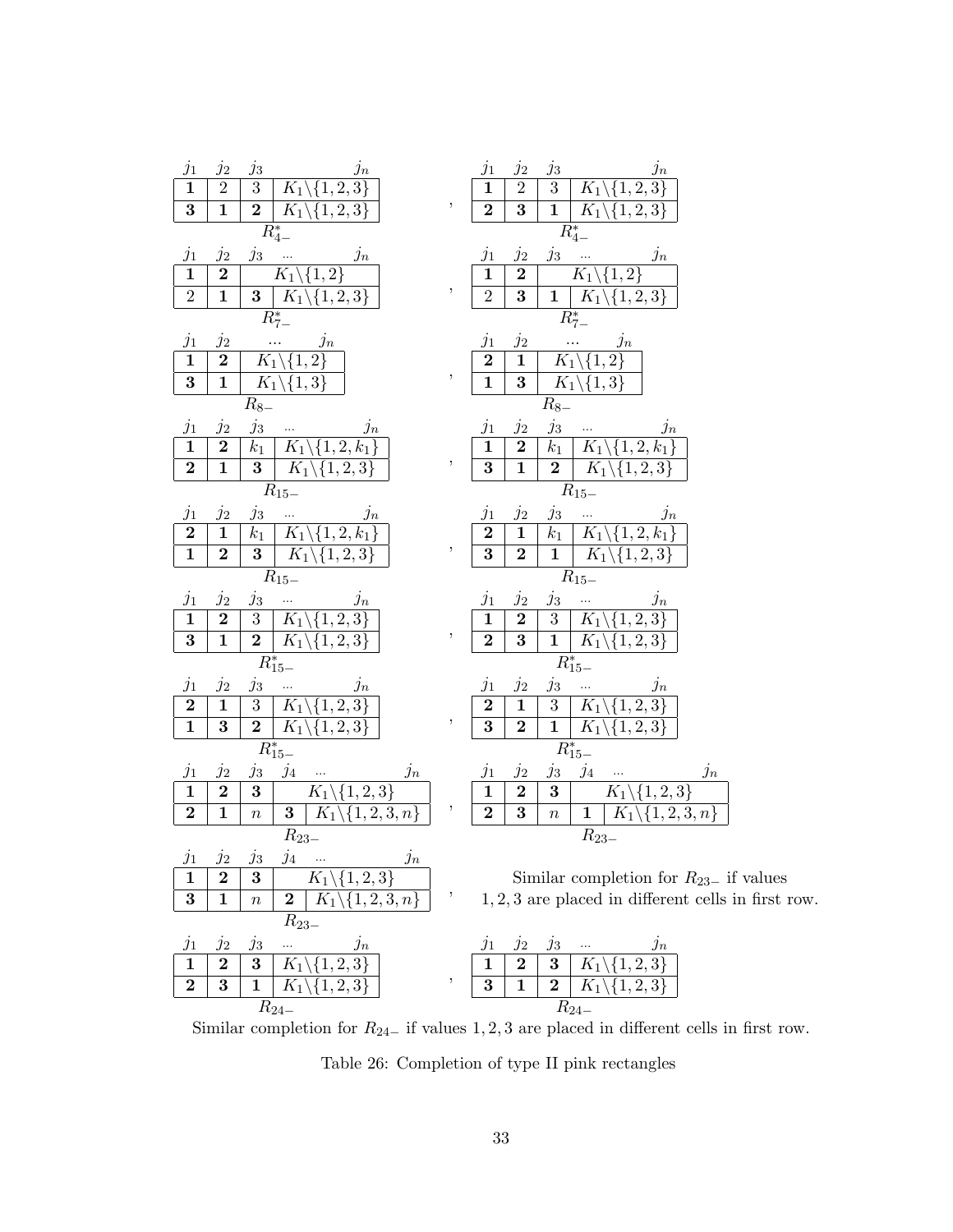| $j_1$<br>$j_2$<br>$j_n$<br>$j_3$<br>$\frac{\overline{1}}{3}$<br>$\overline{2}$<br>$\overline{3}$<br>$K_1 \backslash \{1,2,3\}$<br>$\overline{1}$<br>$\overline{2}$<br>$\overline{K_1} \backslash \{1,2,3\}$<br>$R_{4-}^*$                                                             | $^\mathrm{^\mathrm{o}}$ | $j_1$<br>$\frac{j_2}{2}$<br>$j_n$<br>$j_3$<br>$\overline{3}$<br>$\overline{1}$<br>$K_1 \backslash \{1,2,3\}$<br>$\overline{2}$<br>$\mathbf{1}$<br>$\overline{K}_1\backslash\{1,2,3\}$<br>$\overline{R_{4-}^*}$                                               |
|---------------------------------------------------------------------------------------------------------------------------------------------------------------------------------------------------------------------------------------------------------------------------------------|-------------------------|--------------------------------------------------------------------------------------------------------------------------------------------------------------------------------------------------------------------------------------------------------------|
| $\frac{j_1}{1}$<br>$j_3$<br>$j_2$<br>$j_n$<br>$\overline{2}$<br>$K_1$<br>${1,2}$<br>$\overline{2}$<br>$\overline{1}$<br>$K_1 \backslash \{1,2,3\}$<br>$\bf{3}$<br>$R_{7-}^*$                                                                                                          | $^\mathrm{^{^\circ}}$   | $j_3$<br>$j_1$<br>$j_2$<br>$j_n$<br>$\overline{1}$<br>$\overline{2}$<br>$\overline{K}_1$<br>$\{1,2\}$<br>$\overline{\mathbf{3}}$<br>$\overline{2}$<br>$\overline{1}$<br>$K_1\setminus$<br>${1, 2, 3}$<br>$R_{7-}^*$                                          |
| $j_1$<br>$j_n$<br>$j_2$<br>$\overline{1}$<br>$K_1$<br>$\overline{2}$<br>$\bf{2}$<br>$\{1,$<br>$\overline{\mathbf{3}}$<br>$\overline{1}$<br>$\overline{K_1 \backslash \{1,3\}}$<br>$R_{8-}$                                                                                            | $\, ,$                  | $j_1$<br>$j_2$<br>$j_n$<br>$\overline{2}$<br>$\bf{1}$<br>$K_1$<br>2<br>$\{1,$<br>$\overline{\mathbf{3}}$<br>$\overline{1}$<br>$\overline{K_1 \setminus \{1,3\}}$<br>$R_{\rm 8-}$                                                                             |
| $j_3$<br>$\frac{j_1}{1}$<br>$j_2$<br>$j_n$<br>$\cdots$<br>$k_1$<br>$\bf{2}$<br>$K_1 \backslash \{1,2,k_1$<br>$\overline{2}$<br>$K_1\backslash\{1,2,3\}$<br>$\mathbf{1}$<br>$\bf{3}$<br>$R_{15-}$                                                                                      | $\, ,$                  | $j_3$<br>$j_2$<br>$j_1$<br>$\jmath_n$<br>$\ldots$<br>$\overline{k_1}$<br>$\mathbf{1}$<br>$\bf{2}$<br>$K_1 \backslash \{1,2,k_1$<br>$\overline{\mathbf{3}}$<br>$\overline{1}$<br>$\overline{2}$<br>$K_1 \backslash \{1,2,3\}$<br>$R_{15-}$                    |
| $\frac{j_1}{2}$<br>$j_3$<br>$j_2$<br>$j_n$<br>$\overline{1}$<br>$\overline{k_1}$<br>$\overline{K_1}$<br>$\{1, 2, k_1\}$<br>$\overline{K_1}$<br>$\overline{3}$<br>$\overline{\{1,2,3\}}$<br>$\bf{2}$<br>$\overline{R}_{15-}$                                                           | $\, ,$                  | $j_1$<br>$j_2$<br>$j_3$<br>$j_n$<br>$\overline{2}$<br>$\overline{1}$<br>$k_1$<br>$\frac{K_1}{K_1}$<br>$\{1, 2, k_1\}$<br>$\overline{1}$<br>$\overline{2}$<br>$\overline{\mathbf{3}}$<br>$\overline{1,2,3}$<br>$\overline{R}_{15-}$                           |
| $j_1$<br>$j_2$<br>$\mathfrak{j}_n$<br>$j_3$<br>$\sim$ $\sim$<br>$\overline{1}$<br>3 <sup>1</sup><br>$K_1$<br>$\bf{2}$<br>$1, 2, 3\}$<br>$\overline{\mathbf{1}}$<br>$\frac{2}{R_{15-}^*}$<br>$\overline{K_1}$<br>$\overline{\mathbf{3}}$<br>$\overline{\{1,2,3\}}$                     | $\, ,$                  | $j_2$<br>$j_1$<br>$j_3$<br>$j_n$<br>$\overline{3}$<br>$\bf{2}$<br>$K_1$<br>$\mathbf{1}$<br>1, 2, 3<br>$\overline{1}$<br>$\overline{K_1}$<br>$\overline{\mathbf{3}}$<br>$\overline{2}$<br>$\{1, 2, 3\}$<br>$R_{15-}^*$                                        |
| $j_1$<br>$j_3$<br>$j_n$<br>$j_2$<br>$\frac{2}{1}$<br>$\sqrt{3}$<br>$\mathbf 1$<br>$K_1$<br>3<br>1, 2,<br>$\frac{\frac{1}{2} \frac{1}{10}}{R_{15-}^*}$<br>$\overline{\mathbf{3}}$<br>$K_1 \backslash \{1,2,3\}$                                                                        |                         | $j_2$<br>$j_3$<br>$j_1$<br>$j_n$<br>$\overline{1}$<br>$\bf{2}$<br>$\overline{3}$<br>$K_1$<br>2,<br>$\overline{\mathbf{1}}$<br>$\overline{\mathbf{3}}$<br>$\overline{2}$<br>$K_1\backslash\{1,2,3\}$<br>$\overline{R^*_{15-}}$                                |
| $\frac{j_1}{1}$<br>$j_{4}$<br>$j_2$<br>$j_3$<br>$j_n$<br>$\ldots$<br>$\overline{2}$<br>$\overline{\mathbf{3}}$<br>$K_1 \backslash \{1,2,\overline{3}\}$<br>$K_1 \backslash \{1,2,3,n\}$<br>$\overline{\mathbf{3}}$<br>$\boldsymbol{2}$<br>$\mathbf{1}$<br>$\overline{n}$<br>$R_{23-}$ | ,                       | $j_1$<br>$j_2$<br>$j_4$<br>$\frac{j_3}{3}$<br>$j_n$<br>$\ldots$<br>$\overline{2}$<br>$\overline{1}$<br>$K_1 \backslash \{1,2,3\}$<br>$\overline{\mathbf{3}}$<br>$K_1 \backslash \{1,2,3,n\}$<br>$\overline{2}$<br>$\overline{n}$<br>$\mathbf 1$<br>$R_{23-}$ |
| $\ensuremath{j_{4}}$<br>$\frac{j_2}{j_1}$<br>$j_3$<br>$j_1$<br>$\jmath n$<br>$\bf 2$<br>$\mathbf{1}$<br>$\bf{3}$<br>$\overline{\{1,2,3\}}$<br>$K_1$<br>$\mathbf{1}$<br>$\bf 3$<br>$\bf{2}$<br>$\{1,2,3,n\}$<br>$K_1$<br>$\, n$<br>$R_{23-}$                                           |                         | Similar completion for $R_{23}$ if values<br>$1, 2, 3$ are placed in different cells in first row.                                                                                                                                                           |
| $j_1$<br>$j_2$<br>$j_3$<br>$j_n$<br>$\bf{2}$<br>$\bf{3}$<br>$\mathbf{1}$<br>$K_1$<br>$\bf{3}$<br>$\mathbf{1}$<br>$\boldsymbol{2}$<br>$K_1$<br>2,3<br>$R_{24-}$                                                                                                                        | $^\mathrm{^{^\circ}}$   | $j_2$<br>$j_1$<br>$j_3$<br>$\begin{array}{ c c } \hline {\bf 3} & K_1 \ \hline {\bf 2} & K_1 \ \hline \end{array}$<br>$\frac{\overline{2}}{1}$<br>1<br>$\bf{3}$<br>2,3<br>$R_{24-}$                                                                          |

Similar completion for  $R_{24-}$  if values 1, 2, 3 are placed in different cells in first row.

Table 26: Completion of type II pink rectangles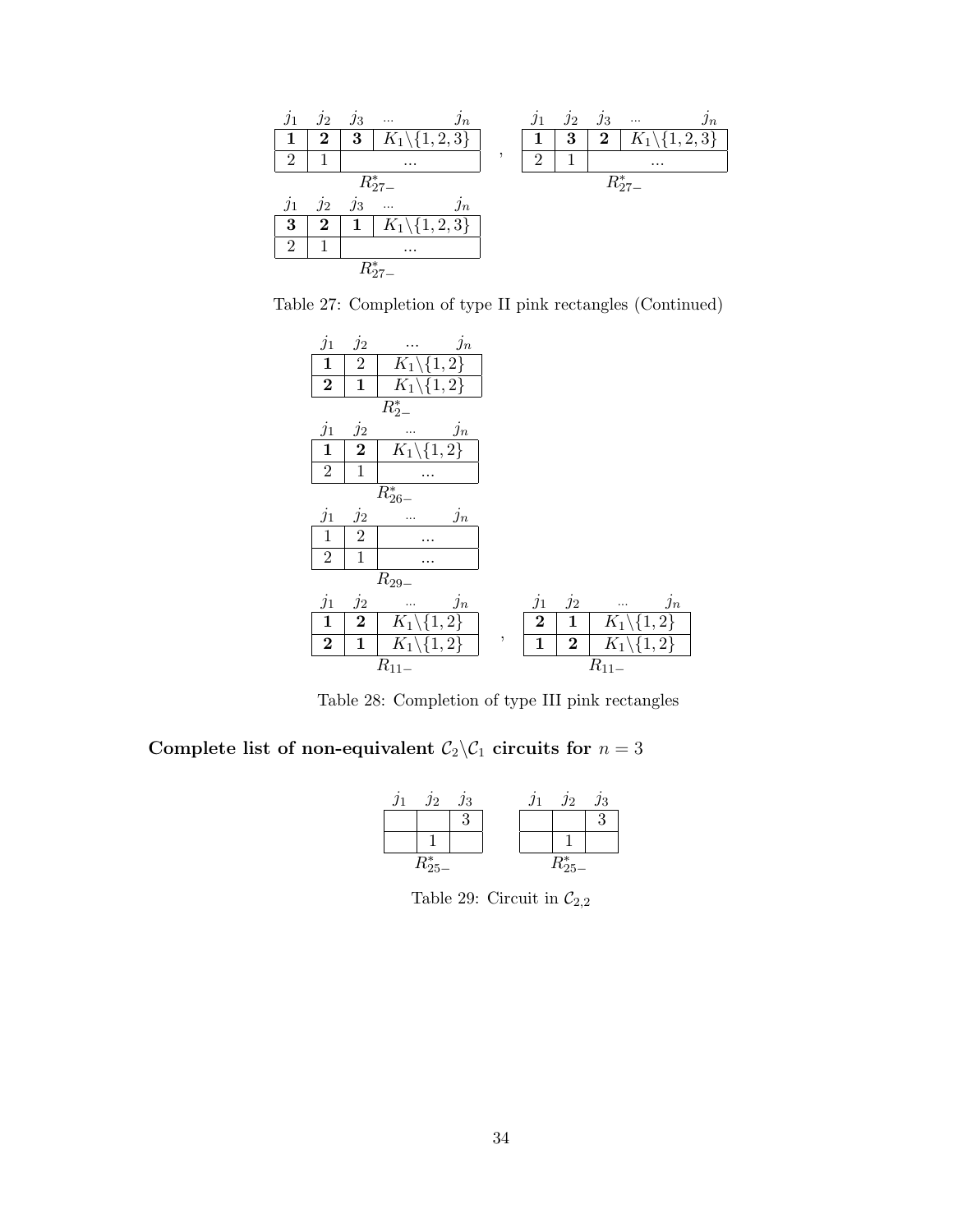| j <sub>1</sub> | $j_2$    | $j_3$ | $\jmath_n$<br>$\ldots$   | $\jmath_1$     | $j_2$ | $\jmath_3$ | $\jmath_n$<br>$\ldots$     |
|----------------|----------|-------|--------------------------|----------------|-------|------------|----------------------------|
|                | $\bf{2}$ | 3     | $K_1\backslash\{1,2,3\}$ | 1              | 3     | $\bf{2}$   | $K_1 \backslash \{1,2,3\}$ |
| $\overline{2}$ |          |       | $\cdots$                 | $\overline{2}$ |       |            | $\cdots$                   |
|                |          |       | $R_{27-}^*$              |                |       |            | $R_{27-}^*$                |
|                |          |       |                          |                |       |            |                            |
| $j_1$          | $j_2$    | $j_3$ | $\ddotsc$<br>$\jmath_n$  |                |       |            |                            |
| 3              | $\bf{2}$ | 1     | $K_1\backslash\{1,2,3\}$ |                |       |            |                            |
| $\mathcal{D}$  |          |       | $\cdots$                 |                |       |            |                            |

Table 27: Completion of type II pink rectangles (Continued)

| $j_1$          | $j_2$          | $j_n$                               |   |              |                |                                     |       |
|----------------|----------------|-------------------------------------|---|--------------|----------------|-------------------------------------|-------|
| $\mathbf{1}$   | $\overline{2}$ | $\overline{K}_1 \backslash \{1,2\}$ |   |              |                |                                     |       |
| $\bf{2}$       | 1              | $K_1\backslash\{1,2\}$              |   |              |                |                                     |       |
|                |                | $R_{2-}^*$                          |   |              |                |                                     |       |
| $j_1$          | $j_2$          | $j_n$                               |   |              |                |                                     |       |
| $\mathbf{1}$   | $\bf{2}$       | $K_1 \backslash \{1,2\}$            |   |              |                |                                     |       |
| $\overline{2}$ | $\mathbf{1}$   |                                     |   |              |                |                                     |       |
|                |                | $R_{26-}^*$                         |   |              |                |                                     |       |
|                |                |                                     |   |              |                |                                     |       |
| $j_1$          | $j_2$          | $j_n$                               |   |              |                |                                     |       |
| $\mathbf{1}$   | $\overline{2}$ |                                     |   |              |                |                                     |       |
| $\sqrt{2}$     | $\mathbf{1}$   |                                     |   |              |                |                                     |       |
|                |                |                                     |   |              |                |                                     |       |
| $j_1$          | $j_2$          | $R_{\rm 29-}$<br>$j_n$<br>.         |   | $j_1$        | $j_2$          | .                                   | $j_n$ |
| $\mathbf{1}$   | $\bf{2}$       | $\overline{K_1} \backslash \{1,2\}$ |   | $\bf{2}$     | $\mathbf{1}$   | $\overline{K}_1 \backslash \{1,2\}$ |       |
| $\bf{2}$       | 1              | $K_1 \backslash \{1,2\}$            | , | $\mathbf{1}$ | $\overline{2}$ | $K_1 \backslash \{1,2\}$            |       |

Table 28: Completion of type III pink rectangles

Complete list of non-equivalent  $C_2 \backslash C_1$  circuits for  $n = 3$ 

| Л2          | $\jmath_3$ |  | $\jmath_2$  | Ј3 |
|-------------|------------|--|-------------|----|
|             | ว          |  |             |    |
|             |            |  |             |    |
| $R_{25-}^*$ |            |  | $R^*_{25-}$ |    |

Table 29: Circuit in  $\mathcal{C}_{2,2}$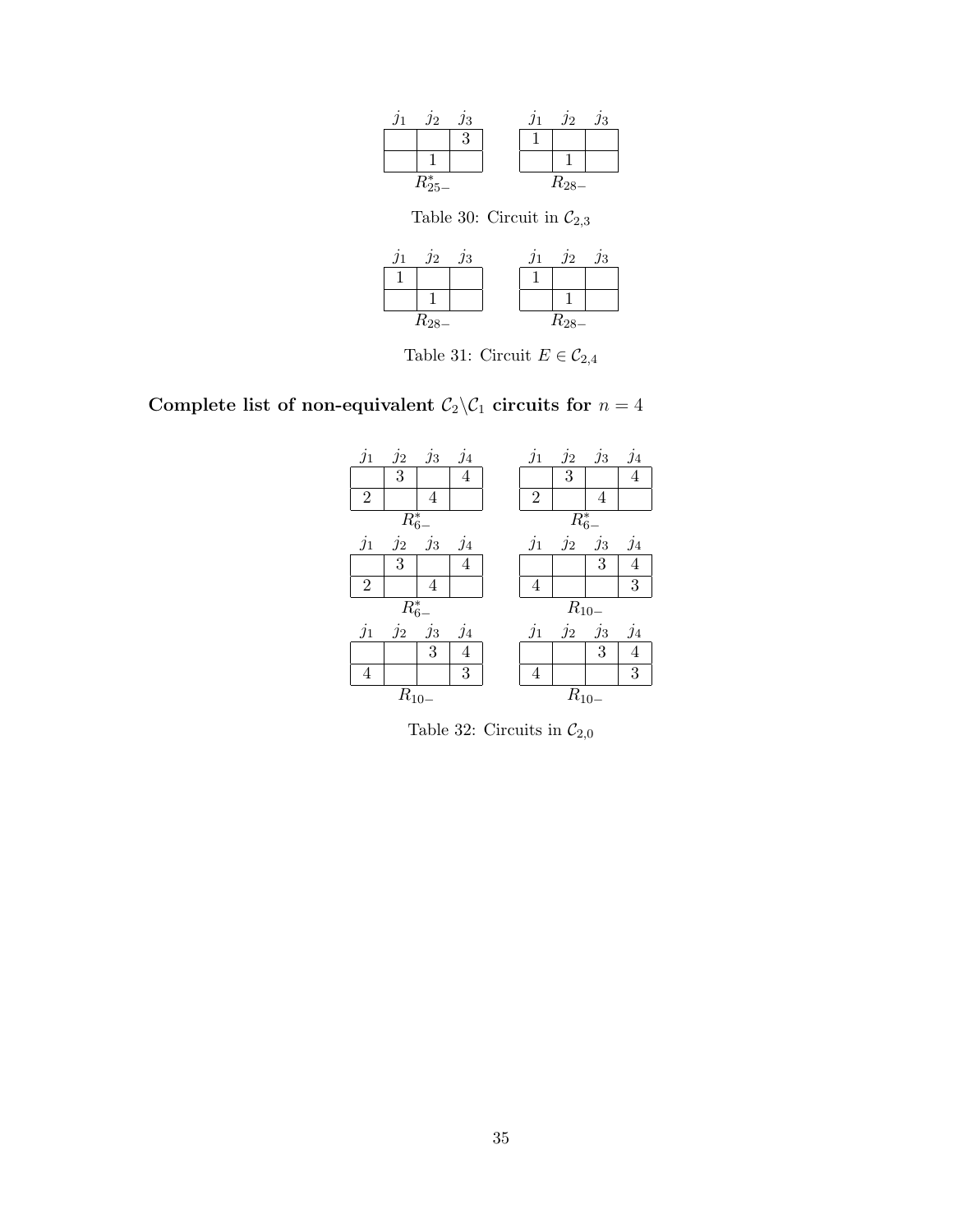| n | .12         | $\jmath_3$ |  | .12       | ЈЗ |
|---|-------------|------------|--|-----------|----|
|   |             |            |  |           |    |
|   |             |            |  |           |    |
|   | $R_{25-}^*$ |            |  | $R_{28-}$ |    |

Table 30: Circuit in  $\mathcal{C}_{2,3}$ 

|  | Л2        | ЛЗ |  | .12       | $\jmath_3$ |
|--|-----------|----|--|-----------|------------|
|  |           |    |  |           |            |
|  |           |    |  |           |            |
|  | $R_{28-}$ |    |  | $R_{28-}$ |            |

Table 31: Circuit $E\in \mathcal{C}_{2,4}$ 

Complete list of non-equivalent  $C_2 \backslash C_1$  circuits for  $n = 4$ 



Table 32: Circuits in  $\mathcal{C}_{2,0}$